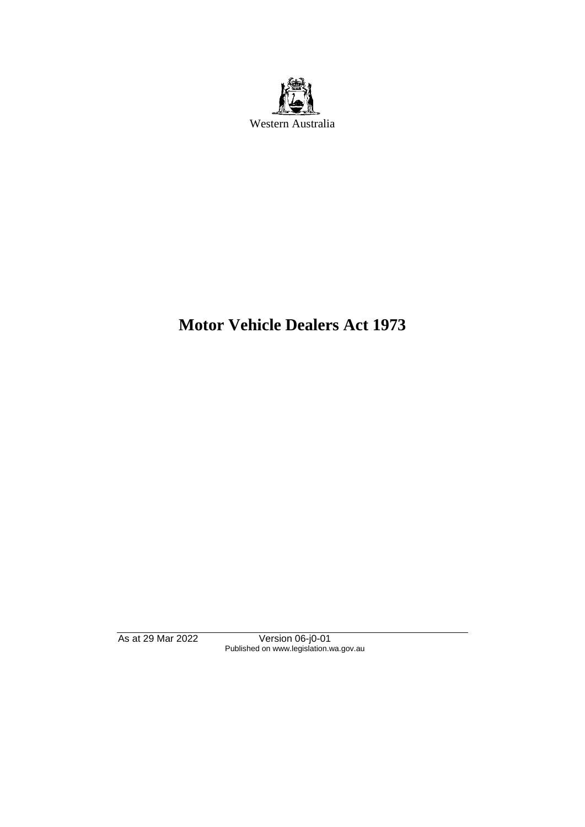

# **Motor Vehicle Dealers Act 1973**

As at 29 Mar 2022 Version 06-j0-01 Published on www.legislation.wa.gov.au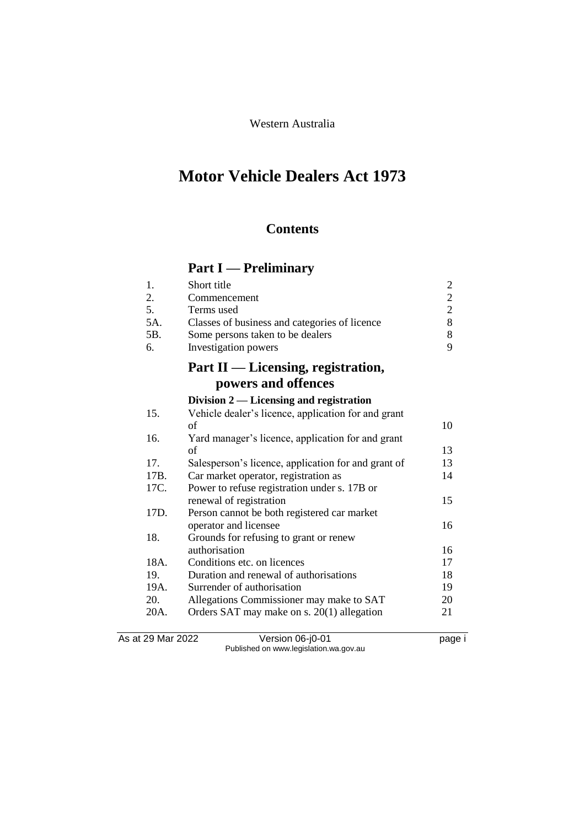Western Australia

# **Motor Vehicle Dealers Act 1973**

# **Contents**

# **Part I — Preliminary**

|     | Short title                                   |                             |
|-----|-----------------------------------------------|-----------------------------|
| 2.  | Commencement                                  | $\mathcal{D}_{\cdot}$       |
| 5.  | Terms used                                    | $\mathcal{D}_{\mathcal{L}}$ |
| 5A. | Classes of business and categories of licence | 8.                          |
| 5В. | Some persons taken to be dealers              | 8.                          |
| б.  | Investigation powers                          | Q                           |
|     |                                               |                             |

# **Part II — Licensing, registration, powers and offences**

|                   | powers and oriences                                 |      |
|-------------------|-----------------------------------------------------|------|
|                   | Division $2$ — Licensing and registration           |      |
| 15.               | Vehicle dealer's licence, application for and grant |      |
|                   | of                                                  | 10   |
| 16.               | Yard manager's licence, application for and grant   |      |
|                   | οf                                                  | 13   |
| 17.               | Salesperson's licence, application for and grant of | 13   |
| 17B.              | Car market operator, registration as                | 14   |
| 17C.              | Power to refuse registration under s. 17B or        |      |
|                   | renewal of registration                             | 15   |
| 17D.              | Person cannot be both registered car market         |      |
|                   | operator and licensee                               | 16   |
| 18.               | Grounds for refusing to grant or renew              |      |
|                   | authorisation                                       | 16   |
| 18A.              | Conditions etc. on licences                         | 17   |
| 19.               | Duration and renewal of authorisations              | 18   |
| 19A.              | Surrender of authorisation                          | 19   |
| 20.               | Allegations Commissioner may make to SAT            | 20   |
| 20A.              | Orders SAT may make on s. 20(1) allegation          | 21   |
| As at 29 Mar 2022 | Version 06-j0-01                                    | page |

Published on www.legislation.wa.gov.au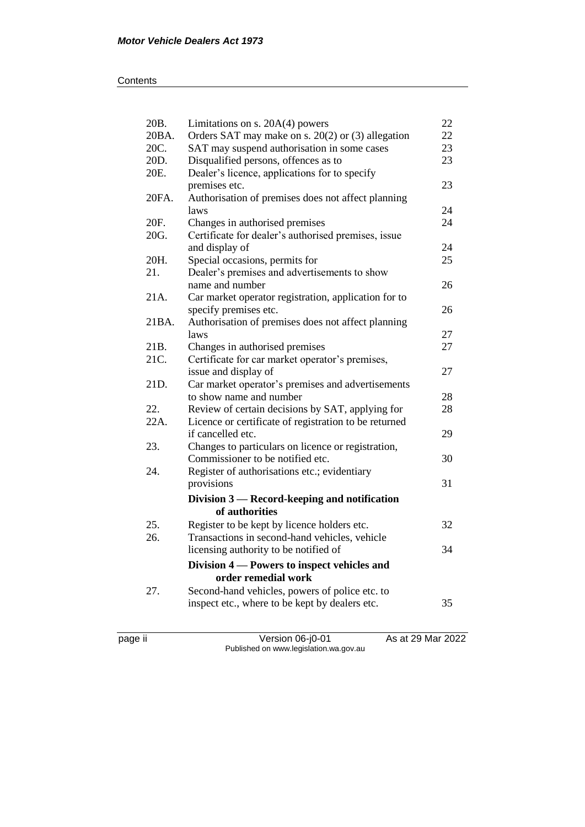| 20B.  | Limitations on $s. 20A(4)$ powers                                  | 22 |
|-------|--------------------------------------------------------------------|----|
| 20BA. | Orders SAT may make on s. $20(2)$ or (3) allegation                |    |
| 20C.  | SAT may suspend authorisation in some cases                        |    |
| 20D.  | Disqualified persons, offences as to                               | 23 |
| 20E.  | Dealer's licence, applications for to specify                      |    |
|       | premises etc.                                                      | 23 |
| 20FA. | Authorisation of premises does not affect planning                 |    |
|       | laws                                                               | 24 |
| 20F.  | Changes in authorised premises                                     | 24 |
| 20G.  | Certificate for dealer's authorised premises, issue                |    |
|       | and display of                                                     | 24 |
| 20H.  | Special occasions, permits for                                     | 25 |
| 21.   | Dealer's premises and advertisements to show                       |    |
|       | name and number                                                    | 26 |
| 21A.  | Car market operator registration, application for to               |    |
|       | specify premises etc.                                              | 26 |
| 21BA. | Authorisation of premises does not affect planning                 |    |
|       | laws                                                               | 27 |
| 21B.  | Changes in authorised premises                                     | 27 |
| 21C.  | Certificate for car market operator's premises,                    |    |
|       | issue and display of                                               | 27 |
| 21D.  | Car market operator's premises and advertisements                  |    |
|       | to show name and number                                            | 28 |
| 22.   | Review of certain decisions by SAT, applying for                   | 28 |
| 22A.  | Licence or certificate of registration to be returned              |    |
|       | if cancelled etc.                                                  | 29 |
| 23.   | Changes to particulars on licence or registration,                 |    |
|       | Commissioner to be notified etc.                                   | 30 |
| 24.   | Register of authorisations etc.; evidentiary                       |    |
|       | provisions                                                         | 31 |
|       | Division 3 — Record-keeping and notification                       |    |
|       | of authorities                                                     |    |
| 25.   | Register to be kept by licence holders etc.                        | 32 |
| 26.   | Transactions in second-hand vehicles, vehicle                      |    |
|       | licensing authority to be notified of                              | 34 |
|       |                                                                    |    |
|       | Division 4 – Powers to inspect vehicles and<br>order remedial work |    |
|       |                                                                    |    |
| 27.   | Second-hand vehicles, powers of police etc. to                     |    |
|       | inspect etc., where to be kept by dealers etc.                     | 35 |
|       |                                                                    |    |
|       |                                                                    |    |

page ii Version 06-j0-01 As at 29 Mar 2022 Published on www.legislation.wa.gov.au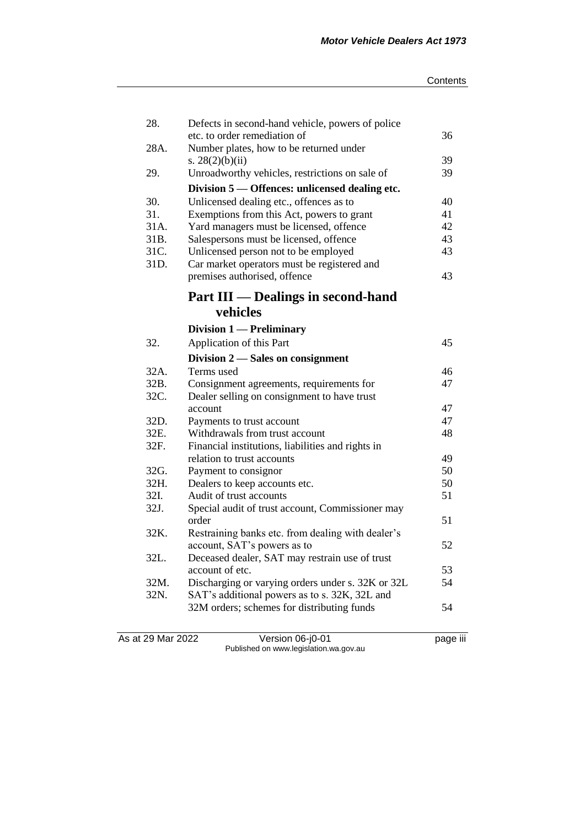| 28.             | Defects in second-hand vehicle, powers of police  |    |
|-----------------|---------------------------------------------------|----|
|                 | etc. to order remediation of                      | 36 |
| 28A.            | Number plates, how to be returned under           |    |
|                 | s. $28(2)(b)(ii)$                                 | 39 |
| 29.             | Unroadworthy vehicles, restrictions on sale of    | 39 |
|                 | Division 5 - Offences: unlicensed dealing etc.    |    |
| 30.             | Unlicensed dealing etc., offences as to           | 40 |
| 31.             | Exemptions from this Act, powers to grant         | 41 |
| 31A.            | Yard managers must be licensed, offence           | 42 |
| 31 <sub>B</sub> | Salespersons must be licensed, offence            | 43 |
| 31C.            | Unlicensed person not to be employed              | 43 |
| 31D.            | Car market operators must be registered and       |    |
|                 | premises authorised, offence                      | 43 |
|                 | <b>Part III — Dealings in second-hand</b>         |    |
|                 | vehicles                                          |    |
|                 | Division 1 - Preliminary                          |    |
| 32.             | Application of this Part                          | 45 |
|                 | Division 2 – Sales on consignment                 |    |
| 32A.            | Terms used                                        | 46 |
| 32B.            | Consignment agreements, requirements for          | 47 |
| 32C.            | Dealer selling on consignment to have trust       |    |
|                 | account                                           | 47 |
| 32D.            | Payments to trust account                         | 47 |
| 32E.            | Withdrawals from trust account                    | 48 |
| 32F.            | Financial institutions, liabilities and rights in |    |
|                 | relation to trust accounts                        | 49 |
| 32G.            | Payment to consignor                              | 50 |
| 32H.            | Dealers to keep accounts etc.                     | 50 |
| 32I.            | Audit of trust accounts                           | 51 |
| 32J.            | Special audit of trust account, Commissioner may  |    |
|                 | order                                             | 51 |
| 32K.            | Restraining banks etc. from dealing with dealer's |    |
|                 | account, SAT's powers as to                       | 52 |
| 32L.            | Deceased dealer, SAT may restrain use of trust    |    |
|                 | account of etc.                                   | 53 |
| 32M.            | Discharging or varying orders under s. 32K or 32L | 54 |
| 32N.            | SAT's additional powers as to s. 32K, 32L and     |    |
|                 | 32M orders; schemes for distributing funds        | 54 |
|                 |                                                   |    |

As at 29 Mar 2022 Version 06-j0-01 page iii Published on www.legislation.wa.gov.au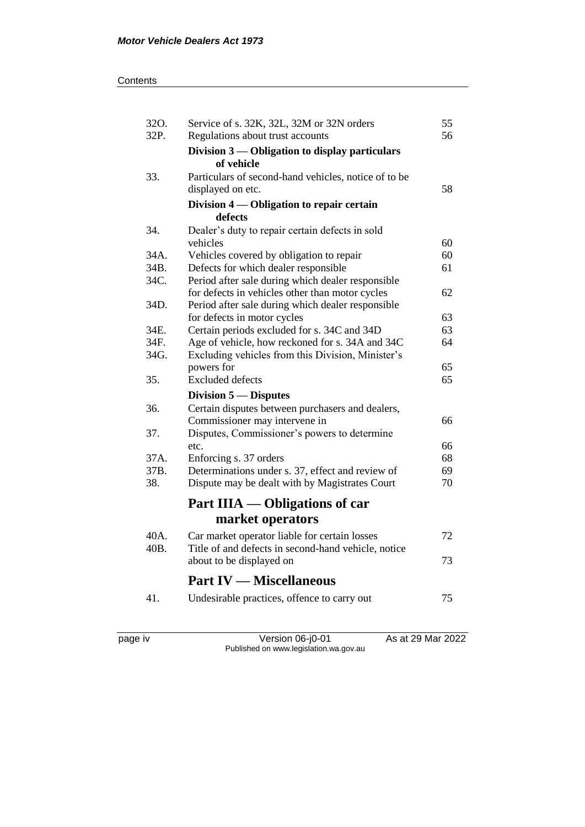#### **Contents**

| 32O. | Service of s. 32K, 32L, 32M or 32N orders            | 55 |
|------|------------------------------------------------------|----|
| 32P. | Regulations about trust accounts                     |    |
|      | Division 3 — Obligation to display particulars       |    |
|      | of vehicle                                           |    |
| 33.  | Particulars of second-hand vehicles, notice of to be |    |
|      | displayed on etc.                                    | 58 |
|      | Division 4 — Obligation to repair certain            |    |
|      | defects                                              |    |
| 34.  | Dealer's duty to repair certain defects in sold      |    |
|      | vehicles                                             | 60 |
| 34A. | Vehicles covered by obligation to repair             | 60 |
| 34B. | Defects for which dealer responsible                 | 61 |
| 34C. | Period after sale during which dealer responsible    |    |
|      | for defects in vehicles other than motor cycles      | 62 |
| 34D. | Period after sale during which dealer responsible    |    |
|      | for defects in motor cycles                          | 63 |
| 34E. | Certain periods excluded for s. 34C and 34D          | 63 |
| 34F. | Age of vehicle, how reckoned for s. 34A and 34C      | 64 |
| 34G. | Excluding vehicles from this Division, Minister's    |    |
|      | powers for                                           | 65 |
| 35.  | <b>Excluded</b> defects                              | 65 |
|      | Division 5 — Disputes                                |    |
| 36.  | Certain disputes between purchasers and dealers,     |    |
|      | Commissioner may intervene in                        | 66 |
| 37.  | Disputes, Commissioner's powers to determine         |    |
|      | etc.                                                 | 66 |
| 37A. | Enforcing s. 37 orders                               | 68 |
| 37B. | Determinations under s. 37, effect and review of     | 69 |
| 38.  | Dispute may be dealt with by Magistrates Court       | 70 |
|      | Part IIIA — Obligations of car                       |    |
|      |                                                      |    |
|      | market operators                                     |    |
| 40A. | Car market operator liable for certain losses        | 72 |
| 40B. | Title of and defects in second-hand vehicle, notice  |    |
|      | about to be displayed on                             | 73 |
|      | <b>Part IV — Miscellaneous</b>                       |    |
| 41.  | Undesirable practices, offence to carry out          | 75 |
|      |                                                      |    |
|      |                                                      |    |
|      |                                                      |    |

page iv Version 06-j0-01 As at 29 Mar 2022 Published on www.legislation.wa.gov.au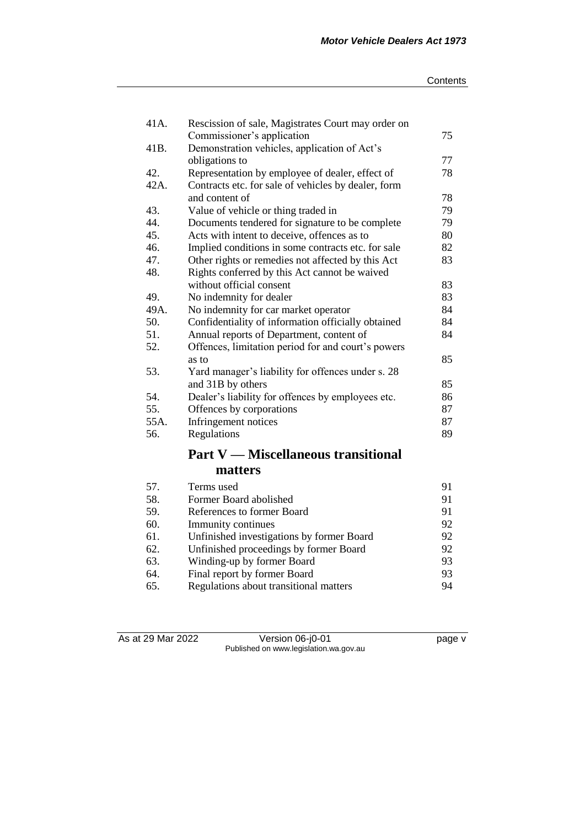#### **Contents**

| 41A. | Rescission of sale, Magistrates Court may order on  |    |
|------|-----------------------------------------------------|----|
|      | Commissioner's application                          | 75 |
| 41B. | Demonstration vehicles, application of Act's        |    |
|      | obligations to                                      | 77 |
| 42.  | Representation by employee of dealer, effect of     | 78 |
| 42A. | Contracts etc. for sale of vehicles by dealer, form |    |
|      | and content of                                      | 78 |
| 43.  | Value of vehicle or thing traded in                 | 79 |
| 44.  | Documents tendered for signature to be complete     | 79 |
| 45.  | Acts with intent to deceive, offences as to         | 80 |
| 46.  | Implied conditions in some contracts etc. for sale  | 82 |
| 47.  | Other rights or remedies not affected by this Act   | 83 |
| 48.  | Rights conferred by this Act cannot be waived       |    |
|      | without official consent                            | 83 |
| 49.  | No indemnity for dealer                             | 83 |
| 49A. | No indemnity for car market operator                | 84 |
| 50.  | Confidentiality of information officially obtained  | 84 |
| 51.  | Annual reports of Department, content of            | 84 |
| 52.  | Offences, limitation period for and court's powers  |    |
|      | as to                                               | 85 |
| 53.  | Yard manager's liability for offences under s. 28   |    |
|      | and 31B by others                                   | 85 |
| 54.  | Dealer's liability for offences by employees etc.   | 86 |
| 55.  | Offences by corporations                            | 87 |
| 55A. | Infringement notices                                | 87 |
| 56.  | Regulations                                         | 89 |
|      | <b>Part V</b> — Miscellaneous transitional          |    |
|      | matters                                             |    |
| 57.  | Terms used                                          | 91 |

As at 29 Mar 2022 Version 06-j0-01 page v Published on www.legislation.wa.gov.au

58. Former Board abolished 91<br>59. References to former Board 91

60. Immunity continues 92<br>61. Unfinished investigations by former Board 92 61. Unfinished investigations by former Board 92<br>62. Unfinished proceedings by former Board 92 62. Unfinished proceedings by former Board 92<br>63. Winding-up by former Board 93

64. Final report by former Board 93<br>65. Regulations about transitional matters 94

Winding-up by former Board

Regulations about transitional matters

References to former Board<br>
Immunity continues 92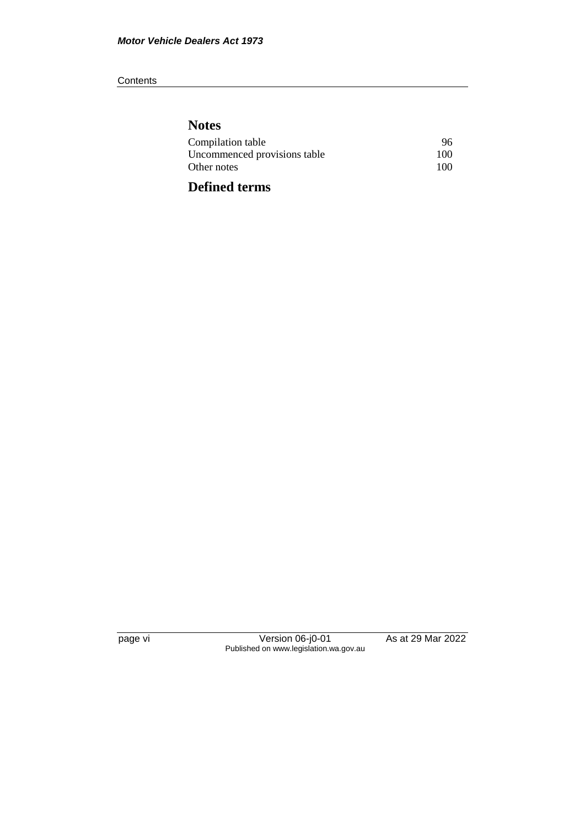#### **Contents**

# **Notes**

| Compilation table            | 96  |
|------------------------------|-----|
| Uncommenced provisions table | 100 |
| Other notes                  | 100 |
|                              |     |

# **Defined terms**

page vi Version 06-j0-01 As at 29 Mar 2022 Published on www.legislation.wa.gov.au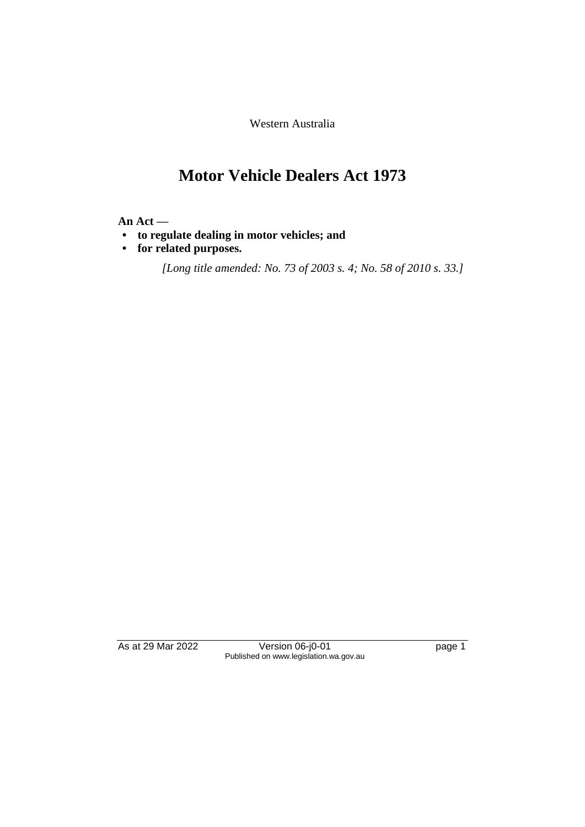Western Australia

# **Motor Vehicle Dealers Act 1973**

#### **An Act —**

- **• to regulate dealing in motor vehicles; and**
- **• for related purposes.**

*[Long title amended: No. 73 of 2003 s. 4; No. 58 of 2010 s. 33.]*

As at 29 Mar 2022 Version 06-j0-01 page 1 Published on www.legislation.wa.gov.au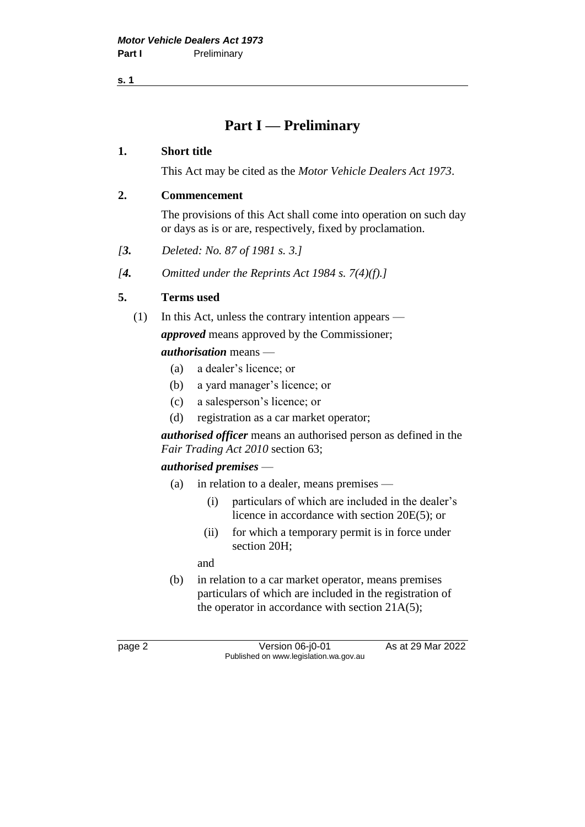**s. 1**

# **Part I — Preliminary**

#### **1. Short title**

This Act may be cited as the *Motor Vehicle Dealers Act 1973*.

#### **2. Commencement**

The provisions of this Act shall come into operation on such day or days as is or are, respectively, fixed by proclamation.

- *[3. Deleted: No. 87 of 1981 s. 3.]*
- *[4. Omitted under the Reprints Act 1984 s. 7(4)(f).]*

# **5. Terms used**

- (1) In this Act, unless the contrary intention appears *approved* means approved by the Commissioner; *authorisation* means —
	- (a) a dealer's licence; or
	- (b) a yard manager's licence; or
	- (c) a salesperson's licence; or
	- (d) registration as a car market operator;

*authorised officer* means an authorised person as defined in the *Fair Trading Act 2010* section 63;

# *authorised premises* —

- (a) in relation to a dealer, means premises
	- (i) particulars of which are included in the dealer's licence in accordance with section 20E(5); or
	- (ii) for which a temporary permit is in force under section 20H;

and

(b) in relation to a car market operator, means premises particulars of which are included in the registration of the operator in accordance with section 21A(5);

page 2 Version 06-j0-01 As at 29 Mar 2022 Published on www.legislation.wa.gov.au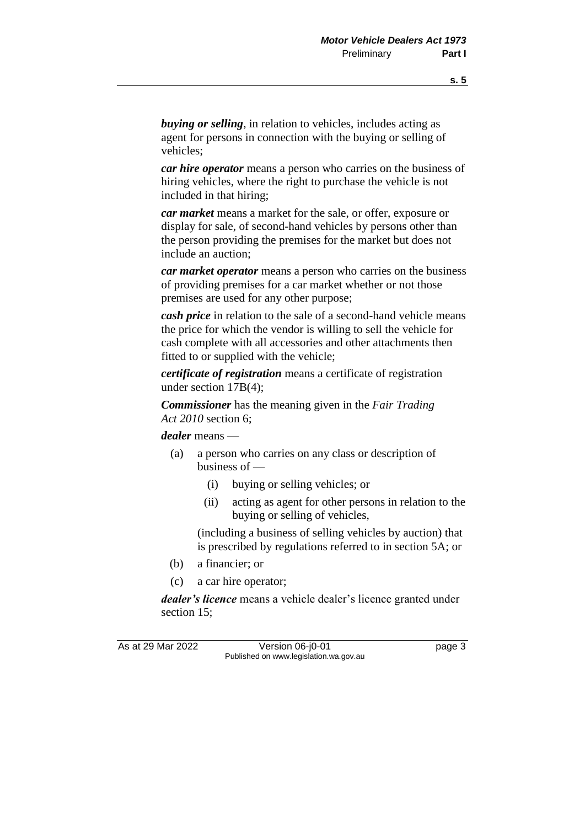*buying or selling*, in relation to vehicles, includes acting as agent for persons in connection with the buying or selling of vehicles;

*car hire operator* means a person who carries on the business of hiring vehicles, where the right to purchase the vehicle is not included in that hiring;

*car market* means a market for the sale, or offer, exposure or display for sale, of second-hand vehicles by persons other than the person providing the premises for the market but does not include an auction;

*car market operator* means a person who carries on the business of providing premises for a car market whether or not those premises are used for any other purpose;

*cash price* in relation to the sale of a second-hand vehicle means the price for which the vendor is willing to sell the vehicle for cash complete with all accessories and other attachments then fitted to or supplied with the vehicle;

*certificate of registration* means a certificate of registration under section 17B(4);

*Commissioner* has the meaning given in the *Fair Trading Act 2010* section 6;

*dealer* means —

- (a) a person who carries on any class or description of business of —
	- (i) buying or selling vehicles; or
	- (ii) acting as agent for other persons in relation to the buying or selling of vehicles,

(including a business of selling vehicles by auction) that is prescribed by regulations referred to in section 5A; or

- (b) a financier; or
- (c) a car hire operator;

*dealer's licence* means a vehicle dealer's licence granted under section 15;

As at 29 Mar 2022 Version 06-j0-01 Quadrage 3 Published on www.legislation.wa.gov.au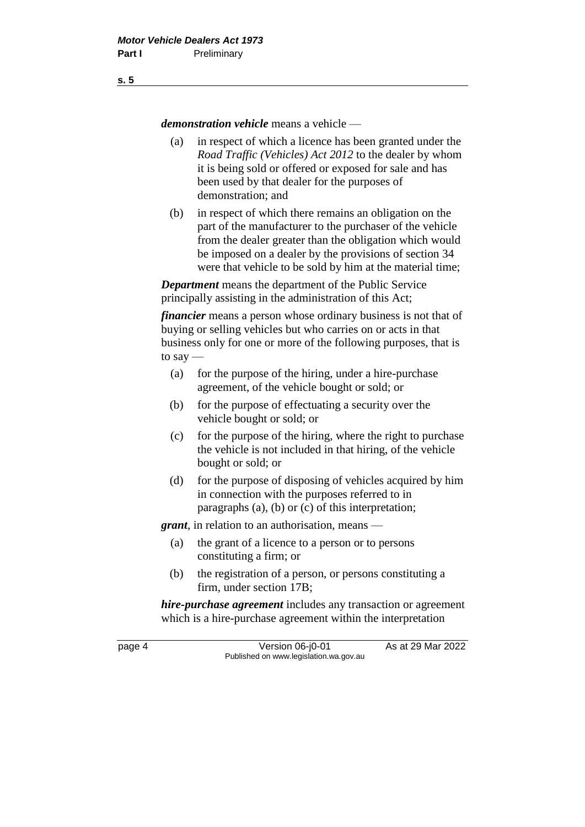*demonstration vehicle* means a vehicle —

- (a) in respect of which a licence has been granted under the *Road Traffic (Vehicles) Act 2012* to the dealer by whom it is being sold or offered or exposed for sale and has been used by that dealer for the purposes of demonstration; and
- (b) in respect of which there remains an obligation on the part of the manufacturer to the purchaser of the vehicle from the dealer greater than the obligation which would be imposed on a dealer by the provisions of section 34 were that vehicle to be sold by him at the material time;

*Department* means the department of the Public Service principally assisting in the administration of this Act;

*financier* means a person whose ordinary business is not that of buying or selling vehicles but who carries on or acts in that business only for one or more of the following purposes, that is to say —

- (a) for the purpose of the hiring, under a hire-purchase agreement, of the vehicle bought or sold; or
- (b) for the purpose of effectuating a security over the vehicle bought or sold; or
- (c) for the purpose of the hiring, where the right to purchase the vehicle is not included in that hiring, of the vehicle bought or sold; or
- (d) for the purpose of disposing of vehicles acquired by him in connection with the purposes referred to in paragraphs (a), (b) or (c) of this interpretation;

*grant*, in relation to an authorisation, means —

- (a) the grant of a licence to a person or to persons constituting a firm; or
- (b) the registration of a person, or persons constituting a firm, under section 17B;

*hire-purchase agreement* includes any transaction or agreement which is a hire-purchase agreement within the interpretation

page 4 Version 06-j0-01 As at 29 Mar 2022 Published on www.legislation.wa.gov.au

**s. 5**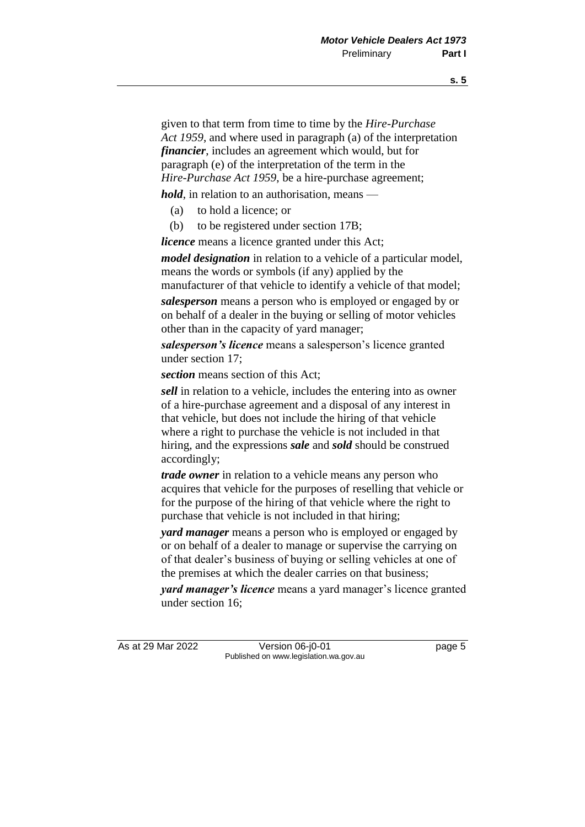given to that term from time to time by the *Hire-Purchase Act 1959*, and where used in paragraph (a) of the interpretation *financier*, includes an agreement which would, but for paragraph (e) of the interpretation of the term in the *Hire-Purchase Act 1959*, be a hire-purchase agreement;

*hold*, in relation to an authorisation, means —

- (a) to hold a licence; or
- (b) to be registered under section 17B;

*licence* means a licence granted under this Act;

*model designation* in relation to a vehicle of a particular model, means the words or symbols (if any) applied by the

manufacturer of that vehicle to identify a vehicle of that model;

*salesperson* means a person who is employed or engaged by or on behalf of a dealer in the buying or selling of motor vehicles other than in the capacity of yard manager;

*salesperson's licence* means a salesperson's licence granted under section 17;

*section* means section of this Act;

*sell* in relation to a vehicle, includes the entering into as owner of a hire-purchase agreement and a disposal of any interest in that vehicle, but does not include the hiring of that vehicle where a right to purchase the vehicle is not included in that hiring, and the expressions *sale* and *sold* should be construed accordingly;

*trade owner* in relation to a vehicle means any person who acquires that vehicle for the purposes of reselling that vehicle or for the purpose of the hiring of that vehicle where the right to purchase that vehicle is not included in that hiring;

*yard manager* means a person who is employed or engaged by or on behalf of a dealer to manage or supervise the carrying on of that dealer's business of buying or selling vehicles at one of the premises at which the dealer carries on that business;

*yard manager's licence* means a yard manager's licence granted under section 16;

As at 29 Mar 2022 Version 06-j0-01 page 5 Published on www.legislation.wa.gov.au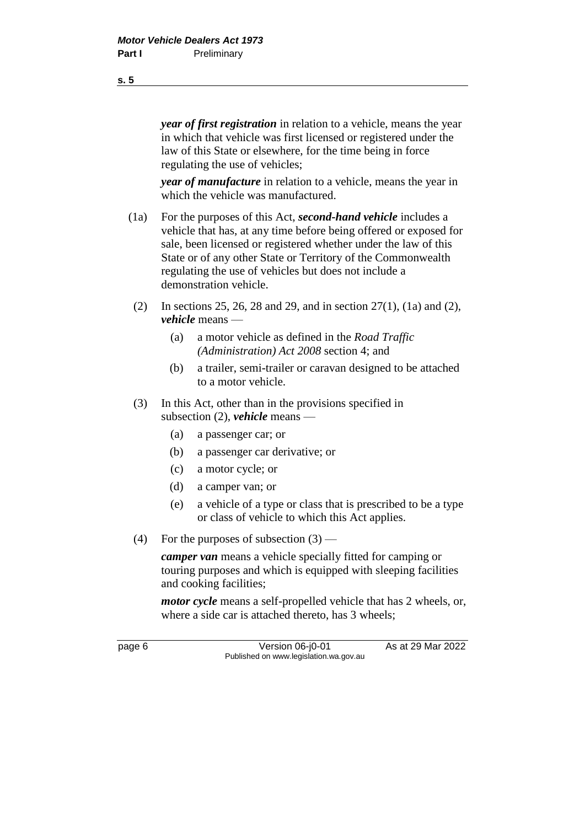*year of first registration* in relation to a vehicle, means the year in which that vehicle was first licensed or registered under the law of this State or elsewhere, for the time being in force regulating the use of vehicles;

*year of manufacture* in relation to a vehicle, means the year in which the vehicle was manufactured.

- (1a) For the purposes of this Act, *second-hand vehicle* includes a vehicle that has, at any time before being offered or exposed for sale, been licensed or registered whether under the law of this State or of any other State or Territory of the Commonwealth regulating the use of vehicles but does not include a demonstration vehicle.
- (2) In sections 25, 26, 28 and 29, and in section 27(1), (1a) and (2), *vehicle* means —
	- (a) a motor vehicle as defined in the *Road Traffic (Administration) Act 2008* section 4; and
	- (b) a trailer, semi-trailer or caravan designed to be attached to a motor vehicle.
- (3) In this Act, other than in the provisions specified in subsection (2), *vehicle* means —
	- (a) a passenger car; or
	- (b) a passenger car derivative; or
	- (c) a motor cycle; or
	- (d) a camper van; or
	- (e) a vehicle of a type or class that is prescribed to be a type or class of vehicle to which this Act applies.
- (4) For the purposes of subsection  $(3)$  —

*camper van* means a vehicle specially fitted for camping or touring purposes and which is equipped with sleeping facilities and cooking facilities;

*motor cycle* means a self-propelled vehicle that has 2 wheels, or, where a side car is attached thereto, has 3 wheels;

page 6 Version 06-j0-01 As at 29 Mar 2022 Published on www.legislation.wa.gov.au

**s. 5**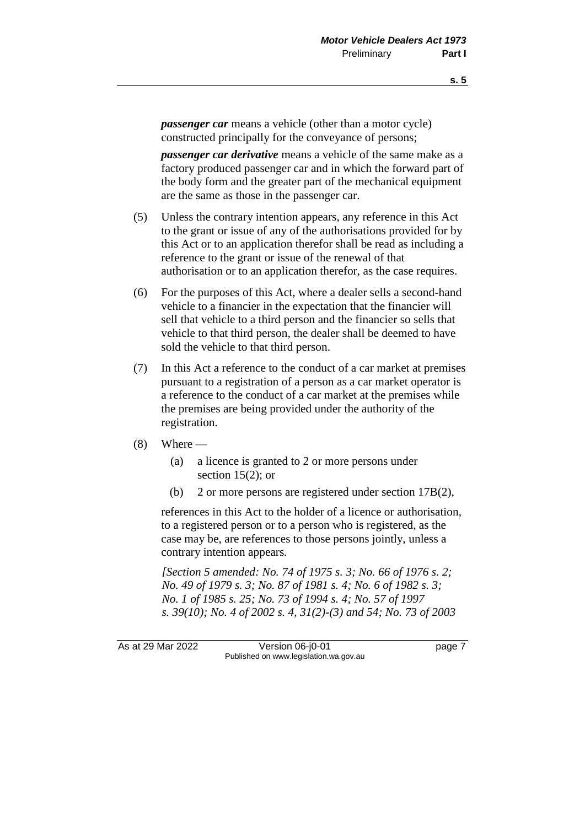*passenger car* means a vehicle (other than a motor cycle) constructed principally for the conveyance of persons;

*passenger car derivative* means a vehicle of the same make as a factory produced passenger car and in which the forward part of the body form and the greater part of the mechanical equipment are the same as those in the passenger car.

- (5) Unless the contrary intention appears, any reference in this Act to the grant or issue of any of the authorisations provided for by this Act or to an application therefor shall be read as including a reference to the grant or issue of the renewal of that authorisation or to an application therefor, as the case requires.
- (6) For the purposes of this Act, where a dealer sells a second-hand vehicle to a financier in the expectation that the financier will sell that vehicle to a third person and the financier so sells that vehicle to that third person, the dealer shall be deemed to have sold the vehicle to that third person.
- (7) In this Act a reference to the conduct of a car market at premises pursuant to a registration of a person as a car market operator is a reference to the conduct of a car market at the premises while the premises are being provided under the authority of the registration.
- $(8)$  Where
	- (a) a licence is granted to 2 or more persons under section  $15(2)$ ; or
	- (b) 2 or more persons are registered under section 17B(2),

references in this Act to the holder of a licence or authorisation, to a registered person or to a person who is registered, as the case may be, are references to those persons jointly, unless a contrary intention appears*.*

*[Section 5 amended: No. 74 of 1975 s. 3; No. 66 of 1976 s. 2; No. 49 of 1979 s. 3; No. 87 of 1981 s. 4; No. 6 of 1982 s. 3; No. 1 of 1985 s. 25; No. 73 of 1994 s. 4; No. 57 of 1997 s. 39(10); No. 4 of 2002 s. 4, 31(2)-(3) and 54; No. 73 of 2003* 

As at 29 Mar 2022 Version 06-j0-01 page 7 Published on www.legislation.wa.gov.au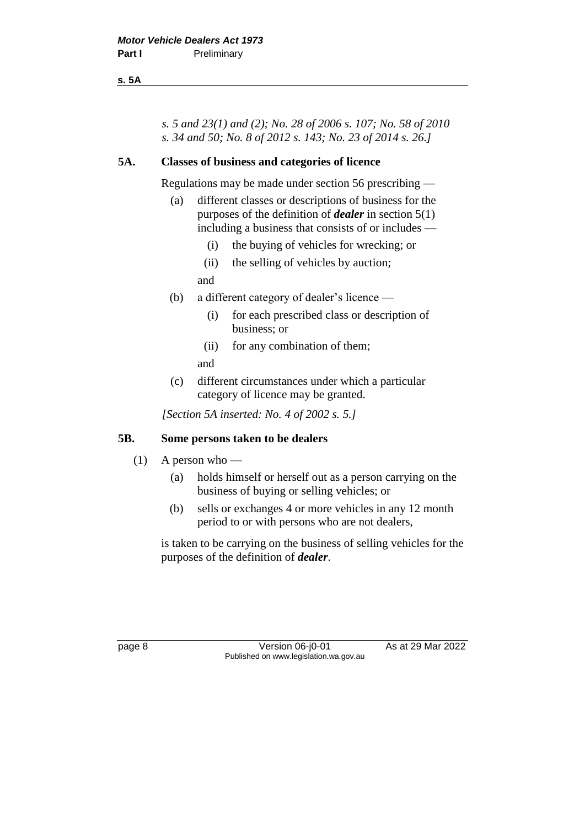**s. 5A**

*s. 5 and 23(1) and (2); No. 28 of 2006 s. 107; No. 58 of 2010 s. 34 and 50; No. 8 of 2012 s. 143; No. 23 of 2014 s. 26.]*

#### **5A. Classes of business and categories of licence**

Regulations may be made under section 56 prescribing —

- (a) different classes or descriptions of business for the purposes of the definition of *dealer* in section 5(1) including a business that consists of or includes —
	- (i) the buying of vehicles for wrecking; or
	- (ii) the selling of vehicles by auction;

and

- (b) a different category of dealer's licence
	- (i) for each prescribed class or description of business; or
	- (ii) for any combination of them;
	- and
- (c) different circumstances under which a particular category of licence may be granted.

*[Section 5A inserted: No. 4 of 2002 s. 5.]*

#### **5B. Some persons taken to be dealers**

- $(1)$  A person who
	- (a) holds himself or herself out as a person carrying on the business of buying or selling vehicles; or
	- (b) sells or exchanges 4 or more vehicles in any 12 month period to or with persons who are not dealers,

is taken to be carrying on the business of selling vehicles for the purposes of the definition of *dealer*.

page 8 Version 06-j0-01 As at 29 Mar 2022 Published on www.legislation.wa.gov.au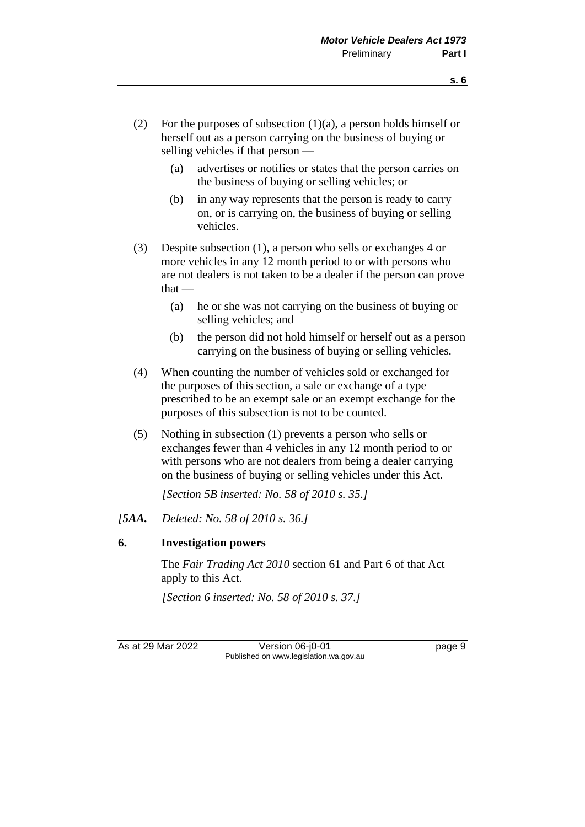- (2) For the purposes of subsection  $(1)(a)$ , a person holds himself or herself out as a person carrying on the business of buying or selling vehicles if that person —
	- (a) advertises or notifies or states that the person carries on the business of buying or selling vehicles; or
	- (b) in any way represents that the person is ready to carry on, or is carrying on, the business of buying or selling vehicles.
- (3) Despite subsection (1), a person who sells or exchanges 4 or more vehicles in any 12 month period to or with persons who are not dealers is not taken to be a dealer if the person can prove  $that -$ 
	- (a) he or she was not carrying on the business of buying or selling vehicles; and
	- (b) the person did not hold himself or herself out as a person carrying on the business of buying or selling vehicles.
- (4) When counting the number of vehicles sold or exchanged for the purposes of this section, a sale or exchange of a type prescribed to be an exempt sale or an exempt exchange for the purposes of this subsection is not to be counted.
- (5) Nothing in subsection (1) prevents a person who sells or exchanges fewer than 4 vehicles in any 12 month period to or with persons who are not dealers from being a dealer carrying on the business of buying or selling vehicles under this Act.

*[Section 5B inserted: No. 58 of 2010 s. 35.]*

*[5AA. Deleted: No. 58 of 2010 s. 36.]*

# **6. Investigation powers**

The *Fair Trading Act 2010* section 61 and Part 6 of that Act apply to this Act.

*[Section 6 inserted: No. 58 of 2010 s. 37.]*

As at 29 Mar 2022 Version 06-j0-01 page 9 Published on www.legislation.wa.gov.au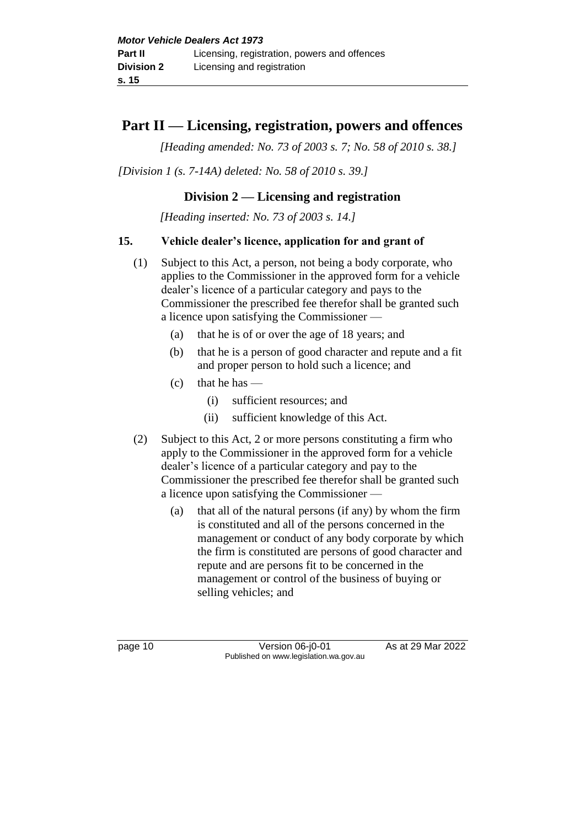# **Part II — Licensing, registration, powers and offences**

*[Heading amended: No. 73 of 2003 s. 7; No. 58 of 2010 s. 38.]*

*[Division 1 (s. 7-14A) deleted: No. 58 of 2010 s. 39.]*

# **Division 2 — Licensing and registration**

*[Heading inserted: No. 73 of 2003 s. 14.]*

# **15. Vehicle dealer's licence, application for and grant of**

- (1) Subject to this Act, a person, not being a body corporate, who applies to the Commissioner in the approved form for a vehicle dealer's licence of a particular category and pays to the Commissioner the prescribed fee therefor shall be granted such a licence upon satisfying the Commissioner —
	- (a) that he is of or over the age of 18 years; and
	- (b) that he is a person of good character and repute and a fit and proper person to hold such a licence; and
	- $(c)$  that he has
		- (i) sufficient resources; and
		- (ii) sufficient knowledge of this Act.
- (2) Subject to this Act, 2 or more persons constituting a firm who apply to the Commissioner in the approved form for a vehicle dealer's licence of a particular category and pay to the Commissioner the prescribed fee therefor shall be granted such a licence upon satisfying the Commissioner —
	- (a) that all of the natural persons (if any) by whom the firm is constituted and all of the persons concerned in the management or conduct of any body corporate by which the firm is constituted are persons of good character and repute and are persons fit to be concerned in the management or control of the business of buying or selling vehicles; and

page 10 Version 06-j0-01 As at 29 Mar 2022 Published on www.legislation.wa.gov.au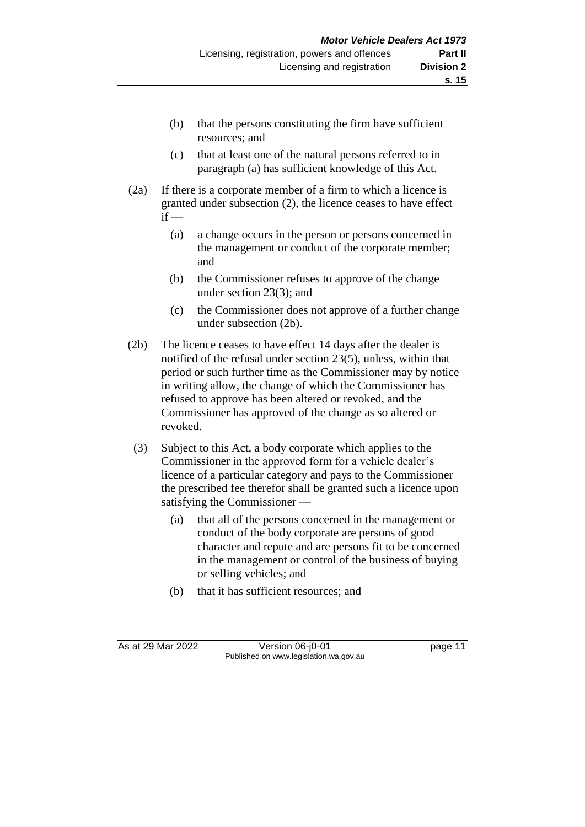- (b) that the persons constituting the firm have sufficient resources; and
- (c) that at least one of the natural persons referred to in paragraph (a) has sufficient knowledge of this Act.
- (2a) If there is a corporate member of a firm to which a licence is granted under subsection (2), the licence ceases to have effect  $if -$ 
	- (a) a change occurs in the person or persons concerned in the management or conduct of the corporate member; and
	- (b) the Commissioner refuses to approve of the change under section 23(3); and
	- (c) the Commissioner does not approve of a further change under subsection (2b).
- (2b) The licence ceases to have effect 14 days after the dealer is notified of the refusal under section 23(5), unless, within that period or such further time as the Commissioner may by notice in writing allow, the change of which the Commissioner has refused to approve has been altered or revoked, and the Commissioner has approved of the change as so altered or revoked.
- (3) Subject to this Act, a body corporate which applies to the Commissioner in the approved form for a vehicle dealer's licence of a particular category and pays to the Commissioner the prescribed fee therefor shall be granted such a licence upon satisfying the Commissioner —
	- (a) that all of the persons concerned in the management or conduct of the body corporate are persons of good character and repute and are persons fit to be concerned in the management or control of the business of buying or selling vehicles; and
	- (b) that it has sufficient resources; and

As at 29 Mar 2022 Version 06-j0-01 page 11 Published on www.legislation.wa.gov.au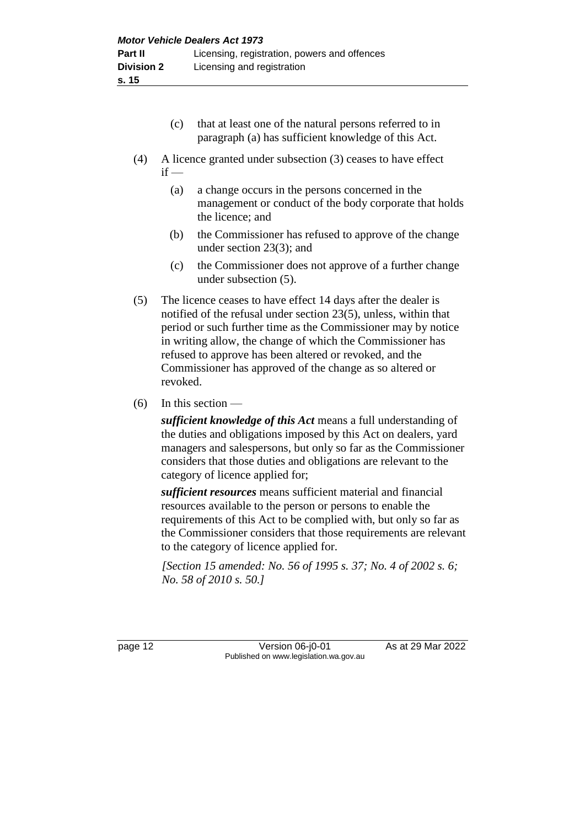- (c) that at least one of the natural persons referred to in paragraph (a) has sufficient knowledge of this Act.
- (4) A licence granted under subsection (3) ceases to have effect  $if -$ 
	- (a) a change occurs in the persons concerned in the management or conduct of the body corporate that holds the licence; and
	- (b) the Commissioner has refused to approve of the change under section 23(3); and
	- (c) the Commissioner does not approve of a further change under subsection (5).
- (5) The licence ceases to have effect 14 days after the dealer is notified of the refusal under section 23(5), unless, within that period or such further time as the Commissioner may by notice in writing allow, the change of which the Commissioner has refused to approve has been altered or revoked, and the Commissioner has approved of the change as so altered or revoked.
- $(6)$  In this section —

*sufficient knowledge of this Act* means a full understanding of the duties and obligations imposed by this Act on dealers, yard managers and salespersons, but only so far as the Commissioner considers that those duties and obligations are relevant to the category of licence applied for;

*sufficient resources* means sufficient material and financial resources available to the person or persons to enable the requirements of this Act to be complied with, but only so far as the Commissioner considers that those requirements are relevant to the category of licence applied for.

*[Section 15 amended: No. 56 of 1995 s. 37; No. 4 of 2002 s. 6; No. 58 of 2010 s. 50.]*

page 12 **Version 06-j0-01** As at 29 Mar 2022 Published on www.legislation.wa.gov.au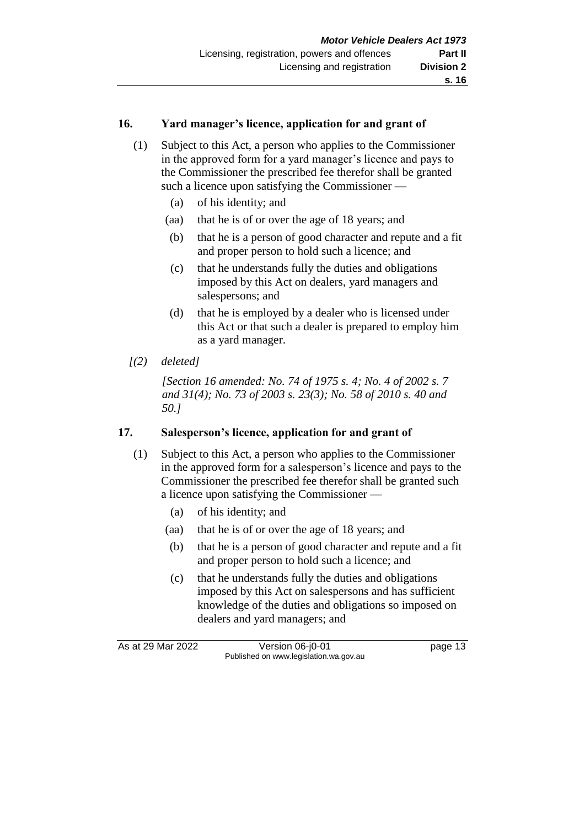#### **16. Yard manager's licence, application for and grant of**

- (1) Subject to this Act, a person who applies to the Commissioner in the approved form for a yard manager's licence and pays to the Commissioner the prescribed fee therefor shall be granted such a licence upon satisfying the Commissioner —
	- (a) of his identity; and
	- (aa) that he is of or over the age of 18 years; and
	- (b) that he is a person of good character and repute and a fit and proper person to hold such a licence; and
	- (c) that he understands fully the duties and obligations imposed by this Act on dealers, yard managers and salespersons; and
	- (d) that he is employed by a dealer who is licensed under this Act or that such a dealer is prepared to employ him as a yard manager.
- *[(2) deleted]*

*[Section 16 amended: No. 74 of 1975 s. 4; No. 4 of 2002 s. 7 and 31(4); No. 73 of 2003 s. 23(3); No. 58 of 2010 s. 40 and 50.]*

# **17. Salesperson's licence, application for and grant of**

- (1) Subject to this Act, a person who applies to the Commissioner in the approved form for a salesperson's licence and pays to the Commissioner the prescribed fee therefor shall be granted such a licence upon satisfying the Commissioner —
	- (a) of his identity; and
	- (aa) that he is of or over the age of 18 years; and
	- (b) that he is a person of good character and repute and a fit and proper person to hold such a licence; and
	- (c) that he understands fully the duties and obligations imposed by this Act on salespersons and has sufficient knowledge of the duties and obligations so imposed on dealers and yard managers; and

As at 29 Mar 2022 Version 06-j0-01 Quadrage 13 Published on www.legislation.wa.gov.au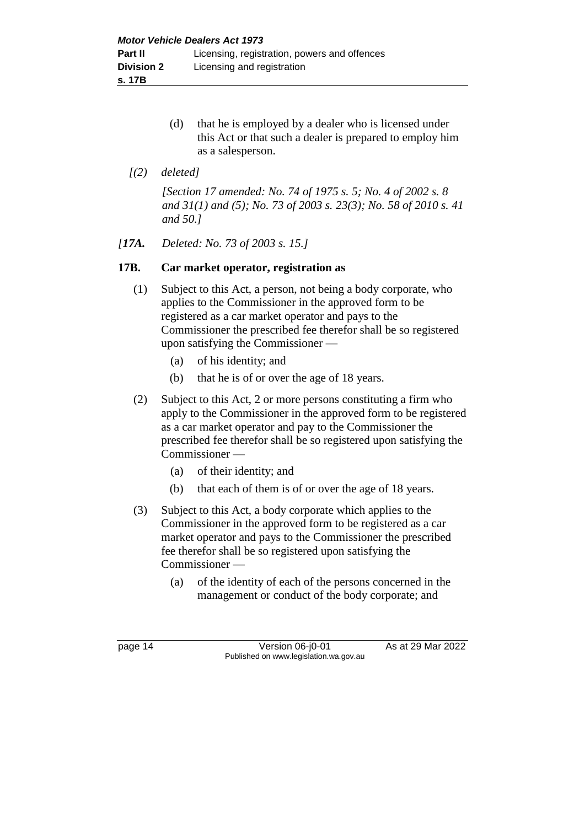- (d) that he is employed by a dealer who is licensed under this Act or that such a dealer is prepared to employ him as a salesperson.
- *[(2) deleted]*

*[Section 17 amended: No. 74 of 1975 s. 5; No. 4 of 2002 s. 8 and 31(1) and (5); No. 73 of 2003 s. 23(3); No. 58 of 2010 s. 41 and 50.]*

#### *[17A. Deleted: No. 73 of 2003 s. 15.]*

#### **17B. Car market operator, registration as**

- (1) Subject to this Act, a person, not being a body corporate, who applies to the Commissioner in the approved form to be registered as a car market operator and pays to the Commissioner the prescribed fee therefor shall be so registered upon satisfying the Commissioner —
	- (a) of his identity; and
	- (b) that he is of or over the age of 18 years.
- (2) Subject to this Act, 2 or more persons constituting a firm who apply to the Commissioner in the approved form to be registered as a car market operator and pay to the Commissioner the prescribed fee therefor shall be so registered upon satisfying the Commissioner —
	- (a) of their identity; and
	- (b) that each of them is of or over the age of 18 years.
- (3) Subject to this Act, a body corporate which applies to the Commissioner in the approved form to be registered as a car market operator and pays to the Commissioner the prescribed fee therefor shall be so registered upon satisfying the Commissioner —
	- (a) of the identity of each of the persons concerned in the management or conduct of the body corporate; and

page 14 **Version 06-j0-01** As at 29 Mar 2022 Published on www.legislation.wa.gov.au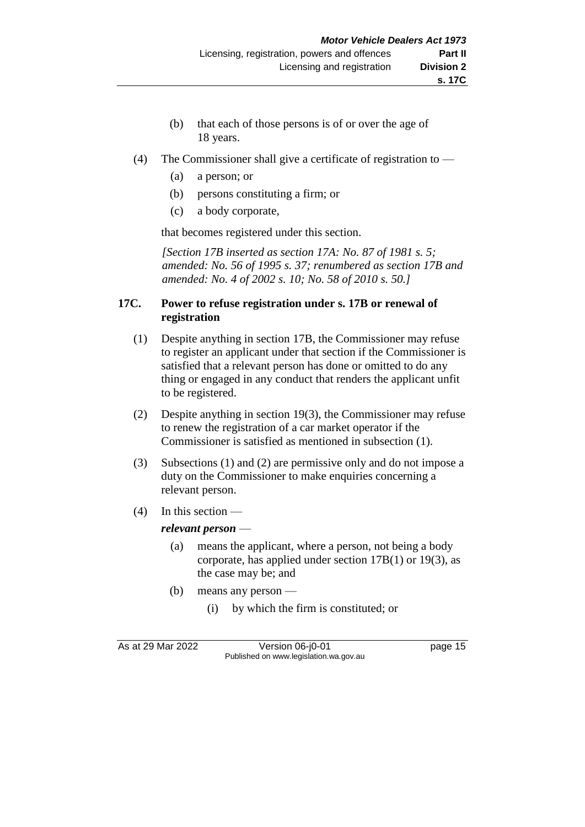- (b) that each of those persons is of or over the age of 18 years.
- (4) The Commissioner shall give a certificate of registration to
	- (a) a person; or
	- (b) persons constituting a firm; or
	- (c) a body corporate,

that becomes registered under this section.

*[Section 17B inserted as section 17A: No. 87 of 1981 s. 5; amended: No. 56 of 1995 s. 37; renumbered as section 17B and amended: No. 4 of 2002 s. 10; No. 58 of 2010 s. 50.]*

### **17C. Power to refuse registration under s. 17B or renewal of registration**

- (1) Despite anything in section 17B, the Commissioner may refuse to register an applicant under that section if the Commissioner is satisfied that a relevant person has done or omitted to do any thing or engaged in any conduct that renders the applicant unfit to be registered.
- (2) Despite anything in section 19(3), the Commissioner may refuse to renew the registration of a car market operator if the Commissioner is satisfied as mentioned in subsection (1).
- (3) Subsections (1) and (2) are permissive only and do not impose a duty on the Commissioner to make enquiries concerning a relevant person.
- (4) In this section —

#### *relevant person* —

- (a) means the applicant, where a person, not being a body corporate, has applied under section 17B(1) or 19(3), as the case may be; and
- (b) means any person
	- (i) by which the firm is constituted; or

As at 29 Mar 2022 Version 06-j0-01 page 15 Published on www.legislation.wa.gov.au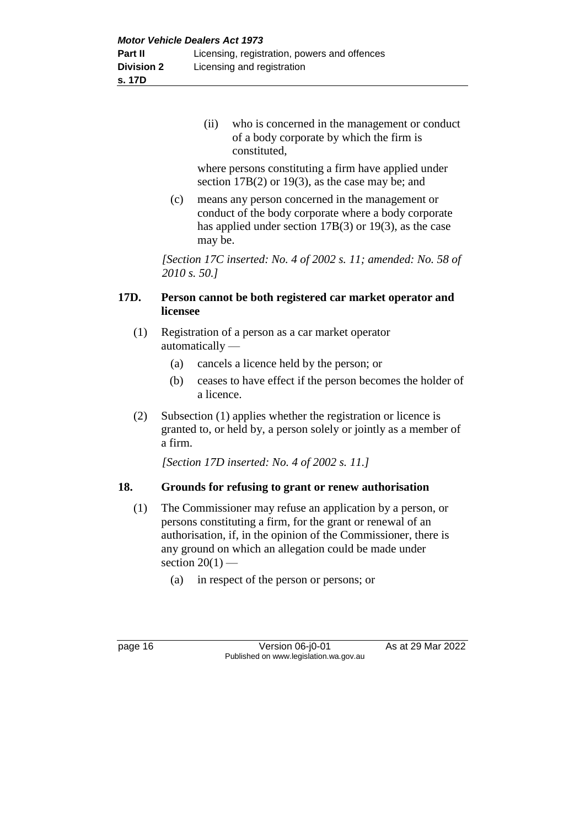(ii) who is concerned in the management or conduct of a body corporate by which the firm is constituted,

where persons constituting a firm have applied under section 17B(2) or 19(3), as the case may be; and

(c) means any person concerned in the management or conduct of the body corporate where a body corporate has applied under section 17B(3) or 19(3), as the case may be.

*[Section 17C inserted: No. 4 of 2002 s. 11; amended: No. 58 of 2010 s. 50.]*

# **17D. Person cannot be both registered car market operator and licensee**

- (1) Registration of a person as a car market operator automatically —
	- (a) cancels a licence held by the person; or
	- (b) ceases to have effect if the person becomes the holder of a licence.
- (2) Subsection (1) applies whether the registration or licence is granted to, or held by, a person solely or jointly as a member of a firm.

*[Section 17D inserted: No. 4 of 2002 s. 11.]*

# **18. Grounds for refusing to grant or renew authorisation**

- (1) The Commissioner may refuse an application by a person, or persons constituting a firm, for the grant or renewal of an authorisation, if, in the opinion of the Commissioner, there is any ground on which an allegation could be made under section  $20(1)$  —
	- (a) in respect of the person or persons; or

page 16 Version 06-j0-01 As at 29 Mar 2022 Published on www.legislation.wa.gov.au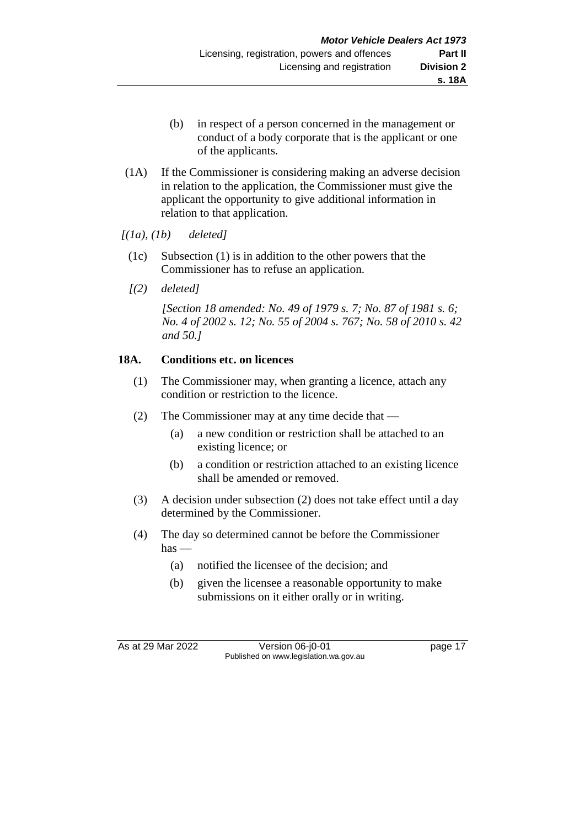- (b) in respect of a person concerned in the management or conduct of a body corporate that is the applicant or one of the applicants.
- (1A) If the Commissioner is considering making an adverse decision in relation to the application, the Commissioner must give the applicant the opportunity to give additional information in relation to that application.

*[(1a), (1b) deleted]*

- (1c) Subsection (1) is in addition to the other powers that the Commissioner has to refuse an application.
- *[(2) deleted]*

*[Section 18 amended: No. 49 of 1979 s. 7; No. 87 of 1981 s. 6; No. 4 of 2002 s. 12; No. 55 of 2004 s. 767; No. 58 of 2010 s. 42 and 50.]*

# **18A. Conditions etc. on licences**

- (1) The Commissioner may, when granting a licence, attach any condition or restriction to the licence.
- (2) The Commissioner may at any time decide that
	- (a) a new condition or restriction shall be attached to an existing licence; or
	- (b) a condition or restriction attached to an existing licence shall be amended or removed.
- (3) A decision under subsection (2) does not take effect until a day determined by the Commissioner.
- (4) The day so determined cannot be before the Commissioner  $has$  —
	- (a) notified the licensee of the decision; and
	- (b) given the licensee a reasonable opportunity to make submissions on it either orally or in writing.

As at 29 Mar 2022 Version 06-j0-01 Quadrage 17 Published on www.legislation.wa.gov.au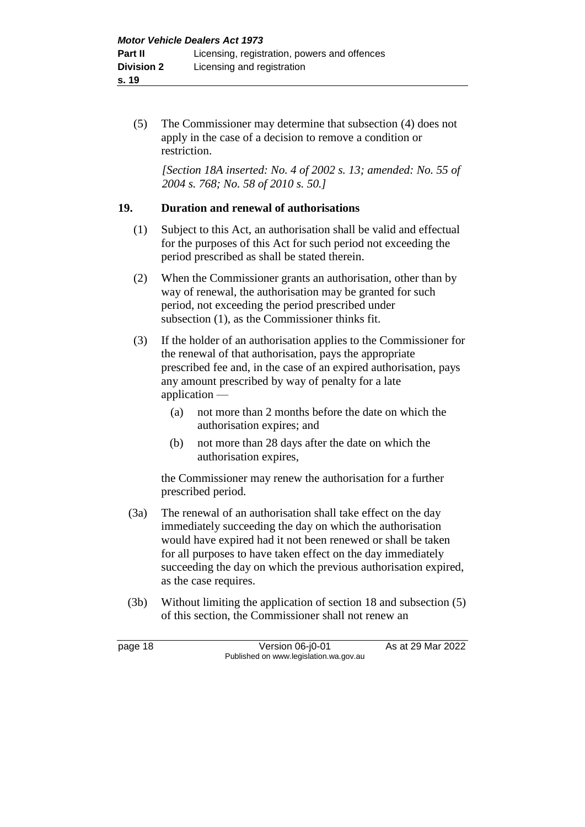(5) The Commissioner may determine that subsection (4) does not apply in the case of a decision to remove a condition or restriction.

*[Section 18A inserted: No. 4 of 2002 s. 13; amended: No. 55 of 2004 s. 768; No. 58 of 2010 s. 50.]*

#### **19. Duration and renewal of authorisations**

- (1) Subject to this Act, an authorisation shall be valid and effectual for the purposes of this Act for such period not exceeding the period prescribed as shall be stated therein.
- (2) When the Commissioner grants an authorisation, other than by way of renewal, the authorisation may be granted for such period, not exceeding the period prescribed under subsection (1), as the Commissioner thinks fit.
- (3) If the holder of an authorisation applies to the Commissioner for the renewal of that authorisation, pays the appropriate prescribed fee and, in the case of an expired authorisation, pays any amount prescribed by way of penalty for a late application —
	- (a) not more than 2 months before the date on which the authorisation expires; and
	- (b) not more than 28 days after the date on which the authorisation expires,

the Commissioner may renew the authorisation for a further prescribed period.

- (3a) The renewal of an authorisation shall take effect on the day immediately succeeding the day on which the authorisation would have expired had it not been renewed or shall be taken for all purposes to have taken effect on the day immediately succeeding the day on which the previous authorisation expired, as the case requires.
- (3b) Without limiting the application of section 18 and subsection (5) of this section, the Commissioner shall not renew an

page 18 **Version 06-j0-01** As at 29 Mar 2022 Published on www.legislation.wa.gov.au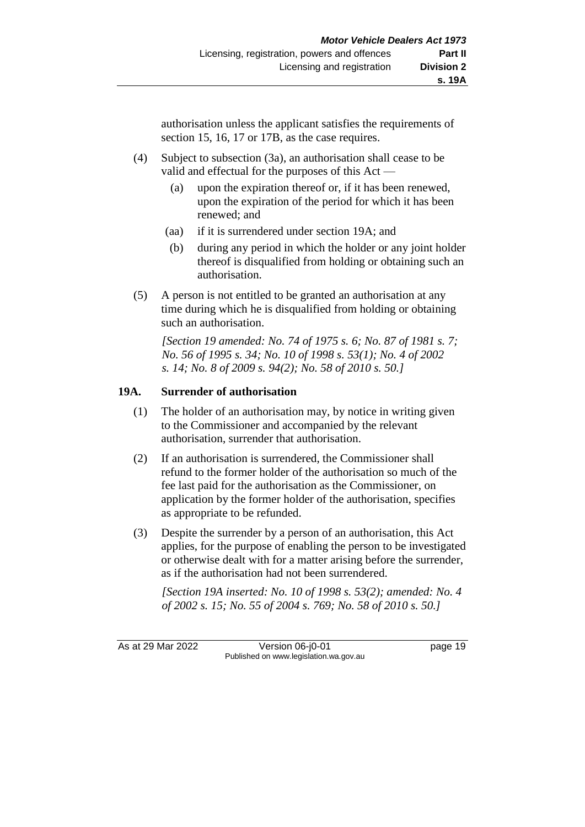authorisation unless the applicant satisfies the requirements of section 15, 16, 17 or 17B, as the case requires.

- (4) Subject to subsection (3a), an authorisation shall cease to be valid and effectual for the purposes of this Act —
	- (a) upon the expiration thereof or, if it has been renewed, upon the expiration of the period for which it has been renewed; and
	- (aa) if it is surrendered under section 19A; and
	- (b) during any period in which the holder or any joint holder thereof is disqualified from holding or obtaining such an authorisation.
- (5) A person is not entitled to be granted an authorisation at any time during which he is disqualified from holding or obtaining such an authorisation.

*[Section 19 amended: No. 74 of 1975 s. 6; No. 87 of 1981 s. 7; No. 56 of 1995 s. 34; No. 10 of 1998 s. 53(1); No. 4 of 2002 s. 14; No. 8 of 2009 s. 94(2); No. 58 of 2010 s. 50.]*

# **19A. Surrender of authorisation**

- (1) The holder of an authorisation may, by notice in writing given to the Commissioner and accompanied by the relevant authorisation, surrender that authorisation.
- (2) If an authorisation is surrendered, the Commissioner shall refund to the former holder of the authorisation so much of the fee last paid for the authorisation as the Commissioner, on application by the former holder of the authorisation, specifies as appropriate to be refunded.
- (3) Despite the surrender by a person of an authorisation, this Act applies, for the purpose of enabling the person to be investigated or otherwise dealt with for a matter arising before the surrender, as if the authorisation had not been surrendered.

*[Section 19A inserted: No. 10 of 1998 s. 53(2); amended: No. 4 of 2002 s. 15; No. 55 of 2004 s. 769; No. 58 of 2010 s. 50.]*

As at 29 Mar 2022 Version 06-j0-01 page 19 Published on www.legislation.wa.gov.au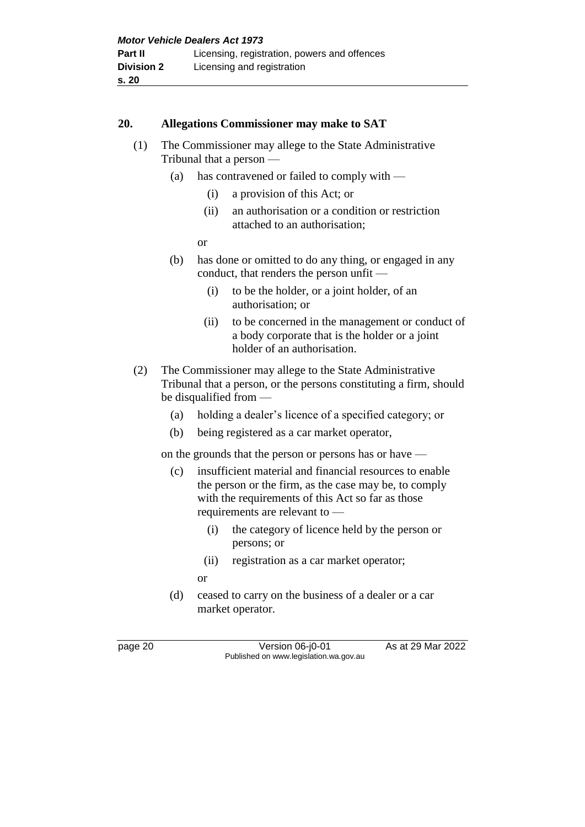#### **20. Allegations Commissioner may make to SAT**

- (1) The Commissioner may allege to the State Administrative Tribunal that a person —
	- (a) has contravened or failed to comply with
		- (i) a provision of this Act; or
		- (ii) an authorisation or a condition or restriction attached to an authorisation;

or

- (b) has done or omitted to do any thing, or engaged in any conduct, that renders the person unfit —
	- (i) to be the holder, or a joint holder, of an authorisation; or
	- (ii) to be concerned in the management or conduct of a body corporate that is the holder or a joint holder of an authorisation.
- (2) The Commissioner may allege to the State Administrative Tribunal that a person, or the persons constituting a firm, should be disqualified from —
	- (a) holding a dealer's licence of a specified category; or
	- (b) being registered as a car market operator,

on the grounds that the person or persons has or have —

- (c) insufficient material and financial resources to enable the person or the firm, as the case may be, to comply with the requirements of this Act so far as those requirements are relevant to —
	- (i) the category of licence held by the person or persons; or
	- (ii) registration as a car market operator;
	- or
- (d) ceased to carry on the business of a dealer or a car market operator.

page 20 **Version 06-j0-01** As at 29 Mar 2022 Published on www.legislation.wa.gov.au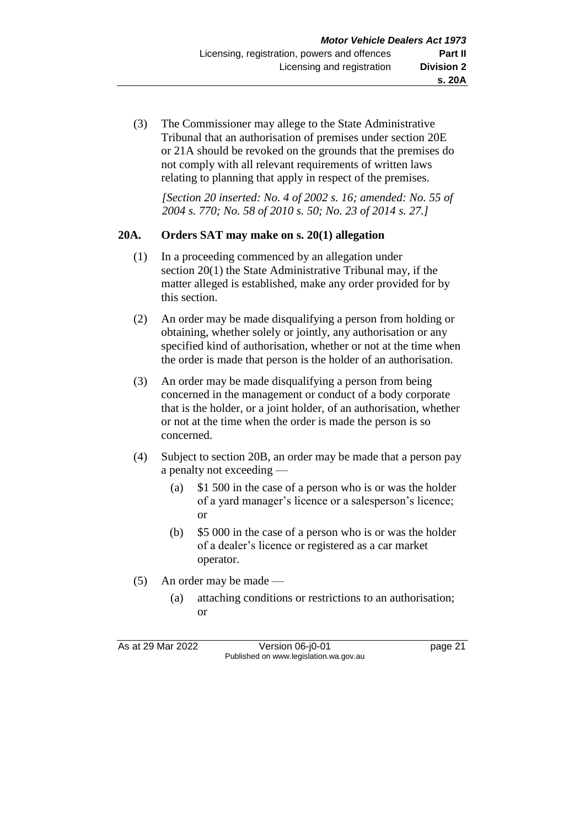(3) The Commissioner may allege to the State Administrative Tribunal that an authorisation of premises under section 20E or 21A should be revoked on the grounds that the premises do not comply with all relevant requirements of written laws relating to planning that apply in respect of the premises.

*[Section 20 inserted: No. 4 of 2002 s. 16; amended: No. 55 of 2004 s. 770; No. 58 of 2010 s. 50; No. 23 of 2014 s. 27.]*

#### **20A. Orders SAT may make on s. 20(1) allegation**

- (1) In a proceeding commenced by an allegation under section 20(1) the State Administrative Tribunal may, if the matter alleged is established, make any order provided for by this section.
- (2) An order may be made disqualifying a person from holding or obtaining, whether solely or jointly, any authorisation or any specified kind of authorisation, whether or not at the time when the order is made that person is the holder of an authorisation.
- (3) An order may be made disqualifying a person from being concerned in the management or conduct of a body corporate that is the holder, or a joint holder, of an authorisation, whether or not at the time when the order is made the person is so concerned.
- (4) Subject to section 20B, an order may be made that a person pay a penalty not exceeding —
	- (a) \$1 500 in the case of a person who is or was the holder of a yard manager's licence or a salesperson's licence; or
	- (b) \$5 000 in the case of a person who is or was the holder of a dealer's licence or registered as a car market operator.
- (5) An order may be made
	- (a) attaching conditions or restrictions to an authorisation; or

As at 29 Mar 2022 Version 06-j0-01 page 21 Published on www.legislation.wa.gov.au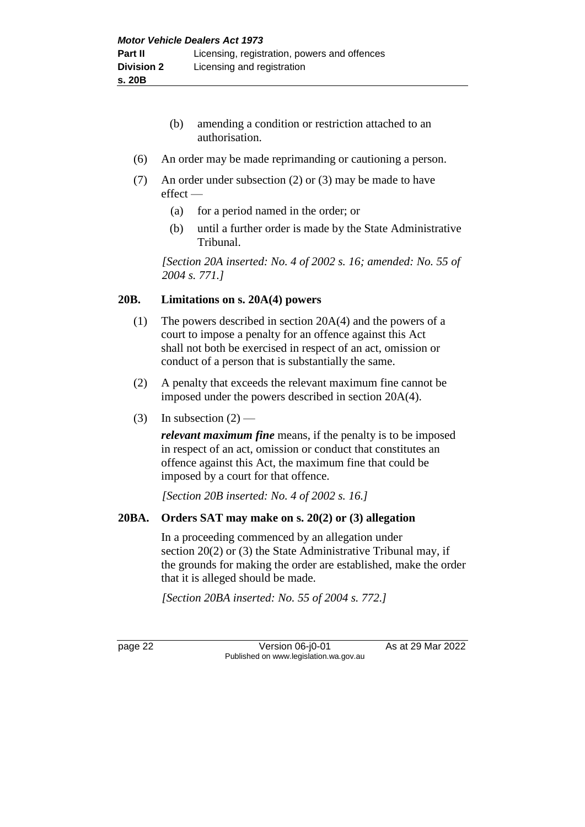- (b) amending a condition or restriction attached to an authorisation.
- (6) An order may be made reprimanding or cautioning a person.
- (7) An order under subsection (2) or (3) may be made to have effect —
	- (a) for a period named in the order; or
	- (b) until a further order is made by the State Administrative Tribunal.

*[Section 20A inserted: No. 4 of 2002 s. 16; amended: No. 55 of 2004 s. 771.]*

# **20B. Limitations on s. 20A(4) powers**

- (1) The powers described in section 20A(4) and the powers of a court to impose a penalty for an offence against this Act shall not both be exercised in respect of an act, omission or conduct of a person that is substantially the same.
- (2) A penalty that exceeds the relevant maximum fine cannot be imposed under the powers described in section 20A(4).
- (3) In subsection  $(2)$  —

*relevant maximum fine* means, if the penalty is to be imposed in respect of an act, omission or conduct that constitutes an offence against this Act, the maximum fine that could be imposed by a court for that offence.

*[Section 20B inserted: No. 4 of 2002 s. 16.]*

# **20BA. Orders SAT may make on s. 20(2) or (3) allegation**

In a proceeding commenced by an allegation under section 20(2) or (3) the State Administrative Tribunal may, if the grounds for making the order are established, make the order that it is alleged should be made.

*[Section 20BA inserted: No. 55 of 2004 s. 772.]*

page 22 Version 06-j0-01 As at 29 Mar 2022 Published on www.legislation.wa.gov.au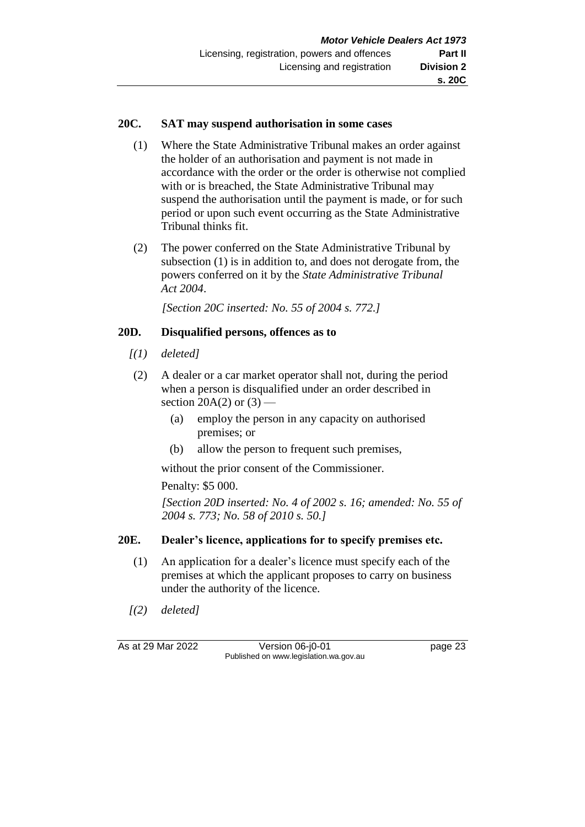#### **20C. SAT may suspend authorisation in some cases**

- (1) Where the State Administrative Tribunal makes an order against the holder of an authorisation and payment is not made in accordance with the order or the order is otherwise not complied with or is breached, the State Administrative Tribunal may suspend the authorisation until the payment is made, or for such period or upon such event occurring as the State Administrative Tribunal thinks fit.
- (2) The power conferred on the State Administrative Tribunal by subsection (1) is in addition to, and does not derogate from, the powers conferred on it by the *State Administrative Tribunal Act 2004*.

*[Section 20C inserted: No. 55 of 2004 s. 772.]*

# **20D. Disqualified persons, offences as to**

- *[(1) deleted]*
- (2) A dealer or a car market operator shall not, during the period when a person is disqualified under an order described in section 20A(2) or  $(3)$  —
	- (a) employ the person in any capacity on authorised premises; or
	- (b) allow the person to frequent such premises,

without the prior consent of the Commissioner.

Penalty: \$5 000.

*[Section 20D inserted: No. 4 of 2002 s. 16; amended: No. 55 of 2004 s. 773; No. 58 of 2010 s. 50.]*

# **20E. Dealer's licence, applications for to specify premises etc.**

- (1) An application for a dealer's licence must specify each of the premises at which the applicant proposes to carry on business under the authority of the licence.
- *[(2) deleted]*

As at 29 Mar 2022 Version 06-j0-01 page 23 Published on www.legislation.wa.gov.au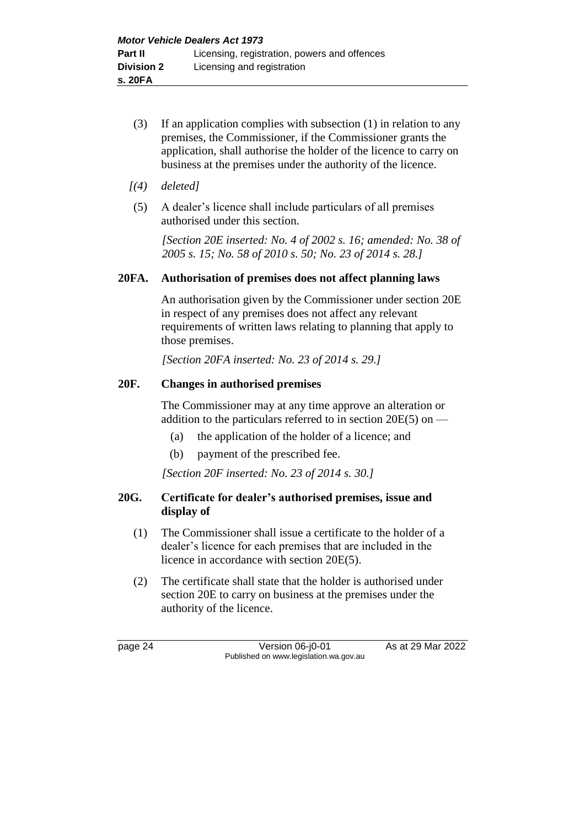- (3) If an application complies with subsection (1) in relation to any premises, the Commissioner, if the Commissioner grants the application, shall authorise the holder of the licence to carry on business at the premises under the authority of the licence.
- *[(4) deleted]*
- (5) A dealer's licence shall include particulars of all premises authorised under this section.

*[Section 20E inserted: No. 4 of 2002 s. 16; amended: No. 38 of 2005 s. 15; No. 58 of 2010 s. 50; No. 23 of 2014 s. 28.]*

#### **20FA. Authorisation of premises does not affect planning laws**

An authorisation given by the Commissioner under section 20E in respect of any premises does not affect any relevant requirements of written laws relating to planning that apply to those premises.

*[Section 20FA inserted: No. 23 of 2014 s. 29.]*

### **20F. Changes in authorised premises**

The Commissioner may at any time approve an alteration or addition to the particulars referred to in section 20E(5) on —

- (a) the application of the holder of a licence; and
- (b) payment of the prescribed fee.

*[Section 20F inserted: No. 23 of 2014 s. 30.]*

# **20G. Certificate for dealer's authorised premises, issue and display of**

- (1) The Commissioner shall issue a certificate to the holder of a dealer's licence for each premises that are included in the licence in accordance with section 20E(5).
- (2) The certificate shall state that the holder is authorised under section 20E to carry on business at the premises under the authority of the licence.

page 24 Version 06-j0-01 As at 29 Mar 2022 Published on www.legislation.wa.gov.au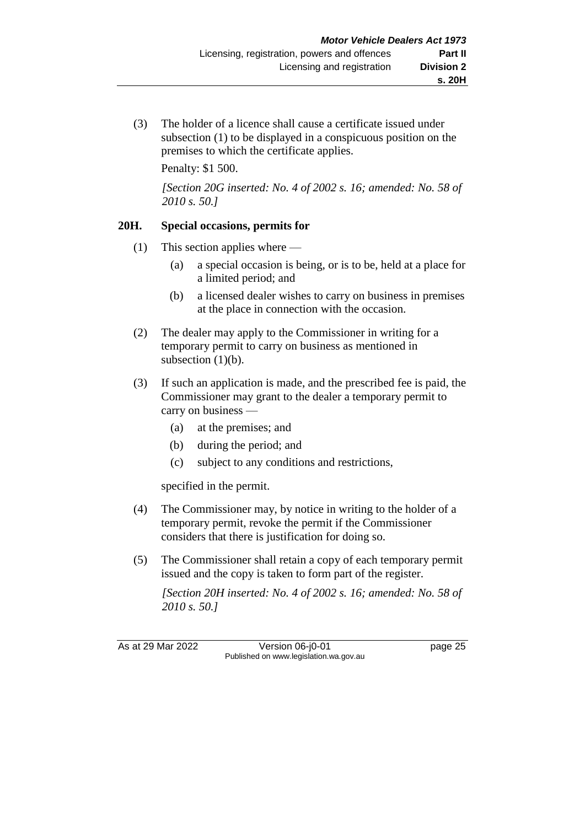(3) The holder of a licence shall cause a certificate issued under subsection (1) to be displayed in a conspicuous position on the premises to which the certificate applies.

Penalty: \$1 500.

*[Section 20G inserted: No. 4 of 2002 s. 16; amended: No. 58 of 2010 s. 50.]*

# **20H. Special occasions, permits for**

- (1) This section applies where
	- (a) a special occasion is being, or is to be, held at a place for a limited period; and
	- (b) a licensed dealer wishes to carry on business in premises at the place in connection with the occasion.
- (2) The dealer may apply to the Commissioner in writing for a temporary permit to carry on business as mentioned in subsection  $(1)(b)$ .
- (3) If such an application is made, and the prescribed fee is paid, the Commissioner may grant to the dealer a temporary permit to carry on business —
	- (a) at the premises; and
	- (b) during the period; and
	- (c) subject to any conditions and restrictions,

specified in the permit.

- (4) The Commissioner may, by notice in writing to the holder of a temporary permit, revoke the permit if the Commissioner considers that there is justification for doing so.
- (5) The Commissioner shall retain a copy of each temporary permit issued and the copy is taken to form part of the register.

*[Section 20H inserted: No. 4 of 2002 s. 16; amended: No. 58 of 2010 s. 50.]*

As at 29 Mar 2022 Version 06-j0-01 page 25 Published on www.legislation.wa.gov.au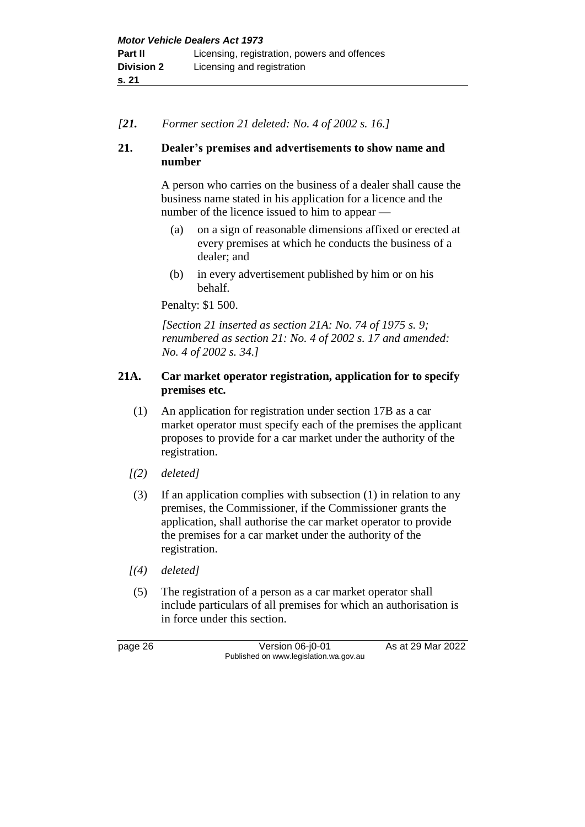*[21. Former section 21 deleted: No. 4 of 2002 s. 16.]*

# **21. Dealer's premises and advertisements to show name and number**

A person who carries on the business of a dealer shall cause the business name stated in his application for a licence and the number of the licence issued to him to appear —

- (a) on a sign of reasonable dimensions affixed or erected at every premises at which he conducts the business of a dealer; and
- (b) in every advertisement published by him or on his behalf.

Penalty: \$1 500.

*[Section 21 inserted as section 21A: No. 74 of 1975 s. 9; renumbered as section 21: No. 4 of 2002 s. 17 and amended: No. 4 of 2002 s. 34.]*

# **21A. Car market operator registration, application for to specify premises etc.**

- (1) An application for registration under section 17B as a car market operator must specify each of the premises the applicant proposes to provide for a car market under the authority of the registration.
- *[(2) deleted]*
- (3) If an application complies with subsection (1) in relation to any premises, the Commissioner, if the Commissioner grants the application, shall authorise the car market operator to provide the premises for a car market under the authority of the registration.
- *[(4) deleted]*
- (5) The registration of a person as a car market operator shall include particulars of all premises for which an authorisation is in force under this section.

page 26 Version 06-j0-01 As at 29 Mar 2022 Published on www.legislation.wa.gov.au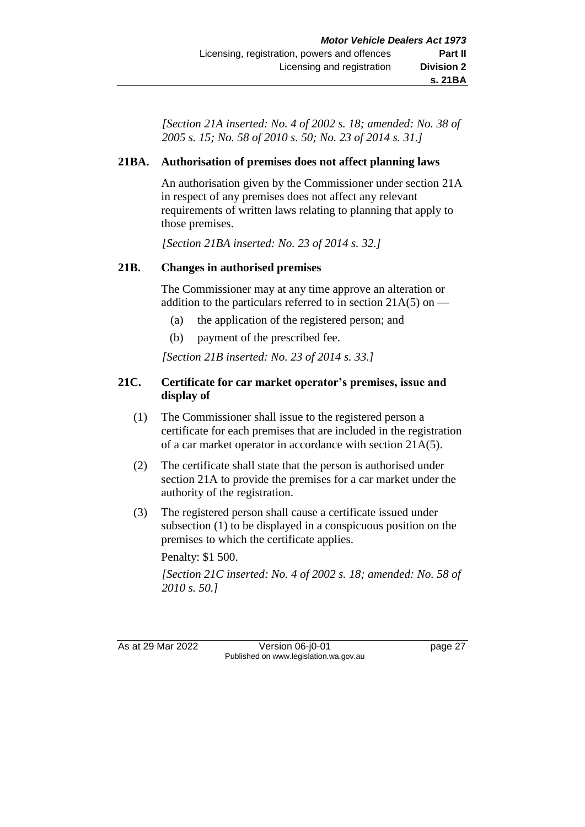*[Section 21A inserted: No. 4 of 2002 s. 18; amended: No. 38 of 2005 s. 15; No. 58 of 2010 s. 50; No. 23 of 2014 s. 31.]*

# **21BA. Authorisation of premises does not affect planning laws**

An authorisation given by the Commissioner under section 21A in respect of any premises does not affect any relevant requirements of written laws relating to planning that apply to those premises.

*[Section 21BA inserted: No. 23 of 2014 s. 32.]*

# **21B. Changes in authorised premises**

The Commissioner may at any time approve an alteration or addition to the particulars referred to in section  $21A(5)$  on —

- (a) the application of the registered person; and
- (b) payment of the prescribed fee.

*[Section 21B inserted: No. 23 of 2014 s. 33.]*

# **21C. Certificate for car market operator's premises, issue and display of**

- (1) The Commissioner shall issue to the registered person a certificate for each premises that are included in the registration of a car market operator in accordance with section 21A(5).
- (2) The certificate shall state that the person is authorised under section 21A to provide the premises for a car market under the authority of the registration.
- (3) The registered person shall cause a certificate issued under subsection (1) to be displayed in a conspicuous position on the premises to which the certificate applies.

Penalty: \$1 500.

*[Section 21C inserted: No. 4 of 2002 s. 18; amended: No. 58 of 2010 s. 50.]*

As at 29 Mar 2022 Version 06-j0-01 page 27 Published on www.legislation.wa.gov.au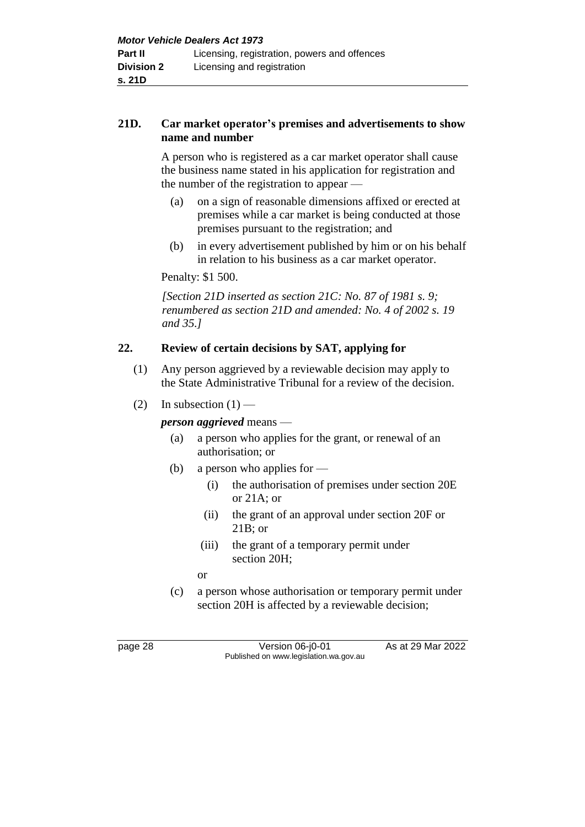### **21D. Car market operator's premises and advertisements to show name and number**

A person who is registered as a car market operator shall cause the business name stated in his application for registration and the number of the registration to appear —

- (a) on a sign of reasonable dimensions affixed or erected at premises while a car market is being conducted at those premises pursuant to the registration; and
- (b) in every advertisement published by him or on his behalf in relation to his business as a car market operator.

Penalty: \$1 500.

*[Section 21D inserted as section 21C: No. 87 of 1981 s. 9; renumbered as section 21D and amended: No. 4 of 2002 s. 19 and 35.]*

# **22. Review of certain decisions by SAT, applying for**

- (1) Any person aggrieved by a reviewable decision may apply to the State Administrative Tribunal for a review of the decision.
- (2) In subsection  $(1)$  —

*person aggrieved* means —

- (a) a person who applies for the grant, or renewal of an authorisation; or
- (b) a person who applies for
	- (i) the authorisation of premises under section 20E or 21A; or
	- (ii) the grant of an approval under section 20F or 21B; or
	- (iii) the grant of a temporary permit under section 20H;
	- or
- (c) a person whose authorisation or temporary permit under section 20H is affected by a reviewable decision;

page 28 Version 06-j0-01 As at 29 Mar 2022 Published on www.legislation.wa.gov.au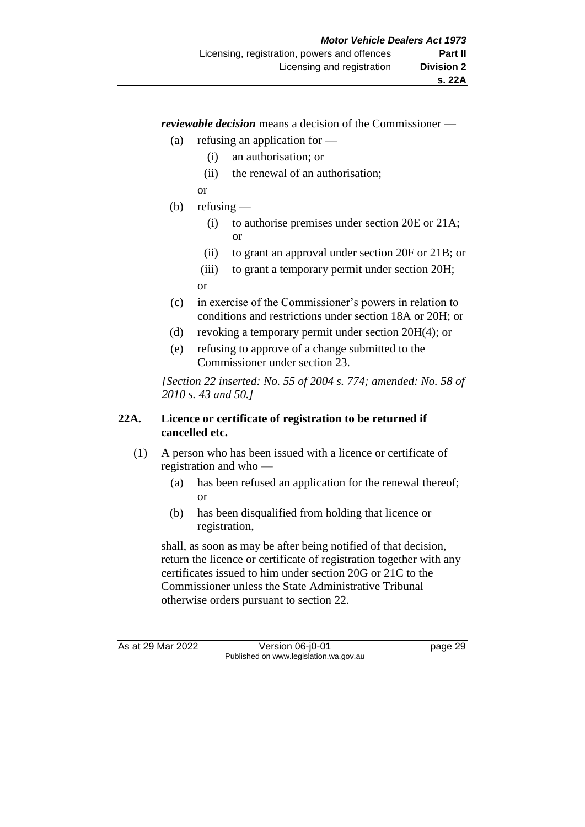*reviewable decision* means a decision of the Commissioner —

- (a) refusing an application for
	- (i) an authorisation; or
	- (ii) the renewal of an authorisation;
	- or
- (b) refusing  $-$ 
	- (i) to authorise premises under section 20E or 21A; or
	- (ii) to grant an approval under section 20F or 21B; or
	- (iii) to grant a temporary permit under section 20H; or
- (c) in exercise of the Commissioner's powers in relation to conditions and restrictions under section 18A or 20H; or
- (d) revoking a temporary permit under section 20H(4); or
- (e) refusing to approve of a change submitted to the Commissioner under section 23.

*[Section 22 inserted: No. 55 of 2004 s. 774; amended: No. 58 of 2010 s. 43 and 50.]*

# **22A. Licence or certificate of registration to be returned if cancelled etc.**

- (1) A person who has been issued with a licence or certificate of registration and who —
	- (a) has been refused an application for the renewal thereof; or
	- (b) has been disqualified from holding that licence or registration,

shall, as soon as may be after being notified of that decision, return the licence or certificate of registration together with any certificates issued to him under section 20G or 21C to the Commissioner unless the State Administrative Tribunal otherwise orders pursuant to section 22.

As at 29 Mar 2022 Version 06-j0-01 page 29 Published on www.legislation.wa.gov.au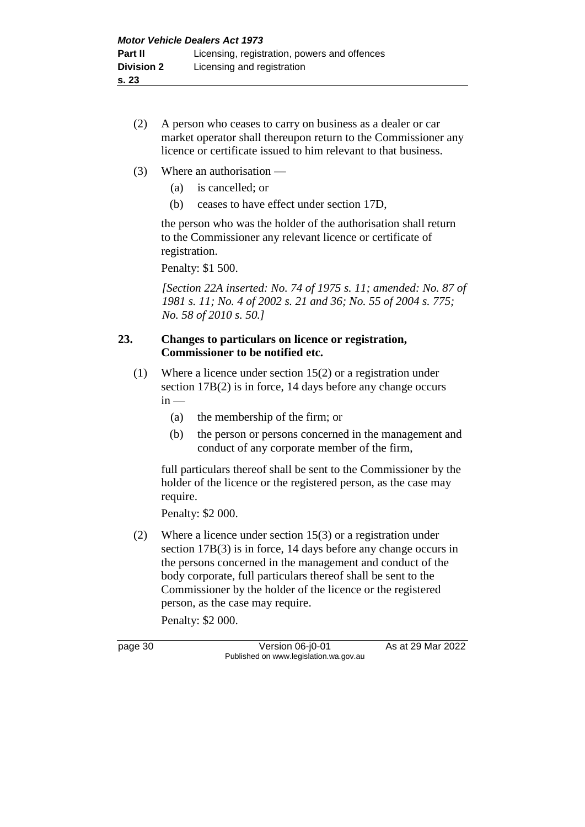- (2) A person who ceases to carry on business as a dealer or car market operator shall thereupon return to the Commissioner any licence or certificate issued to him relevant to that business.
- (3) Where an authorisation
	- (a) is cancelled; or
	- (b) ceases to have effect under section 17D,

the person who was the holder of the authorisation shall return to the Commissioner any relevant licence or certificate of registration.

Penalty: \$1 500.

*[Section 22A inserted: No. 74 of 1975 s. 11; amended: No. 87 of 1981 s. 11; No. 4 of 2002 s. 21 and 36; No. 55 of 2004 s. 775; No. 58 of 2010 s. 50.]*

#### **23. Changes to particulars on licence or registration, Commissioner to be notified etc.**

- (1) Where a licence under section 15(2) or a registration under section 17B(2) is in force, 14 days before any change occurs  $in -$ 
	- (a) the membership of the firm; or
	- (b) the person or persons concerned in the management and conduct of any corporate member of the firm,

full particulars thereof shall be sent to the Commissioner by the holder of the licence or the registered person, as the case may require.

Penalty: \$2 000.

(2) Where a licence under section 15(3) or a registration under section 17B(3) is in force, 14 days before any change occurs in the persons concerned in the management and conduct of the body corporate, full particulars thereof shall be sent to the Commissioner by the holder of the licence or the registered person, as the case may require.

Penalty: \$2 000.

page 30 **Version 06-j0-01** As at 29 Mar 2022 Published on www.legislation.wa.gov.au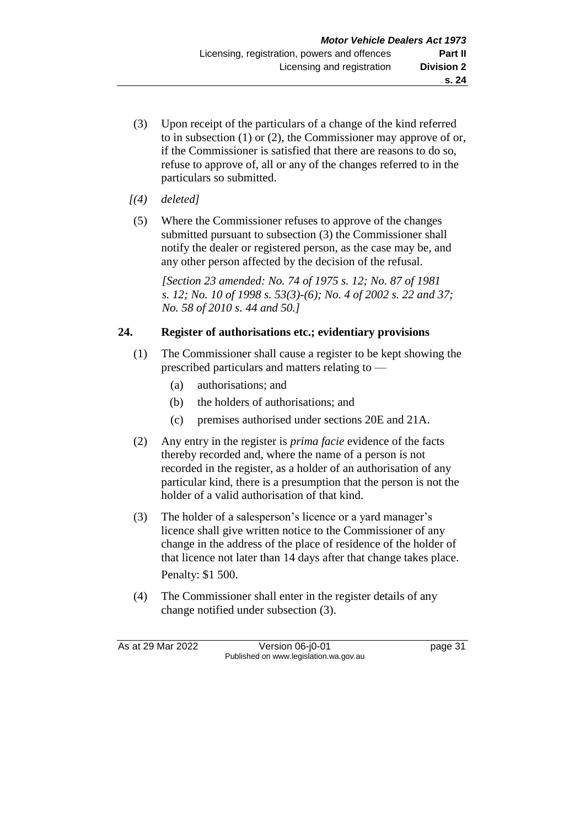- (3) Upon receipt of the particulars of a change of the kind referred to in subsection (1) or (2), the Commissioner may approve of or, if the Commissioner is satisfied that there are reasons to do so, refuse to approve of, all or any of the changes referred to in the particulars so submitted.
- *[(4) deleted]*
- (5) Where the Commissioner refuses to approve of the changes submitted pursuant to subsection (3) the Commissioner shall notify the dealer or registered person, as the case may be, and any other person affected by the decision of the refusal.

*[Section 23 amended: No. 74 of 1975 s. 12; No. 87 of 1981 s. 12; No. 10 of 1998 s. 53(3)-(6); No. 4 of 2002 s. 22 and 37; No. 58 of 2010 s. 44 and 50.]*

# **24. Register of authorisations etc.; evidentiary provisions**

- (1) The Commissioner shall cause a register to be kept showing the prescribed particulars and matters relating to —
	- (a) authorisations; and
	- (b) the holders of authorisations; and
	- (c) premises authorised under sections 20E and 21A.
- (2) Any entry in the register is *prima facie* evidence of the facts thereby recorded and, where the name of a person is not recorded in the register, as a holder of an authorisation of any particular kind, there is a presumption that the person is not the holder of a valid authorisation of that kind.
- (3) The holder of a salesperson's licence or a yard manager's licence shall give written notice to the Commissioner of any change in the address of the place of residence of the holder of that licence not later than 14 days after that change takes place. Penalty: \$1 500.
- (4) The Commissioner shall enter in the register details of any change notified under subsection (3).

As at 29 Mar 2022 Version 06-j0-01 page 31 Published on www.legislation.wa.gov.au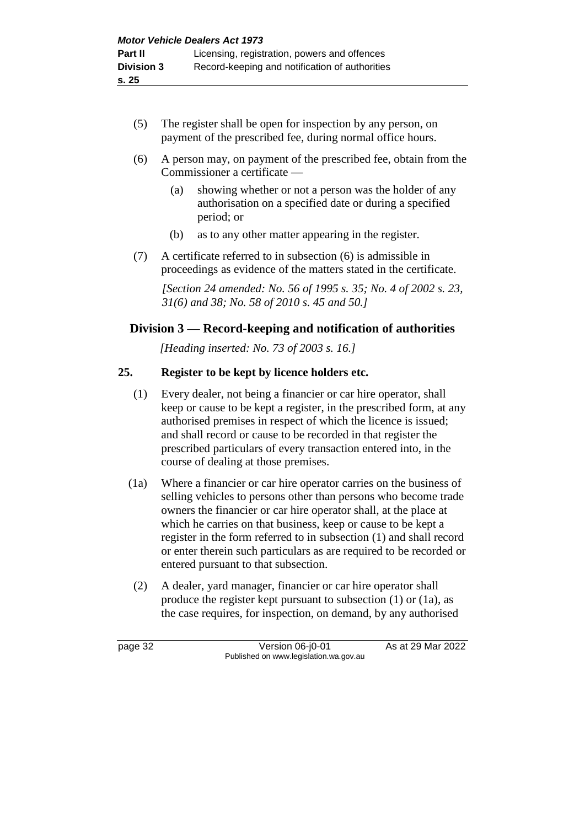- (5) The register shall be open for inspection by any person, on payment of the prescribed fee, during normal office hours.
- (6) A person may, on payment of the prescribed fee, obtain from the Commissioner a certificate —
	- (a) showing whether or not a person was the holder of any authorisation on a specified date or during a specified period; or
	- (b) as to any other matter appearing in the register.
- (7) A certificate referred to in subsection (6) is admissible in proceedings as evidence of the matters stated in the certificate.

*[Section 24 amended: No. 56 of 1995 s. 35; No. 4 of 2002 s. 23, 31(6) and 38; No. 58 of 2010 s. 45 and 50.]*

# **Division 3 — Record-keeping and notification of authorities**

*[Heading inserted: No. 73 of 2003 s. 16.]*

# **25. Register to be kept by licence holders etc.**

- (1) Every dealer, not being a financier or car hire operator, shall keep or cause to be kept a register, in the prescribed form, at any authorised premises in respect of which the licence is issued; and shall record or cause to be recorded in that register the prescribed particulars of every transaction entered into, in the course of dealing at those premises.
- (1a) Where a financier or car hire operator carries on the business of selling vehicles to persons other than persons who become trade owners the financier or car hire operator shall, at the place at which he carries on that business, keep or cause to be kept a register in the form referred to in subsection (1) and shall record or enter therein such particulars as are required to be recorded or entered pursuant to that subsection.
- (2) A dealer, yard manager, financier or car hire operator shall produce the register kept pursuant to subsection (1) or (1a), as the case requires, for inspection, on demand, by any authorised

page 32 Version 06-j0-01 As at 29 Mar 2022 Published on www.legislation.wa.gov.au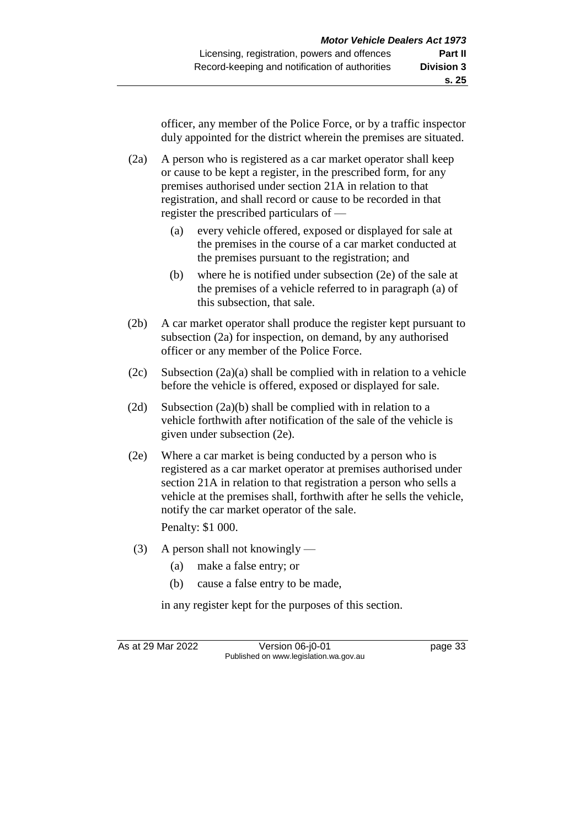officer, any member of the Police Force, or by a traffic inspector duly appointed for the district wherein the premises are situated.

(2a) A person who is registered as a car market operator shall keep or cause to be kept a register, in the prescribed form, for any premises authorised under section 21A in relation to that registration, and shall record or cause to be recorded in that register the prescribed particulars of —

- (a) every vehicle offered, exposed or displayed for sale at the premises in the course of a car market conducted at the premises pursuant to the registration; and
- (b) where he is notified under subsection (2e) of the sale at the premises of a vehicle referred to in paragraph (a) of this subsection, that sale.
- (2b) A car market operator shall produce the register kept pursuant to subsection (2a) for inspection, on demand, by any authorised officer or any member of the Police Force.
- (2c) Subsection (2a)(a) shall be complied with in relation to a vehicle before the vehicle is offered, exposed or displayed for sale.
- (2d) Subsection (2a)(b) shall be complied with in relation to a vehicle forthwith after notification of the sale of the vehicle is given under subsection (2e).
- (2e) Where a car market is being conducted by a person who is registered as a car market operator at premises authorised under section 21A in relation to that registration a person who sells a vehicle at the premises shall, forthwith after he sells the vehicle, notify the car market operator of the sale. Penalty: \$1 000.
- (3) A person shall not knowingly
	- (a) make a false entry; or
	- (b) cause a false entry to be made,

in any register kept for the purposes of this section.

As at 29 Mar 2022 Version 06-j0-01 page 33 Published on www.legislation.wa.gov.au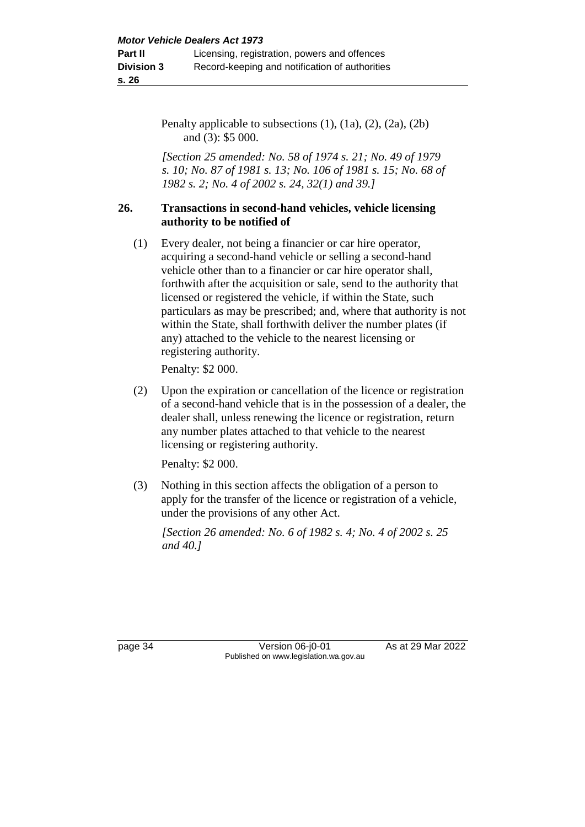Penalty applicable to subsections  $(1)$ ,  $(1a)$ ,  $(2)$ ,  $(2a)$ ,  $(2b)$ and (3): \$5 000.

*[Section 25 amended: No. 58 of 1974 s. 21; No. 49 of 1979 s. 10; No. 87 of 1981 s. 13; No. 106 of 1981 s. 15; No. 68 of 1982 s. 2; No. 4 of 2002 s. 24, 32(1) and 39.]*

#### **26. Transactions in second-hand vehicles, vehicle licensing authority to be notified of**

(1) Every dealer, not being a financier or car hire operator, acquiring a second-hand vehicle or selling a second-hand vehicle other than to a financier or car hire operator shall, forthwith after the acquisition or sale, send to the authority that licensed or registered the vehicle, if within the State, such particulars as may be prescribed; and, where that authority is not within the State, shall forthwith deliver the number plates (if any) attached to the vehicle to the nearest licensing or registering authority.

Penalty: \$2 000.

(2) Upon the expiration or cancellation of the licence or registration of a second-hand vehicle that is in the possession of a dealer, the dealer shall, unless renewing the licence or registration, return any number plates attached to that vehicle to the nearest licensing or registering authority.

Penalty: \$2 000.

(3) Nothing in this section affects the obligation of a person to apply for the transfer of the licence or registration of a vehicle, under the provisions of any other Act.

*[Section 26 amended: No. 6 of 1982 s. 4; No. 4 of 2002 s. 25 and 40.]*

page 34 Version 06-j0-01 As at 29 Mar 2022 Published on www.legislation.wa.gov.au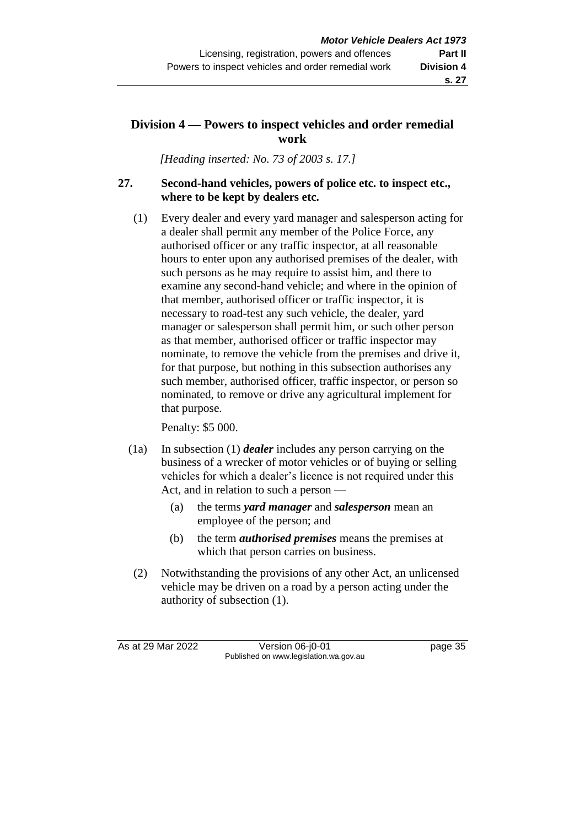# **s. 27**

# **Division 4 — Powers to inspect vehicles and order remedial work**

*[Heading inserted: No. 73 of 2003 s. 17.]*

# **27. Second-hand vehicles, powers of police etc. to inspect etc., where to be kept by dealers etc.**

(1) Every dealer and every yard manager and salesperson acting for a dealer shall permit any member of the Police Force, any authorised officer or any traffic inspector, at all reasonable hours to enter upon any authorised premises of the dealer, with such persons as he may require to assist him, and there to examine any second-hand vehicle; and where in the opinion of that member, authorised officer or traffic inspector, it is necessary to road-test any such vehicle, the dealer, yard manager or salesperson shall permit him, or such other person as that member, authorised officer or traffic inspector may nominate, to remove the vehicle from the premises and drive it, for that purpose, but nothing in this subsection authorises any such member, authorised officer, traffic inspector, or person so nominated, to remove or drive any agricultural implement for that purpose.

Penalty: \$5 000.

- (1a) In subsection (1) *dealer* includes any person carrying on the business of a wrecker of motor vehicles or of buying or selling vehicles for which a dealer's licence is not required under this Act, and in relation to such a person —
	- (a) the terms *yard manager* and *salesperson* mean an employee of the person; and
	- (b) the term *authorised premises* means the premises at which that person carries on business.
- (2) Notwithstanding the provisions of any other Act, an unlicensed vehicle may be driven on a road by a person acting under the authority of subsection (1).

As at 29 Mar 2022 Version 06-j0-01 page 35 Published on www.legislation.wa.gov.au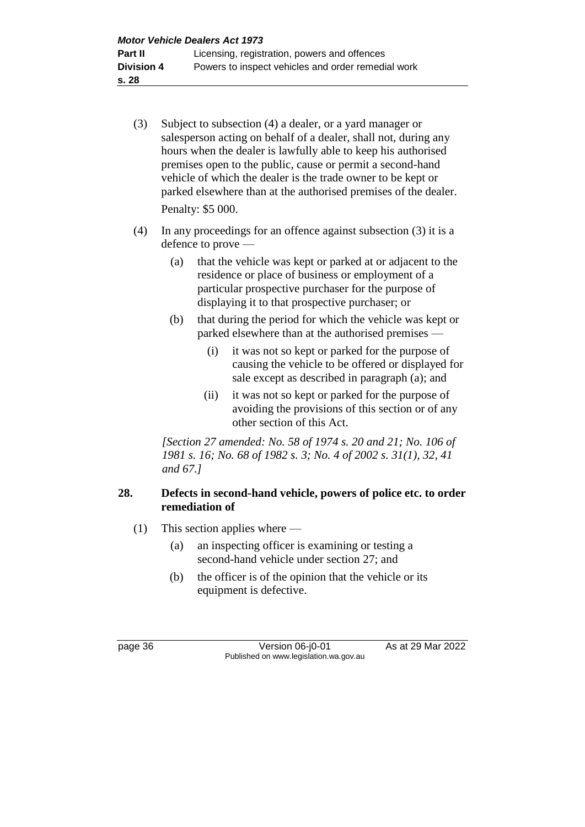- (3) Subject to subsection (4) a dealer, or a yard manager or salesperson acting on behalf of a dealer, shall not, during any hours when the dealer is lawfully able to keep his authorised premises open to the public, cause or permit a second-hand vehicle of which the dealer is the trade owner to be kept or parked elsewhere than at the authorised premises of the dealer. Penalty: \$5 000.
- (4) In any proceedings for an offence against subsection (3) it is a defence to prove —
	- (a) that the vehicle was kept or parked at or adjacent to the residence or place of business or employment of a particular prospective purchaser for the purpose of displaying it to that prospective purchaser; or
	- (b) that during the period for which the vehicle was kept or parked elsewhere than at the authorised premises —
		- (i) it was not so kept or parked for the purpose of causing the vehicle to be offered or displayed for sale except as described in paragraph (a); and
		- (ii) it was not so kept or parked for the purpose of avoiding the provisions of this section or of any other section of this Act.

*[Section 27 amended: No. 58 of 1974 s. 20 and 21; No. 106 of 1981 s. 16; No. 68 of 1982 s. 3; No. 4 of 2002 s. 31(1), 32, 41 and 67.]*

# **28. Defects in second-hand vehicle, powers of police etc. to order remediation of**

- (1) This section applies where
	- (a) an inspecting officer is examining or testing a second-hand vehicle under section 27; and
	- (b) the officer is of the opinion that the vehicle or its equipment is defective.

page 36 Version 06-j0-01 As at 29 Mar 2022 Published on www.legislation.wa.gov.au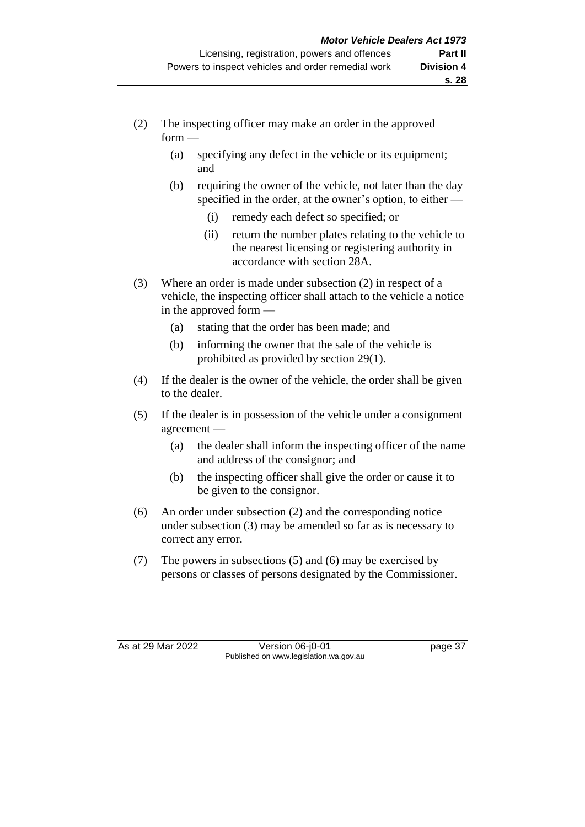- (2) The inspecting officer may make an order in the approved  $form -$ 
	- (a) specifying any defect in the vehicle or its equipment; and
	- (b) requiring the owner of the vehicle, not later than the day specified in the order, at the owner's option, to either —
		- (i) remedy each defect so specified; or
		- (ii) return the number plates relating to the vehicle to the nearest licensing or registering authority in accordance with section 28A.
- (3) Where an order is made under subsection (2) in respect of a vehicle, the inspecting officer shall attach to the vehicle a notice in the approved form —
	- (a) stating that the order has been made; and
	- (b) informing the owner that the sale of the vehicle is prohibited as provided by section 29(1).
- (4) If the dealer is the owner of the vehicle, the order shall be given to the dealer.
- (5) If the dealer is in possession of the vehicle under a consignment agreement —
	- (a) the dealer shall inform the inspecting officer of the name and address of the consignor; and
	- (b) the inspecting officer shall give the order or cause it to be given to the consignor.
- (6) An order under subsection (2) and the corresponding notice under subsection (3) may be amended so far as is necessary to correct any error.
- (7) The powers in subsections (5) and (6) may be exercised by persons or classes of persons designated by the Commissioner.

As at 29 Mar 2022 Version 06-j0-01 page 37 Published on www.legislation.wa.gov.au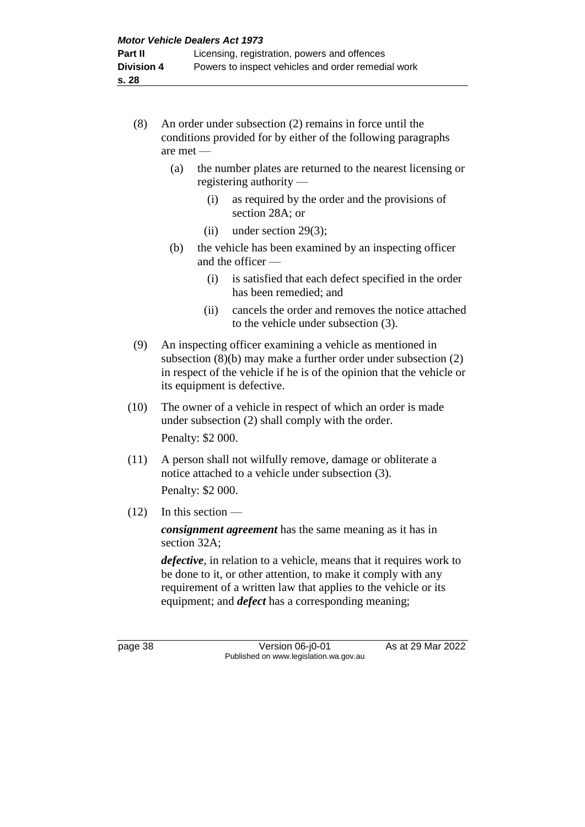- (8) An order under subsection (2) remains in force until the conditions provided for by either of the following paragraphs are met —
	- (a) the number plates are returned to the nearest licensing or registering authority —
		- (i) as required by the order and the provisions of section 28A; or
		- (ii) under section 29(3);
	- (b) the vehicle has been examined by an inspecting officer and the officer —
		- (i) is satisfied that each defect specified in the order has been remedied; and
		- (ii) cancels the order and removes the notice attached to the vehicle under subsection (3).
- (9) An inspecting officer examining a vehicle as mentioned in subsection (8)(b) may make a further order under subsection (2) in respect of the vehicle if he is of the opinion that the vehicle or its equipment is defective.
- (10) The owner of a vehicle in respect of which an order is made under subsection (2) shall comply with the order. Penalty: \$2 000.
- (11) A person shall not wilfully remove, damage or obliterate a notice attached to a vehicle under subsection (3). Penalty: \$2 000.
- $(12)$  In this section —

*consignment agreement* has the same meaning as it has in section 32A;

*defective*, in relation to a vehicle, means that it requires work to be done to it, or other attention, to make it comply with any requirement of a written law that applies to the vehicle or its equipment; and *defect* has a corresponding meaning;

page 38 Version 06-j0-01 As at 29 Mar 2022 Published on www.legislation.wa.gov.au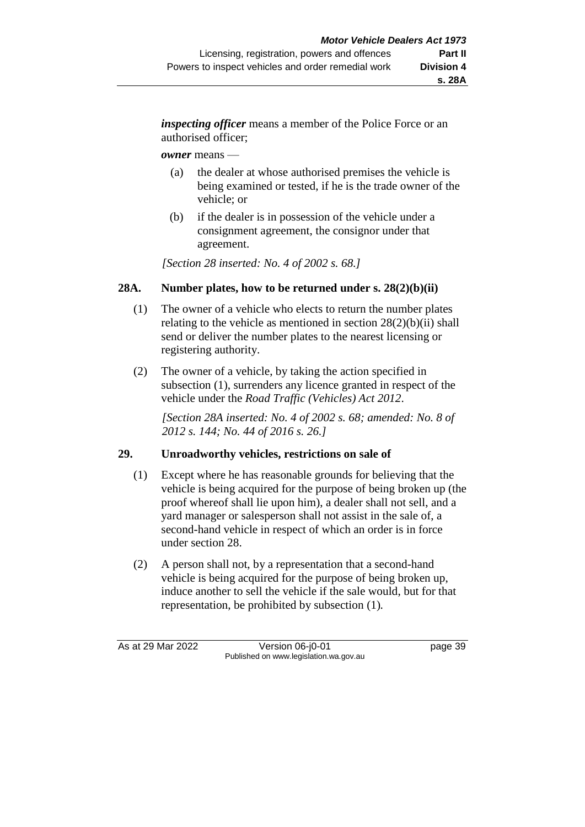*inspecting officer* means a member of the Police Force or an authorised officer;

#### *owner* means —

- (a) the dealer at whose authorised premises the vehicle is being examined or tested, if he is the trade owner of the vehicle; or
- (b) if the dealer is in possession of the vehicle under a consignment agreement, the consignor under that agreement.

*[Section 28 inserted: No. 4 of 2002 s. 68.]*

# **28A. Number plates, how to be returned under s. 28(2)(b)(ii)**

- (1) The owner of a vehicle who elects to return the number plates relating to the vehicle as mentioned in section 28(2)(b)(ii) shall send or deliver the number plates to the nearest licensing or registering authority.
- (2) The owner of a vehicle, by taking the action specified in subsection (1), surrenders any licence granted in respect of the vehicle under the *Road Traffic (Vehicles) Act 2012*.

*[Section 28A inserted: No. 4 of 2002 s. 68; amended: No. 8 of 2012 s. 144; No. 44 of 2016 s. 26.]*

# **29. Unroadworthy vehicles, restrictions on sale of**

- (1) Except where he has reasonable grounds for believing that the vehicle is being acquired for the purpose of being broken up (the proof whereof shall lie upon him), a dealer shall not sell, and a yard manager or salesperson shall not assist in the sale of, a second-hand vehicle in respect of which an order is in force under section 28.
- (2) A person shall not, by a representation that a second-hand vehicle is being acquired for the purpose of being broken up, induce another to sell the vehicle if the sale would, but for that representation, be prohibited by subsection (1)*.*

As at 29 Mar 2022 Version 06-j0-01 page 39 Published on www.legislation.wa.gov.au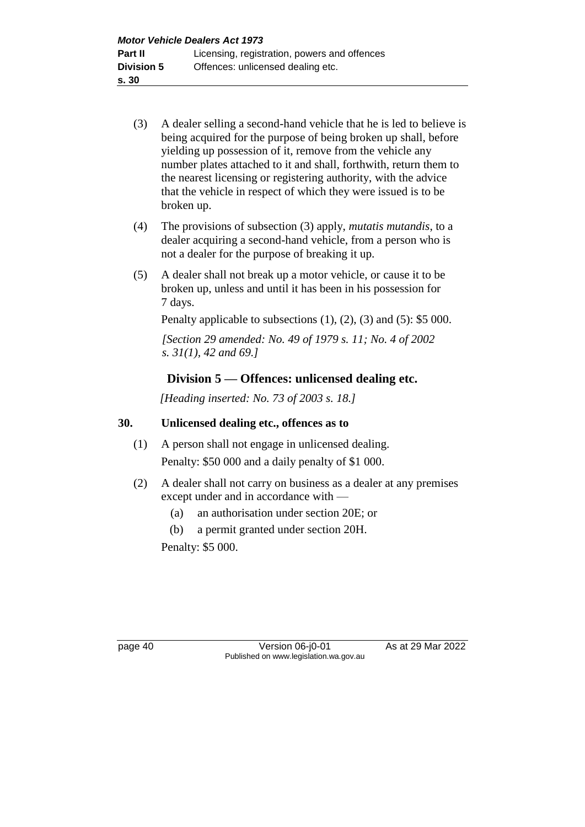- (3) A dealer selling a second-hand vehicle that he is led to believe is being acquired for the purpose of being broken up shall, before yielding up possession of it, remove from the vehicle any number plates attached to it and shall, forthwith, return them to the nearest licensing or registering authority, with the advice that the vehicle in respect of which they were issued is to be broken up.
- (4) The provisions of subsection (3) apply, *mutatis mutandis*, to a dealer acquiring a second-hand vehicle, from a person who is not a dealer for the purpose of breaking it up.
- (5) A dealer shall not break up a motor vehicle, or cause it to be broken up, unless and until it has been in his possession for 7 days.

Penalty applicable to subsections (1), (2), (3) and (5): \$5 000.

*[Section 29 amended: No. 49 of 1979 s. 11; No. 4 of 2002 s. 31(1), 42 and 69.]*

# **Division 5 — Offences: unlicensed dealing etc.**

*[Heading inserted: No. 73 of 2003 s. 18.]*

# **30. Unlicensed dealing etc., offences as to**

- (1) A person shall not engage in unlicensed dealing. Penalty: \$50 000 and a daily penalty of \$1 000.
- (2) A dealer shall not carry on business as a dealer at any premises except under and in accordance with —
	- (a) an authorisation under section 20E; or
	- (b) a permit granted under section 20H.

Penalty: \$5 000.

page 40 Version 06-j0-01 As at 29 Mar 2022 Published on www.legislation.wa.gov.au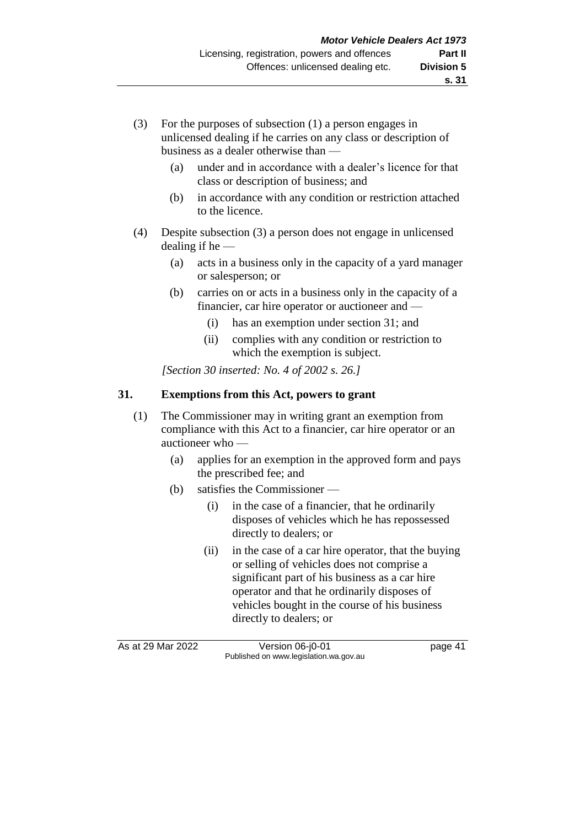- (a) under and in accordance with a dealer's licence for that class or description of business; and
- (b) in accordance with any condition or restriction attached to the licence.
- (4) Despite subsection (3) a person does not engage in unlicensed dealing if he $-$ 
	- (a) acts in a business only in the capacity of a yard manager or salesperson; or
	- (b) carries on or acts in a business only in the capacity of a financier, car hire operator or auctioneer and —
		- (i) has an exemption under section 31; and
		- (ii) complies with any condition or restriction to which the exemption is subject.

*[Section 30 inserted: No. 4 of 2002 s. 26.]*

# **31. Exemptions from this Act, powers to grant**

- (1) The Commissioner may in writing grant an exemption from compliance with this Act to a financier, car hire operator or an auctioneer who —
	- (a) applies for an exemption in the approved form and pays the prescribed fee; and
	- (b) satisfies the Commissioner
		- (i) in the case of a financier, that he ordinarily disposes of vehicles which he has repossessed directly to dealers; or
		- (ii) in the case of a car hire operator, that the buying or selling of vehicles does not comprise a significant part of his business as a car hire operator and that he ordinarily disposes of vehicles bought in the course of his business directly to dealers; or

As at 29 Mar 2022 Version 06-j0-01 page 41 Published on www.legislation.wa.gov.au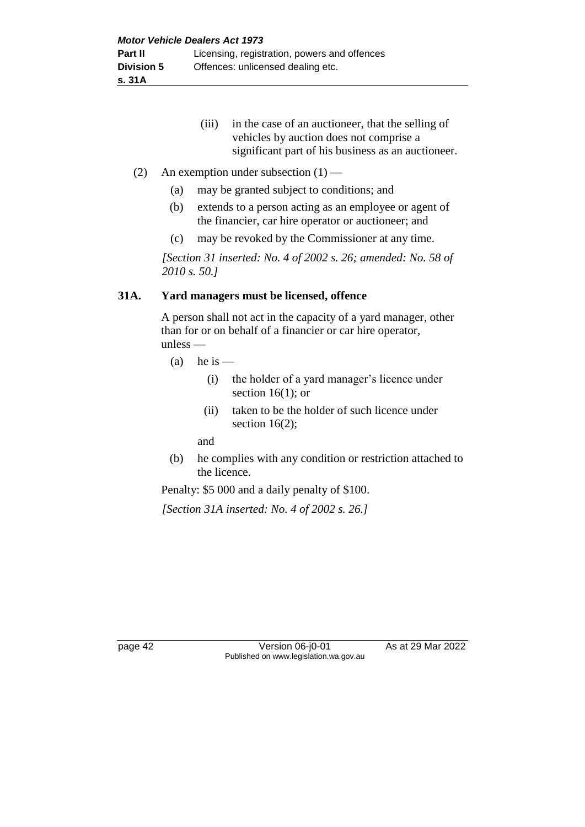(iii) in the case of an auctioneer, that the selling of vehicles by auction does not comprise a significant part of his business as an auctioneer.

#### (2) An exemption under subsection  $(1)$  —

- (a) may be granted subject to conditions; and
- (b) extends to a person acting as an employee or agent of the financier, car hire operator or auctioneer; and
- (c) may be revoked by the Commissioner at any time.

*[Section 31 inserted: No. 4 of 2002 s. 26; amended: No. 58 of 2010 s. 50.]*

#### **31A. Yard managers must be licensed, offence**

A person shall not act in the capacity of a yard manager, other than for or on behalf of a financier or car hire operator, unless —

- (a) he is  $-$ 
	- (i) the holder of a yard manager's licence under section  $16(1)$ ; or
	- (ii) taken to be the holder of such licence under section  $16(2)$ ;

and

(b) he complies with any condition or restriction attached to the licence.

Penalty: \$5 000 and a daily penalty of \$100.

*[Section 31A inserted: No. 4 of 2002 s. 26.]*

page 42 Version 06-j0-01 As at 29 Mar 2022 Published on www.legislation.wa.gov.au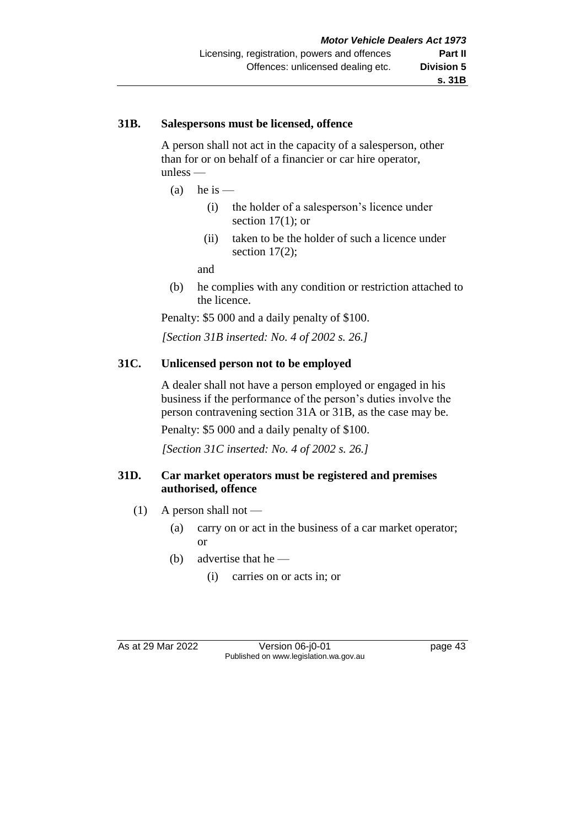#### **31B. Salespersons must be licensed, offence**

A person shall not act in the capacity of a salesperson, other than for or on behalf of a financier or car hire operator, unless —

- (a) he is  $-$ 
	- (i) the holder of a salesperson's licence under section  $17(1)$ ; or
	- (ii) taken to be the holder of such a licence under section  $17(2)$ ;

and

(b) he complies with any condition or restriction attached to the licence.

Penalty: \$5 000 and a daily penalty of \$100.

*[Section 31B inserted: No. 4 of 2002 s. 26.]*

#### **31C. Unlicensed person not to be employed**

A dealer shall not have a person employed or engaged in his business if the performance of the person's duties involve the person contravening section 31A or 31B, as the case may be.

Penalty: \$5 000 and a daily penalty of \$100.

*[Section 31C inserted: No. 4 of 2002 s. 26.]*

#### **31D. Car market operators must be registered and premises authorised, offence**

- $(1)$  A person shall not
	- (a) carry on or act in the business of a car market operator; or
	- (b) advertise that he
		- (i) carries on or acts in; or

As at 29 Mar 2022 Version 06-j0-01 Quadrage 43 Published on www.legislation.wa.gov.au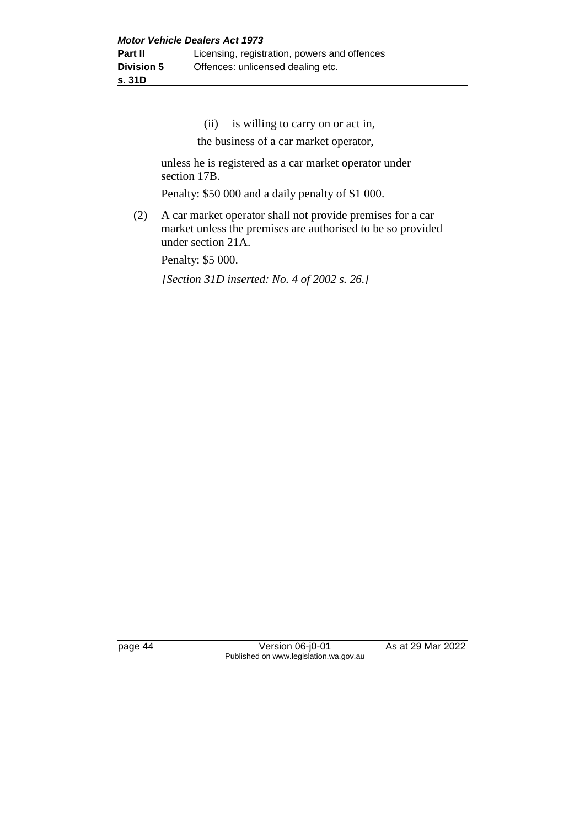(ii) is willing to carry on or act in,

the business of a car market operator,

unless he is registered as a car market operator under section 17B.

Penalty: \$50 000 and a daily penalty of \$1 000.

(2) A car market operator shall not provide premises for a car market unless the premises are authorised to be so provided under section 21A.

Penalty: \$5 000.

*[Section 31D inserted: No. 4 of 2002 s. 26.]*

page 44 Version 06-j0-01 As at 29 Mar 2022 Published on www.legislation.wa.gov.au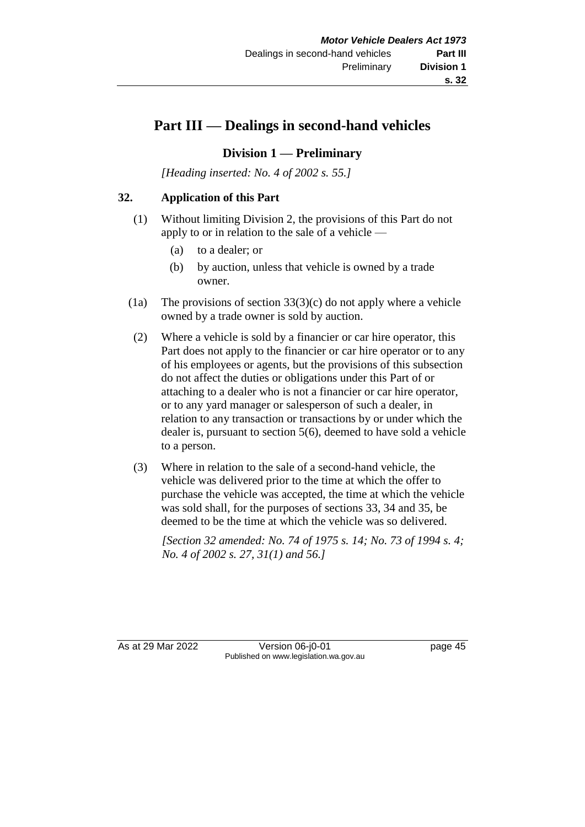# **Part III — Dealings in second-hand vehicles**

# **Division 1 — Preliminary**

*[Heading inserted: No. 4 of 2002 s. 55.]*

#### **32. Application of this Part**

- (1) Without limiting Division 2, the provisions of this Part do not apply to or in relation to the sale of a vehicle —
	- (a) to a dealer; or
	- (b) by auction, unless that vehicle is owned by a trade owner.
- (1a) The provisions of section  $33(3)(c)$  do not apply where a vehicle owned by a trade owner is sold by auction.
- (2) Where a vehicle is sold by a financier or car hire operator, this Part does not apply to the financier or car hire operator or to any of his employees or agents, but the provisions of this subsection do not affect the duties or obligations under this Part of or attaching to a dealer who is not a financier or car hire operator, or to any yard manager or salesperson of such a dealer, in relation to any transaction or transactions by or under which the dealer is, pursuant to section 5(6), deemed to have sold a vehicle to a person.
- (3) Where in relation to the sale of a second-hand vehicle, the vehicle was delivered prior to the time at which the offer to purchase the vehicle was accepted, the time at which the vehicle was sold shall, for the purposes of sections 33, 34 and 35, be deemed to be the time at which the vehicle was so delivered.

*[Section 32 amended: No. 74 of 1975 s. 14; No. 73 of 1994 s. 4; No. 4 of 2002 s. 27, 31(1) and 56.]*

As at 29 Mar 2022 Version 06-j0-01 page 45 Published on www.legislation.wa.gov.au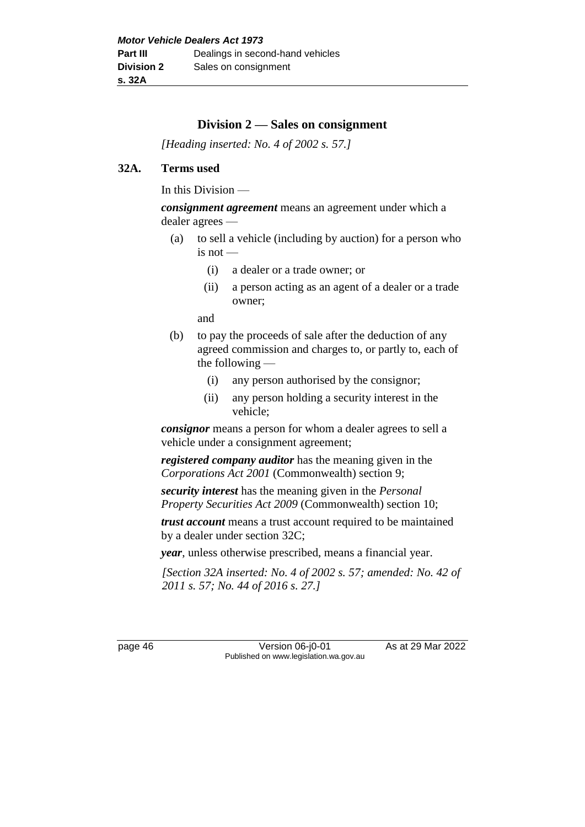# **Division 2 — Sales on consignment**

*[Heading inserted: No. 4 of 2002 s. 57.]*

#### **32A. Terms used**

In this Division —

*consignment agreement* means an agreement under which a dealer agrees —

- (a) to sell a vehicle (including by auction) for a person who is not —
	- (i) a dealer or a trade owner; or
	- (ii) a person acting as an agent of a dealer or a trade owner;

and

- (b) to pay the proceeds of sale after the deduction of any agreed commission and charges to, or partly to, each of the following —
	- (i) any person authorised by the consignor;
	- (ii) any person holding a security interest in the vehicle;

*consignor* means a person for whom a dealer agrees to sell a vehicle under a consignment agreement;

*registered company auditor* has the meaning given in the *Corporations Act 2001* (Commonwealth) section 9;

*security interest* has the meaning given in the *Personal Property Securities Act 2009* (Commonwealth) section 10;

*trust account* means a trust account required to be maintained by a dealer under section 32C;

*year*, unless otherwise prescribed, means a financial year.

*[Section 32A inserted: No. 4 of 2002 s. 57; amended: No. 42 of 2011 s. 57; No. 44 of 2016 s. 27.]*

page 46 Version 06-j0-01 As at 29 Mar 2022 Published on www.legislation.wa.gov.au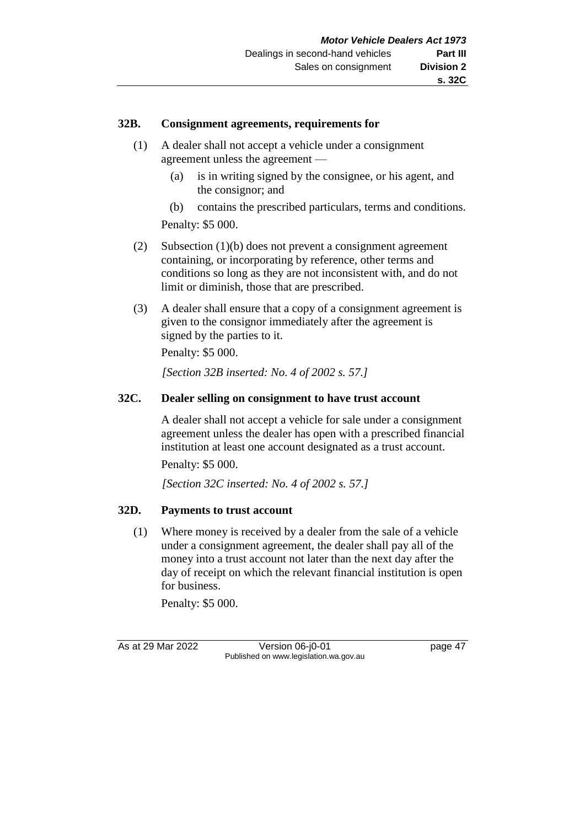#### **32B. Consignment agreements, requirements for**

- (1) A dealer shall not accept a vehicle under a consignment agreement unless the agreement —
	- (a) is in writing signed by the consignee, or his agent, and the consignor; and

(b) contains the prescribed particulars, terms and conditions. Penalty: \$5 000.

- (2) Subsection (1)(b) does not prevent a consignment agreement containing, or incorporating by reference, other terms and conditions so long as they are not inconsistent with, and do not limit or diminish, those that are prescribed.
- (3) A dealer shall ensure that a copy of a consignment agreement is given to the consignor immediately after the agreement is signed by the parties to it.

Penalty: \$5 000.

*[Section 32B inserted: No. 4 of 2002 s. 57.]*

# **32C. Dealer selling on consignment to have trust account**

A dealer shall not accept a vehicle for sale under a consignment agreement unless the dealer has open with a prescribed financial institution at least one account designated as a trust account.

Penalty: \$5 000.

*[Section 32C inserted: No. 4 of 2002 s. 57.]*

# **32D. Payments to trust account**

(1) Where money is received by a dealer from the sale of a vehicle under a consignment agreement, the dealer shall pay all of the money into a trust account not later than the next day after the day of receipt on which the relevant financial institution is open for business.

Penalty: \$5 000.

As at 29 Mar 2022 Version 06-j0-01 page 47 Published on www.legislation.wa.gov.au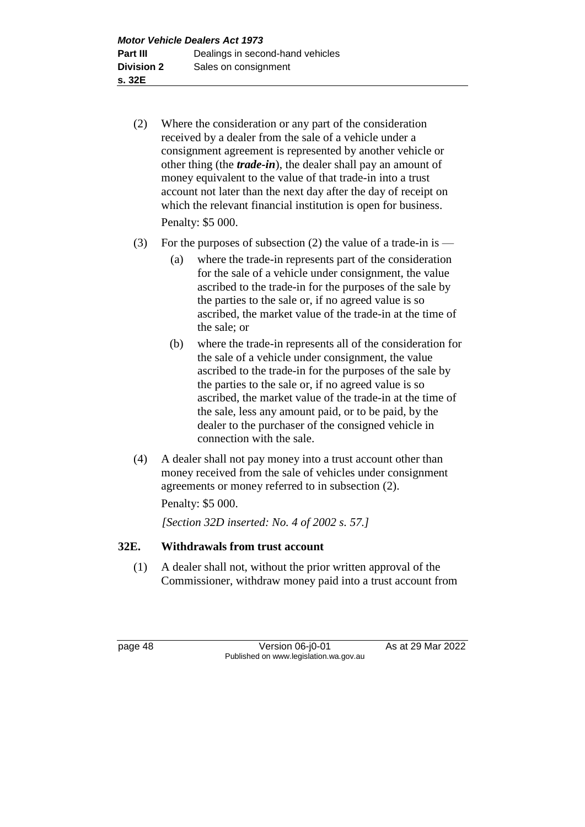- (2) Where the consideration or any part of the consideration received by a dealer from the sale of a vehicle under a consignment agreement is represented by another vehicle or other thing (the *trade-in*), the dealer shall pay an amount of money equivalent to the value of that trade-in into a trust account not later than the next day after the day of receipt on which the relevant financial institution is open for business. Penalty: \$5 000.
- (3) For the purposes of subsection (2) the value of a trade-in is
	- (a) where the trade-in represents part of the consideration for the sale of a vehicle under consignment, the value ascribed to the trade-in for the purposes of the sale by the parties to the sale or, if no agreed value is so ascribed, the market value of the trade-in at the time of the sale; or
	- (b) where the trade-in represents all of the consideration for the sale of a vehicle under consignment, the value ascribed to the trade-in for the purposes of the sale by the parties to the sale or, if no agreed value is so ascribed, the market value of the trade-in at the time of the sale, less any amount paid, or to be paid, by the dealer to the purchaser of the consigned vehicle in connection with the sale.
- (4) A dealer shall not pay money into a trust account other than money received from the sale of vehicles under consignment agreements or money referred to in subsection (2).

Penalty: \$5 000.

*[Section 32D inserted: No. 4 of 2002 s. 57.]*

# **32E. Withdrawals from trust account**

(1) A dealer shall not, without the prior written approval of the Commissioner, withdraw money paid into a trust account from

page 48 Version 06-j0-01 As at 29 Mar 2022 Published on www.legislation.wa.gov.au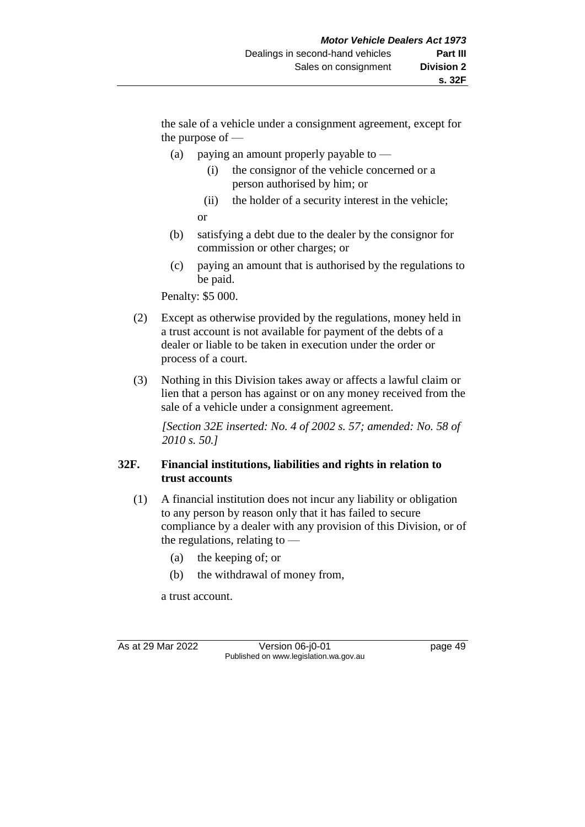the sale of a vehicle under a consignment agreement, except for the purpose of —

- (a) paying an amount properly payable to  $-$ 
	- (i) the consignor of the vehicle concerned or a person authorised by him; or
	- (ii) the holder of a security interest in the vehicle;

or

- (b) satisfying a debt due to the dealer by the consignor for commission or other charges; or
- (c) paying an amount that is authorised by the regulations to be paid.

Penalty: \$5 000.

- (2) Except as otherwise provided by the regulations, money held in a trust account is not available for payment of the debts of a dealer or liable to be taken in execution under the order or process of a court.
- (3) Nothing in this Division takes away or affects a lawful claim or lien that a person has against or on any money received from the sale of a vehicle under a consignment agreement.

*[Section 32E inserted: No. 4 of 2002 s. 57; amended: No. 58 of 2010 s. 50.]*

# **32F. Financial institutions, liabilities and rights in relation to trust accounts**

- (1) A financial institution does not incur any liability or obligation to any person by reason only that it has failed to secure compliance by a dealer with any provision of this Division, or of the regulations, relating to —
	- (a) the keeping of; or
	- (b) the withdrawal of money from,

a trust account.

As at 29 Mar 2022 Version 06-j0-01 page 49 Published on www.legislation.wa.gov.au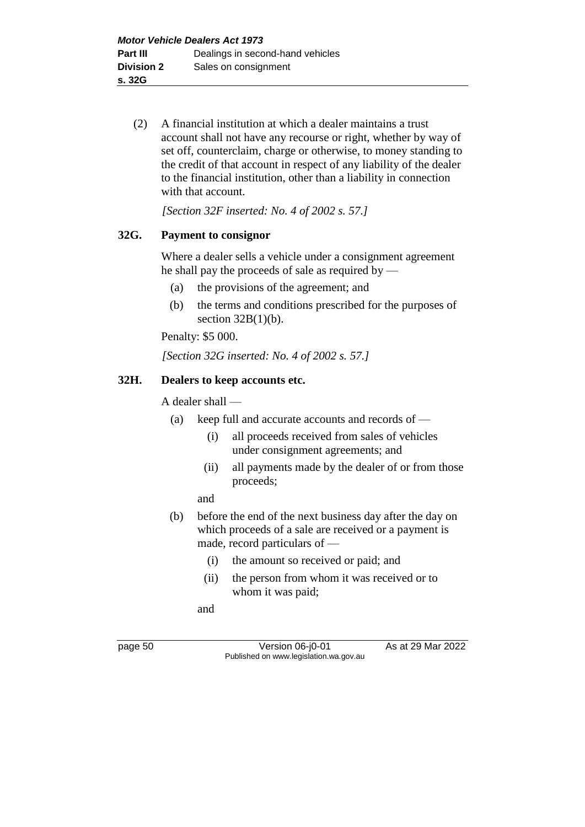(2) A financial institution at which a dealer maintains a trust account shall not have any recourse or right, whether by way of set off, counterclaim, charge or otherwise, to money standing to the credit of that account in respect of any liability of the dealer to the financial institution, other than a liability in connection with that account.

*[Section 32F inserted: No. 4 of 2002 s. 57.]*

#### **32G. Payment to consignor**

Where a dealer sells a vehicle under a consignment agreement he shall pay the proceeds of sale as required by —

- (a) the provisions of the agreement; and
- (b) the terms and conditions prescribed for the purposes of section  $32B(1)(b)$ .

Penalty: \$5 000.

*[Section 32G inserted: No. 4 of 2002 s. 57.]*

#### **32H. Dealers to keep accounts etc.**

A dealer shall —

- (a) keep full and accurate accounts and records of
	- (i) all proceeds received from sales of vehicles under consignment agreements; and
	- (ii) all payments made by the dealer of or from those proceeds;

and

- (b) before the end of the next business day after the day on which proceeds of a sale are received or a payment is made, record particulars of —
	- (i) the amount so received or paid; and
	- (ii) the person from whom it was received or to whom it was paid;

and

page 50 Version 06-j0-01 As at 29 Mar 2022 Published on www.legislation.wa.gov.au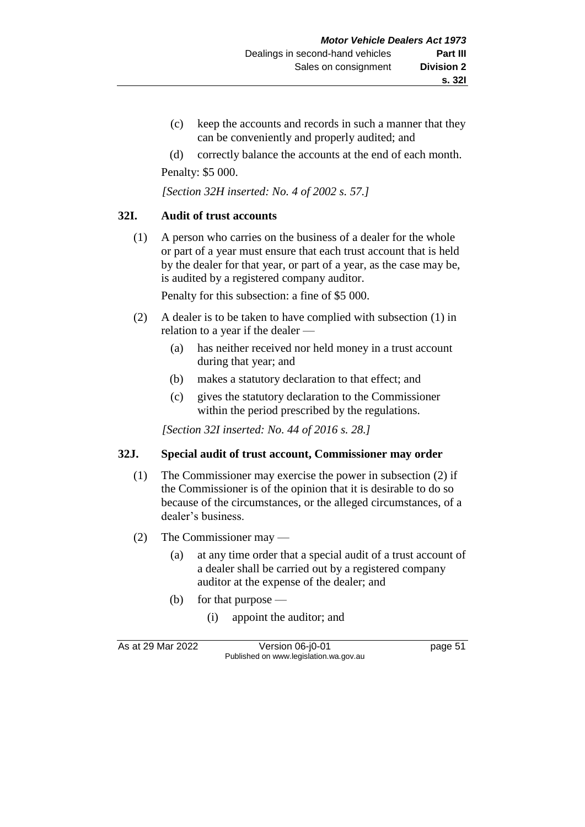- (c) keep the accounts and records in such a manner that they can be conveniently and properly audited; and
- (d) correctly balance the accounts at the end of each month.

Penalty: \$5 000.

*[Section 32H inserted: No. 4 of 2002 s. 57.]*

#### **32I. Audit of trust accounts**

(1) A person who carries on the business of a dealer for the whole or part of a year must ensure that each trust account that is held by the dealer for that year, or part of a year, as the case may be, is audited by a registered company auditor.

Penalty for this subsection: a fine of \$5 000.

- (2) A dealer is to be taken to have complied with subsection (1) in relation to a year if the dealer —
	- (a) has neither received nor held money in a trust account during that year; and
	- (b) makes a statutory declaration to that effect; and
	- (c) gives the statutory declaration to the Commissioner within the period prescribed by the regulations.

*[Section 32I inserted: No. 44 of 2016 s. 28.]*

#### **32J. Special audit of trust account, Commissioner may order**

- (1) The Commissioner may exercise the power in subsection (2) if the Commissioner is of the opinion that it is desirable to do so because of the circumstances, or the alleged circumstances, of a dealer's business.
- (2) The Commissioner may
	- (a) at any time order that a special audit of a trust account of a dealer shall be carried out by a registered company auditor at the expense of the dealer; and
	- (b) for that purpose
		- (i) appoint the auditor; and

As at 29 Mar 2022 Version 06-j0-01 page 51 Published on www.legislation.wa.gov.au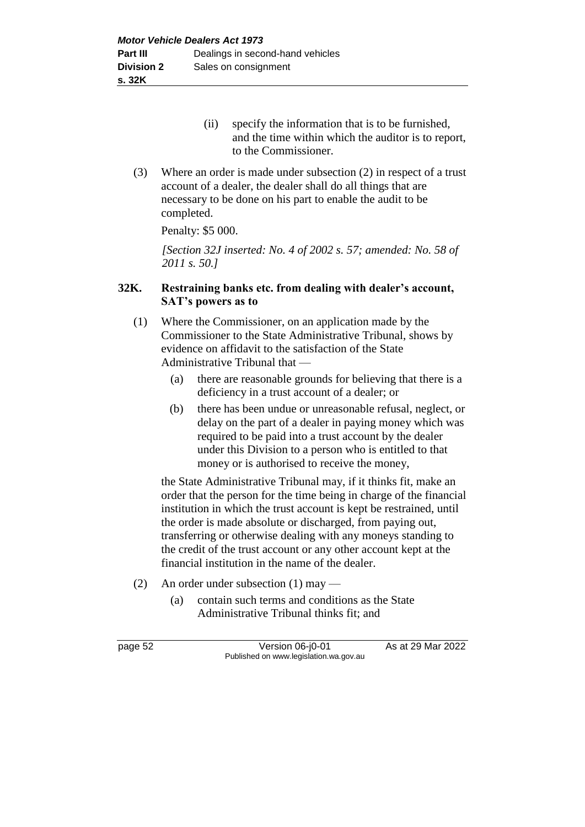- (ii) specify the information that is to be furnished, and the time within which the auditor is to report, to the Commissioner.
- (3) Where an order is made under subsection (2) in respect of a trust account of a dealer, the dealer shall do all things that are necessary to be done on his part to enable the audit to be completed.

Penalty: \$5 000.

*[Section 32J inserted: No. 4 of 2002 s. 57; amended: No. 58 of 2011 s. 50.]*

#### **32K. Restraining banks etc. from dealing with dealer's account, SAT's powers as to**

- (1) Where the Commissioner, on an application made by the Commissioner to the State Administrative Tribunal, shows by evidence on affidavit to the satisfaction of the State Administrative Tribunal that —
	- (a) there are reasonable grounds for believing that there is a deficiency in a trust account of a dealer; or
	- (b) there has been undue or unreasonable refusal, neglect, or delay on the part of a dealer in paying money which was required to be paid into a trust account by the dealer under this Division to a person who is entitled to that money or is authorised to receive the money,

the State Administrative Tribunal may, if it thinks fit, make an order that the person for the time being in charge of the financial institution in which the trust account is kept be restrained, until the order is made absolute or discharged, from paying out, transferring or otherwise dealing with any moneys standing to the credit of the trust account or any other account kept at the financial institution in the name of the dealer.

- (2) An order under subsection (1) may
	- (a) contain such terms and conditions as the State Administrative Tribunal thinks fit; and

page 52 Version 06-j0-01 As at 29 Mar 2022 Published on www.legislation.wa.gov.au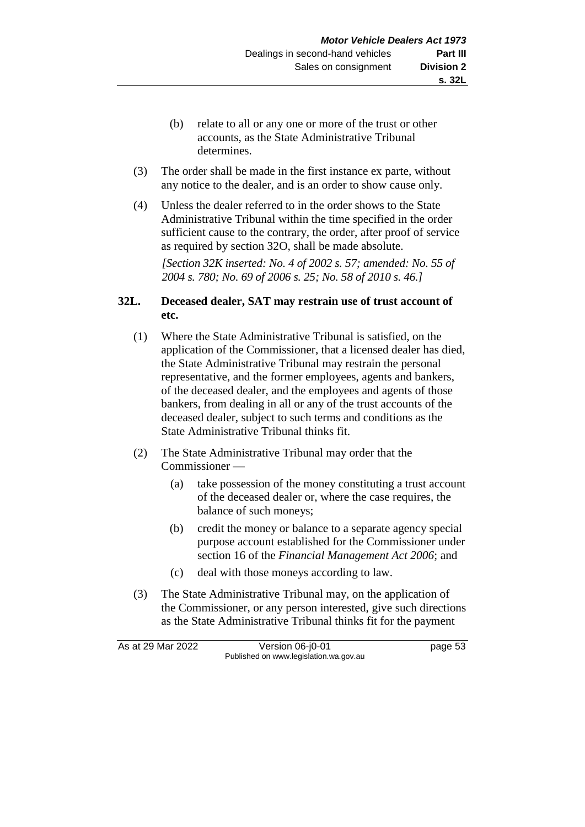- (b) relate to all or any one or more of the trust or other accounts, as the State Administrative Tribunal determines.
- (3) The order shall be made in the first instance ex parte, without any notice to the dealer, and is an order to show cause only.
- (4) Unless the dealer referred to in the order shows to the State Administrative Tribunal within the time specified in the order sufficient cause to the contrary, the order, after proof of service as required by section 32O, shall be made absolute.

*[Section 32K inserted: No. 4 of 2002 s. 57; amended: No. 55 of 2004 s. 780; No. 69 of 2006 s. 25; No. 58 of 2010 s. 46.]*

#### **32L. Deceased dealer, SAT may restrain use of trust account of etc.**

- (1) Where the State Administrative Tribunal is satisfied, on the application of the Commissioner, that a licensed dealer has died, the State Administrative Tribunal may restrain the personal representative, and the former employees, agents and bankers, of the deceased dealer, and the employees and agents of those bankers, from dealing in all or any of the trust accounts of the deceased dealer, subject to such terms and conditions as the State Administrative Tribunal thinks fit.
- (2) The State Administrative Tribunal may order that the Commissioner —
	- (a) take possession of the money constituting a trust account of the deceased dealer or, where the case requires, the balance of such moneys;
	- (b) credit the money or balance to a separate agency special purpose account established for the Commissioner under section 16 of the *Financial Management Act 2006*; and
	- (c) deal with those moneys according to law.
- (3) The State Administrative Tribunal may, on the application of the Commissioner, or any person interested, give such directions as the State Administrative Tribunal thinks fit for the payment

As at 29 Mar 2022 Version 06-j0-01 page 53 Published on www.legislation.wa.gov.au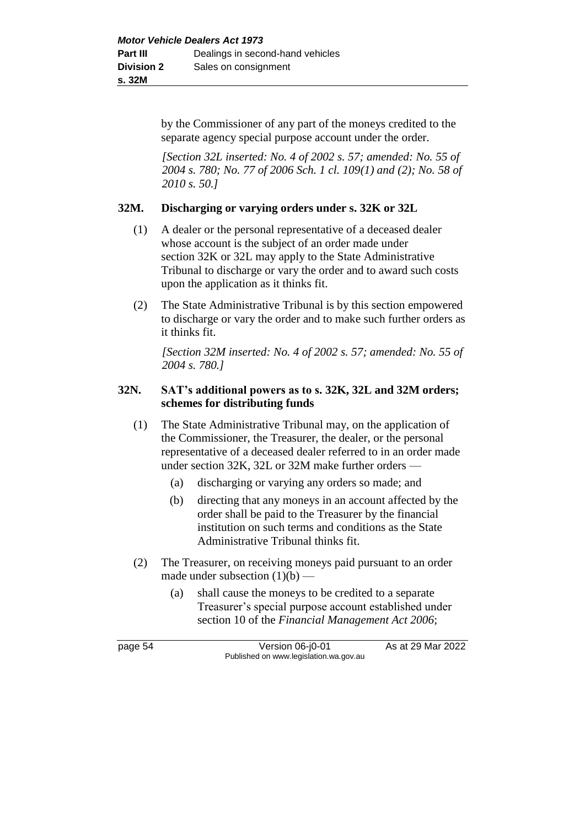by the Commissioner of any part of the moneys credited to the separate agency special purpose account under the order.

*[Section 32L inserted: No. 4 of 2002 s. 57; amended: No. 55 of 2004 s. 780; No. 77 of 2006 Sch. 1 cl. 109(1) and (2); No. 58 of 2010 s. 50.]*

#### **32M. Discharging or varying orders under s. 32K or 32L**

- (1) A dealer or the personal representative of a deceased dealer whose account is the subject of an order made under section 32K or 32L may apply to the State Administrative Tribunal to discharge or vary the order and to award such costs upon the application as it thinks fit.
- (2) The State Administrative Tribunal is by this section empowered to discharge or vary the order and to make such further orders as it thinks fit.

*[Section 32M inserted: No. 4 of 2002 s. 57; amended: No. 55 of 2004 s. 780.]*

#### **32N. SAT's additional powers as to s. 32K, 32L and 32M orders; schemes for distributing funds**

- (1) The State Administrative Tribunal may, on the application of the Commissioner, the Treasurer, the dealer, or the personal representative of a deceased dealer referred to in an order made under section 32K, 32L or 32M make further orders —
	- (a) discharging or varying any orders so made; and
	- (b) directing that any moneys in an account affected by the order shall be paid to the Treasurer by the financial institution on such terms and conditions as the State Administrative Tribunal thinks fit.
- (2) The Treasurer, on receiving moneys paid pursuant to an order made under subsection  $(1)(b)$  —
	- (a) shall cause the moneys to be credited to a separate Treasurer's special purpose account established under section 10 of the *Financial Management Act 2006*;

page 54 Version 06-j0-01 As at 29 Mar 2022 Published on www.legislation.wa.gov.au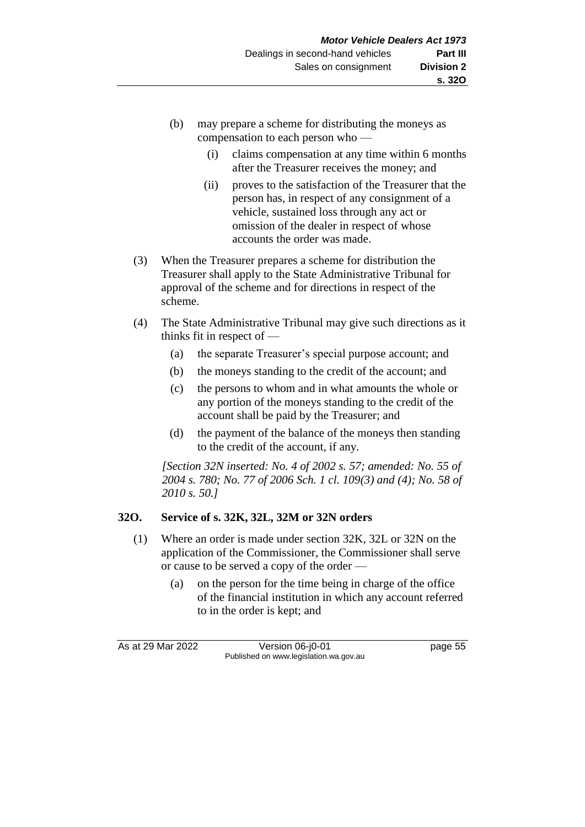- (b) may prepare a scheme for distributing the moneys as compensation to each person who —
	- (i) claims compensation at any time within 6 months after the Treasurer receives the money; and
	- (ii) proves to the satisfaction of the Treasurer that the person has, in respect of any consignment of a vehicle, sustained loss through any act or omission of the dealer in respect of whose accounts the order was made.
- (3) When the Treasurer prepares a scheme for distribution the Treasurer shall apply to the State Administrative Tribunal for approval of the scheme and for directions in respect of the scheme.
- (4) The State Administrative Tribunal may give such directions as it thinks fit in respect of —
	- (a) the separate Treasurer's special purpose account; and
	- (b) the moneys standing to the credit of the account; and
	- (c) the persons to whom and in what amounts the whole or any portion of the moneys standing to the credit of the account shall be paid by the Treasurer; and
	- (d) the payment of the balance of the moneys then standing to the credit of the account, if any.

*[Section 32N inserted: No. 4 of 2002 s. 57; amended: No. 55 of 2004 s. 780; No. 77 of 2006 Sch. 1 cl. 109(3) and (4); No. 58 of 2010 s. 50.]*

# **32O. Service of s. 32K, 32L, 32M or 32N orders**

- (1) Where an order is made under section 32K, 32L or 32N on the application of the Commissioner, the Commissioner shall serve or cause to be served a copy of the order —
	- (a) on the person for the time being in charge of the office of the financial institution in which any account referred to in the order is kept; and

As at 29 Mar 2022 Version 06-j0-01 page 55 Published on www.legislation.wa.gov.au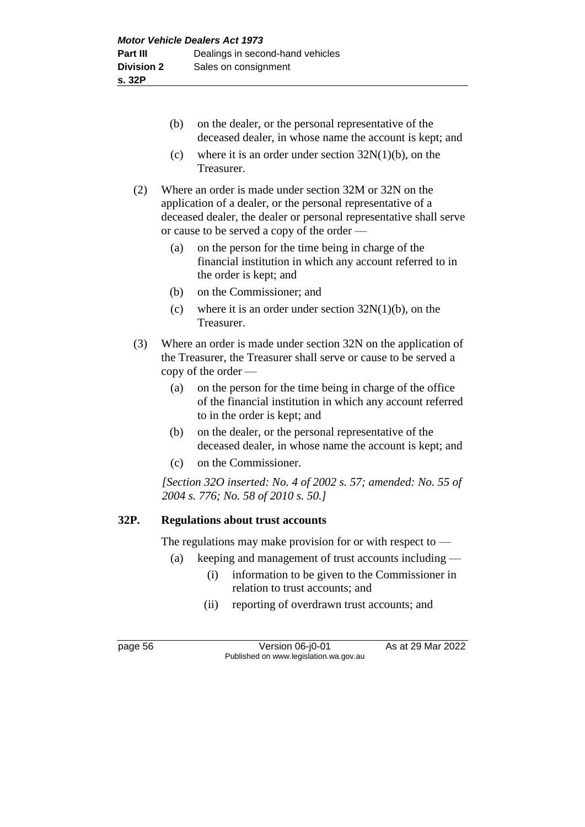- (b) on the dealer, or the personal representative of the deceased dealer, in whose name the account is kept; and
- (c) where it is an order under section  $32N(1)(b)$ , on the Treasurer.
- (2) Where an order is made under section 32M or 32N on the application of a dealer, or the personal representative of a deceased dealer, the dealer or personal representative shall serve or cause to be served a copy of the order —
	- (a) on the person for the time being in charge of the financial institution in which any account referred to in the order is kept; and
	- (b) on the Commissioner; and
	- (c) where it is an order under section  $32N(1)(b)$ , on the Treasurer.
- (3) Where an order is made under section 32N on the application of the Treasurer, the Treasurer shall serve or cause to be served a copy of the order —
	- (a) on the person for the time being in charge of the office of the financial institution in which any account referred to in the order is kept; and
	- (b) on the dealer, or the personal representative of the deceased dealer, in whose name the account is kept; and
	- (c) on the Commissioner.

*[Section 32O inserted: No. 4 of 2002 s. 57; amended: No. 55 of 2004 s. 776; No. 58 of 2010 s. 50.]*

#### **32P. Regulations about trust accounts**

The regulations may make provision for or with respect to —

- (a) keeping and management of trust accounts including
	- (i) information to be given to the Commissioner in relation to trust accounts; and
	- (ii) reporting of overdrawn trust accounts; and

page 56 Version 06-j0-01 As at 29 Mar 2022 Published on www.legislation.wa.gov.au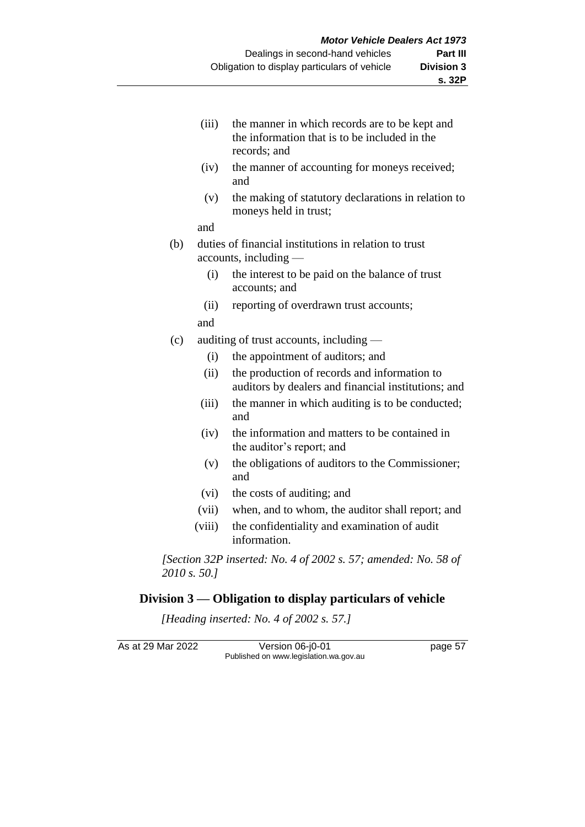- (iii) the manner in which records are to be kept and the information that is to be included in the records; and
- (iv) the manner of accounting for moneys received; and
- (v) the making of statutory declarations in relation to moneys held in trust;

and

- (b) duties of financial institutions in relation to trust accounts, including —
	- (i) the interest to be paid on the balance of trust accounts; and
	- (ii) reporting of overdrawn trust accounts;
	- and
- (c) auditing of trust accounts, including
	- (i) the appointment of auditors; and
	- (ii) the production of records and information to auditors by dealers and financial institutions; and
	- (iii) the manner in which auditing is to be conducted; and
	- (iv) the information and matters to be contained in the auditor's report; and
	- (v) the obligations of auditors to the Commissioner; and
	- (vi) the costs of auditing; and
	- (vii) when, and to whom, the auditor shall report; and
	- (viii) the confidentiality and examination of audit information.

*[Section 32P inserted: No. 4 of 2002 s. 57; amended: No. 58 of 2010 s. 50.]*

# **Division 3 — Obligation to display particulars of vehicle**

*[Heading inserted: No. 4 of 2002 s. 57.]*

As at 29 Mar 2022 <br>Version 06-j0-01 page 57 Published on www.legislation.wa.gov.au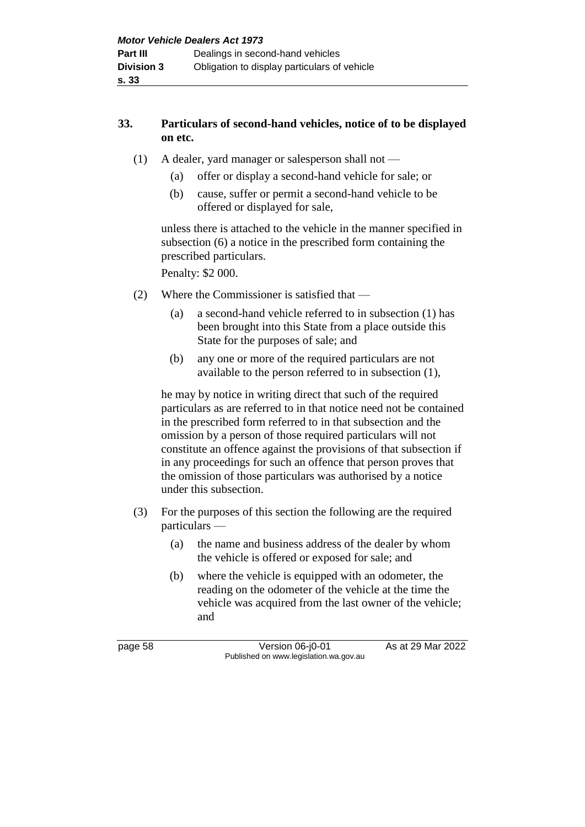# **33. Particulars of second-hand vehicles, notice of to be displayed on etc.**

- (1) A dealer, yard manager or salesperson shall not
	- (a) offer or display a second-hand vehicle for sale; or
	- (b) cause, suffer or permit a second-hand vehicle to be offered or displayed for sale,

unless there is attached to the vehicle in the manner specified in subsection (6) a notice in the prescribed form containing the prescribed particulars.

Penalty: \$2 000.

- (2) Where the Commissioner is satisfied that
	- (a) a second-hand vehicle referred to in subsection (1) has been brought into this State from a place outside this State for the purposes of sale; and
	- (b) any one or more of the required particulars are not available to the person referred to in subsection (1),

he may by notice in writing direct that such of the required particulars as are referred to in that notice need not be contained in the prescribed form referred to in that subsection and the omission by a person of those required particulars will not constitute an offence against the provisions of that subsection if in any proceedings for such an offence that person proves that the omission of those particulars was authorised by a notice under this subsection.

- (3) For the purposes of this section the following are the required particulars —
	- (a) the name and business address of the dealer by whom the vehicle is offered or exposed for sale; and
	- (b) where the vehicle is equipped with an odometer, the reading on the odometer of the vehicle at the time the vehicle was acquired from the last owner of the vehicle; and

page 58 Version 06-j0-01 As at 29 Mar 2022 Published on www.legislation.wa.gov.au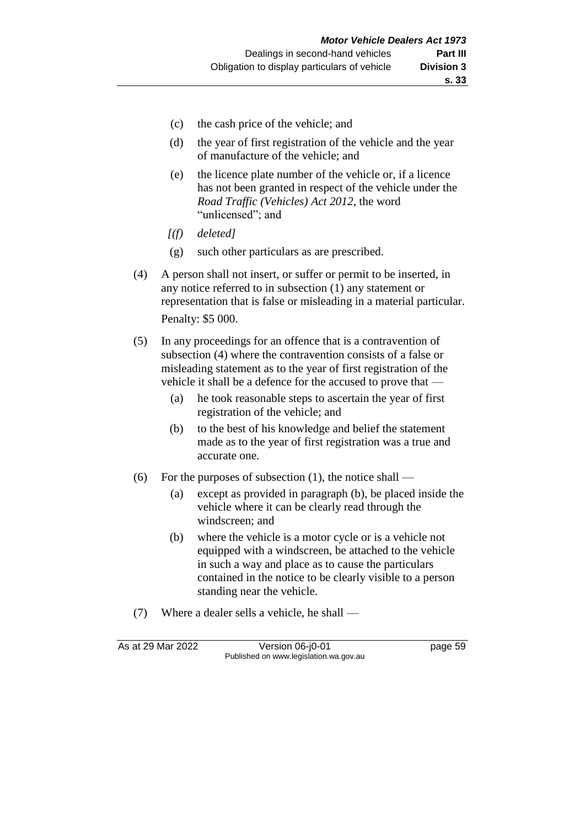- (c) the cash price of the vehicle; and
- (d) the year of first registration of the vehicle and the year of manufacture of the vehicle; and
- (e) the licence plate number of the vehicle or, if a licence has not been granted in respect of the vehicle under the *Road Traffic (Vehicles) Act 2012*, the word "unlicensed"; and
- *[(f) deleted]*
- (g) such other particulars as are prescribed.
- (4) A person shall not insert, or suffer or permit to be inserted, in any notice referred to in subsection (1) any statement or representation that is false or misleading in a material particular. Penalty: \$5 000.
- (5) In any proceedings for an offence that is a contravention of subsection (4) where the contravention consists of a false or misleading statement as to the year of first registration of the vehicle it shall be a defence for the accused to prove that —
	- (a) he took reasonable steps to ascertain the year of first registration of the vehicle; and
	- (b) to the best of his knowledge and belief the statement made as to the year of first registration was a true and accurate one.
- (6) For the purposes of subsection (1), the notice shall
	- (a) except as provided in paragraph (b), be placed inside the vehicle where it can be clearly read through the windscreen; and
	- (b) where the vehicle is a motor cycle or is a vehicle not equipped with a windscreen, be attached to the vehicle in such a way and place as to cause the particulars contained in the notice to be clearly visible to a person standing near the vehicle.
- (7) Where a dealer sells a vehicle, he shall —

As at 29 Mar 2022 Version 06-j0-01 page 59 Published on www.legislation.wa.gov.au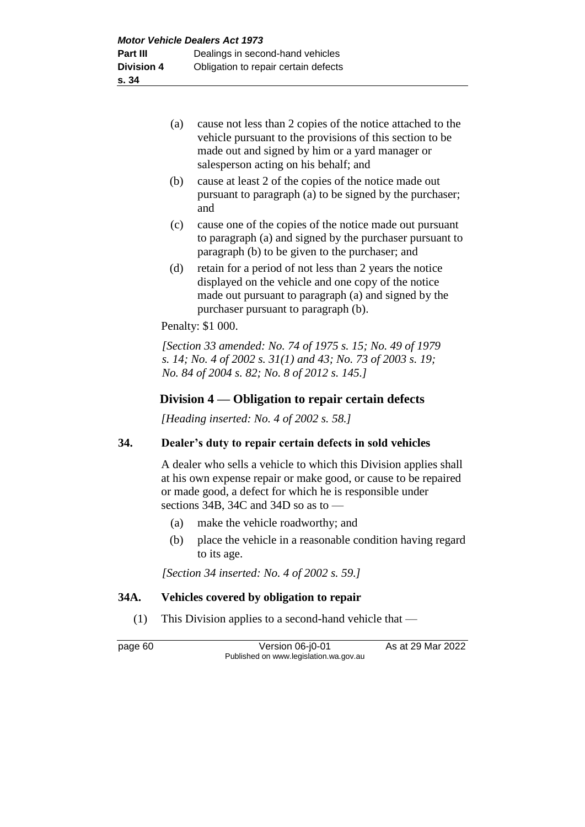- (a) cause not less than 2 copies of the notice attached to the vehicle pursuant to the provisions of this section to be made out and signed by him or a yard manager or salesperson acting on his behalf; and
- (b) cause at least 2 of the copies of the notice made out pursuant to paragraph (a) to be signed by the purchaser; and
- (c) cause one of the copies of the notice made out pursuant to paragraph (a) and signed by the purchaser pursuant to paragraph (b) to be given to the purchaser; and
- (d) retain for a period of not less than 2 years the notice displayed on the vehicle and one copy of the notice made out pursuant to paragraph (a) and signed by the purchaser pursuant to paragraph (b).

Penalty: \$1 000.

*[Section 33 amended: No. 74 of 1975 s. 15; No. 49 of 1979 s. 14; No. 4 of 2002 s. 31(1) and 43; No. 73 of 2003 s. 19; No. 84 of 2004 s. 82; No. 8 of 2012 s. 145.]*

# **Division 4 — Obligation to repair certain defects**

*[Heading inserted: No. 4 of 2002 s. 58.]*

#### **34. Dealer's duty to repair certain defects in sold vehicles**

A dealer who sells a vehicle to which this Division applies shall at his own expense repair or make good, or cause to be repaired or made good, a defect for which he is responsible under sections 34B, 34C and 34D so as to —

- (a) make the vehicle roadworthy; and
- (b) place the vehicle in a reasonable condition having regard to its age.

*[Section 34 inserted: No. 4 of 2002 s. 59.]*

#### **34A. Vehicles covered by obligation to repair**

(1) This Division applies to a second-hand vehicle that —

page 60 **Version 06-j0-01** As at 29 Mar 2022 Published on www.legislation.wa.gov.au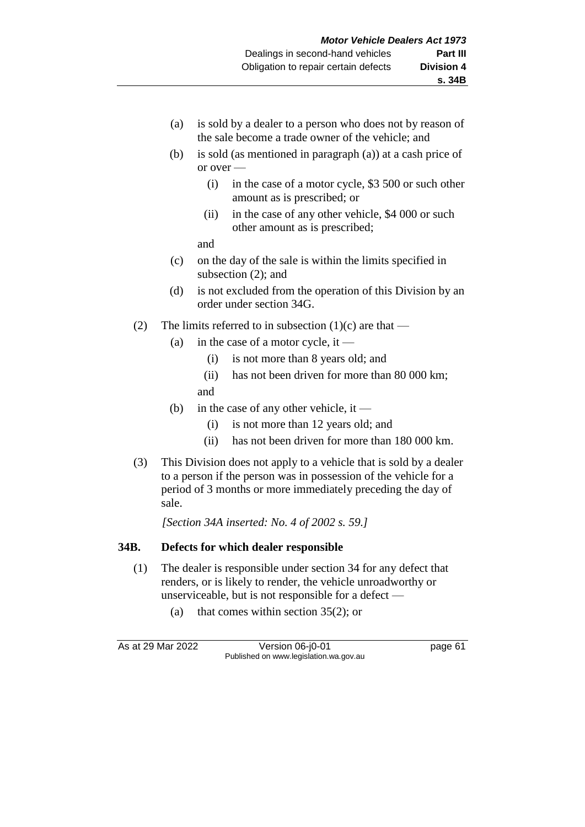- (a) is sold by a dealer to a person who does not by reason of the sale become a trade owner of the vehicle; and
- (b) is sold (as mentioned in paragraph (a)) at a cash price of or over —
	- (i) in the case of a motor cycle, \$3 500 or such other amount as is prescribed; or
	- (ii) in the case of any other vehicle, \$4 000 or such other amount as is prescribed;

and

- (c) on the day of the sale is within the limits specified in subsection (2); and
- (d) is not excluded from the operation of this Division by an order under section 34G.
- (2) The limits referred to in subsection  $(1)(c)$  are that
	- (a) in the case of a motor cycle, it
		- (i) is not more than 8 years old; and
		- (ii) has not been driven for more than 80 000 km; and
	- (b) in the case of any other vehicle, it
		- (i) is not more than 12 years old; and
		- (ii) has not been driven for more than 180 000 km.
- (3) This Division does not apply to a vehicle that is sold by a dealer to a person if the person was in possession of the vehicle for a period of 3 months or more immediately preceding the day of sale.

*[Section 34A inserted: No. 4 of 2002 s. 59.]*

#### **34B. Defects for which dealer responsible**

- (1) The dealer is responsible under section 34 for any defect that renders, or is likely to render, the vehicle unroadworthy or unserviceable, but is not responsible for a defect —
	- (a) that comes within section 35(2); or

As at 29 Mar 2022 Version 06-j0-01 page 61 Published on www.legislation.wa.gov.au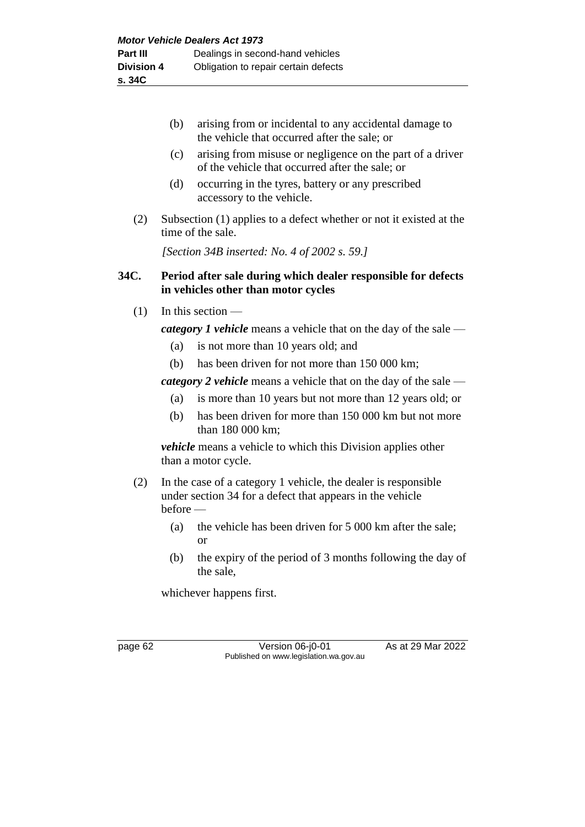| (b) | arising from or incidental to any accidental damage to |
|-----|--------------------------------------------------------|
|     | the vehicle that occurred after the sale; or           |

- (c) arising from misuse or negligence on the part of a driver of the vehicle that occurred after the sale; or
- (d) occurring in the tyres, battery or any prescribed accessory to the vehicle.
- (2) Subsection (1) applies to a defect whether or not it existed at the time of the sale.

*[Section 34B inserted: No. 4 of 2002 s. 59.]*

# **34C. Period after sale during which dealer responsible for defects in vehicles other than motor cycles**

 $(1)$  In this section —

*category 1 vehicle* means a vehicle that on the day of the sale —

- (a) is not more than 10 years old; and
- (b) has been driven for not more than 150 000 km;

*category 2 vehicle* means a vehicle that on the day of the sale —

- (a) is more than 10 years but not more than 12 years old; or
- (b) has been driven for more than 150 000 km but not more than 180 000 km;

*vehicle* means a vehicle to which this Division applies other than a motor cycle.

- (2) In the case of a category 1 vehicle, the dealer is responsible under section 34 for a defect that appears in the vehicle before —
	- (a) the vehicle has been driven for 5 000 km after the sale; or
	- (b) the expiry of the period of 3 months following the day of the sale,

whichever happens first.

page 62 Version 06-j0-01 As at 29 Mar 2022 Published on www.legislation.wa.gov.au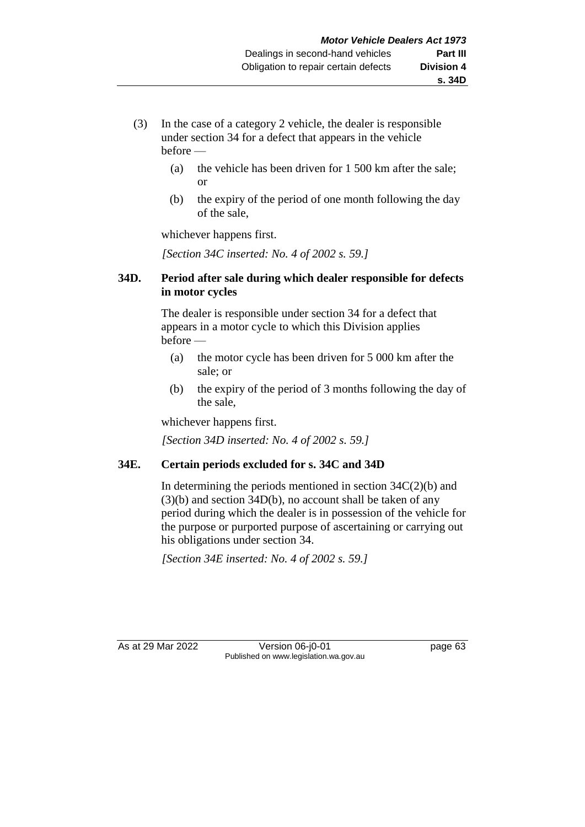- (3) In the case of a category 2 vehicle, the dealer is responsible under section 34 for a defect that appears in the vehicle before —
	- (a) the vehicle has been driven for 1 500 km after the sale; or
	- (b) the expiry of the period of one month following the day of the sale,

whichever happens first.

*[Section 34C inserted: No. 4 of 2002 s. 59.]*

#### **34D. Period after sale during which dealer responsible for defects in motor cycles**

The dealer is responsible under section 34 for a defect that appears in a motor cycle to which this Division applies before —

- (a) the motor cycle has been driven for 5 000 km after the sale; or
- (b) the expiry of the period of 3 months following the day of the sale,

whichever happens first.

*[Section 34D inserted: No. 4 of 2002 s. 59.]*

# **34E. Certain periods excluded for s. 34C and 34D**

In determining the periods mentioned in section  $34C(2)(b)$  and (3)(b) and section 34D(b), no account shall be taken of any period during which the dealer is in possession of the vehicle for the purpose or purported purpose of ascertaining or carrying out his obligations under section 34.

*[Section 34E inserted: No. 4 of 2002 s. 59.]*

As at 29 Mar 2022 Version 06-j0-01 page 63 Published on www.legislation.wa.gov.au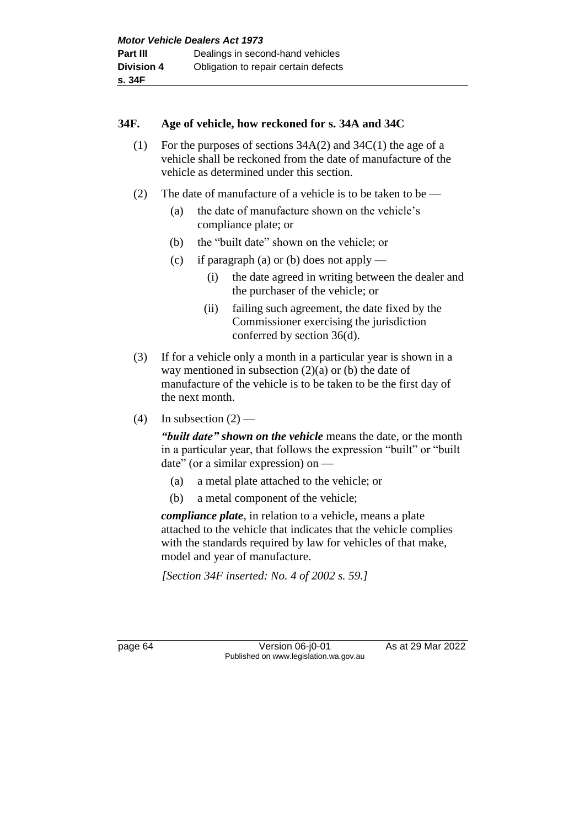#### **34F. Age of vehicle, how reckoned for s. 34A and 34C**

- (1) For the purposes of sections 34A(2) and 34C(1) the age of a vehicle shall be reckoned from the date of manufacture of the vehicle as determined under this section.
- (2) The date of manufacture of a vehicle is to be taken to be
	- (a) the date of manufacture shown on the vehicle's compliance plate; or
	- (b) the "built date" shown on the vehicle; or
	- (c) if paragraph (a) or (b) does not apply
		- (i) the date agreed in writing between the dealer and the purchaser of the vehicle; or
		- (ii) failing such agreement, the date fixed by the Commissioner exercising the jurisdiction conferred by section 36(d).
- (3) If for a vehicle only a month in a particular year is shown in a way mentioned in subsection  $(2)(a)$  or  $(b)$  the date of manufacture of the vehicle is to be taken to be the first day of the next month.
- (4) In subsection  $(2)$  —

*"built date" shown on the vehicle* means the date, or the month in a particular year, that follows the expression "built" or "built date" (or a similar expression) on —

- (a) a metal plate attached to the vehicle; or
- (b) a metal component of the vehicle;

*compliance plate*, in relation to a vehicle, means a plate attached to the vehicle that indicates that the vehicle complies with the standards required by law for vehicles of that make, model and year of manufacture.

*[Section 34F inserted: No. 4 of 2002 s. 59.]*

page 64 Version 06-j0-01 As at 29 Mar 2022 Published on www.legislation.wa.gov.au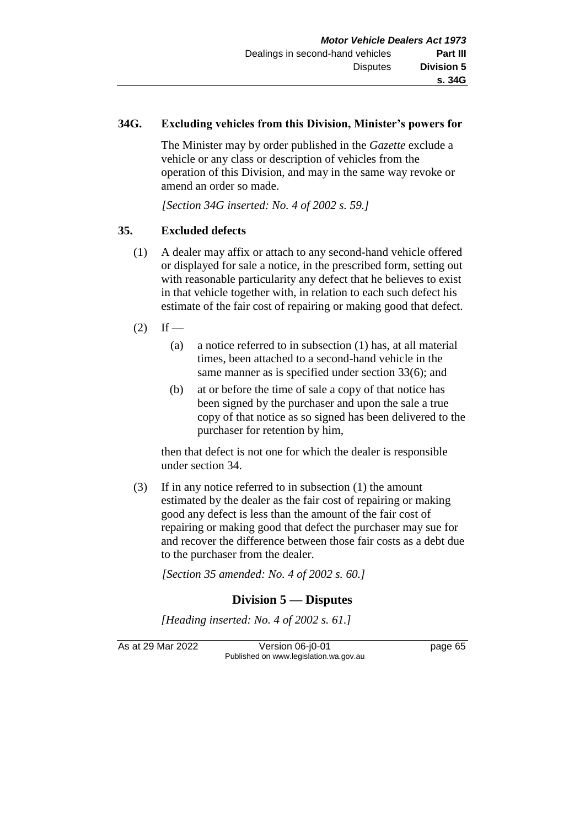## **34G. Excluding vehicles from this Division, Minister's powers for**

The Minister may by order published in the *Gazette* exclude a vehicle or any class or description of vehicles from the operation of this Division, and may in the same way revoke or amend an order so made.

*[Section 34G inserted: No. 4 of 2002 s. 59.]*

# **35. Excluded defects**

- (1) A dealer may affix or attach to any second-hand vehicle offered or displayed for sale a notice, in the prescribed form, setting out with reasonable particularity any defect that he believes to exist in that vehicle together with, in relation to each such defect his estimate of the fair cost of repairing or making good that defect.
- $(2)$  If
	- (a) a notice referred to in subsection (1) has, at all material times, been attached to a second-hand vehicle in the same manner as is specified under section 33(6); and
	- (b) at or before the time of sale a copy of that notice has been signed by the purchaser and upon the sale a true copy of that notice as so signed has been delivered to the purchaser for retention by him,

then that defect is not one for which the dealer is responsible under section 34.

(3) If in any notice referred to in subsection (1) the amount estimated by the dealer as the fair cost of repairing or making good any defect is less than the amount of the fair cost of repairing or making good that defect the purchaser may sue for and recover the difference between those fair costs as a debt due to the purchaser from the dealer.

*[Section 35 amended: No. 4 of 2002 s. 60.]*

# **Division 5 — Disputes**

*[Heading inserted: No. 4 of 2002 s. 61.]*

As at 29 Mar 2022 Version 06-j0-01 page 65 Published on www.legislation.wa.gov.au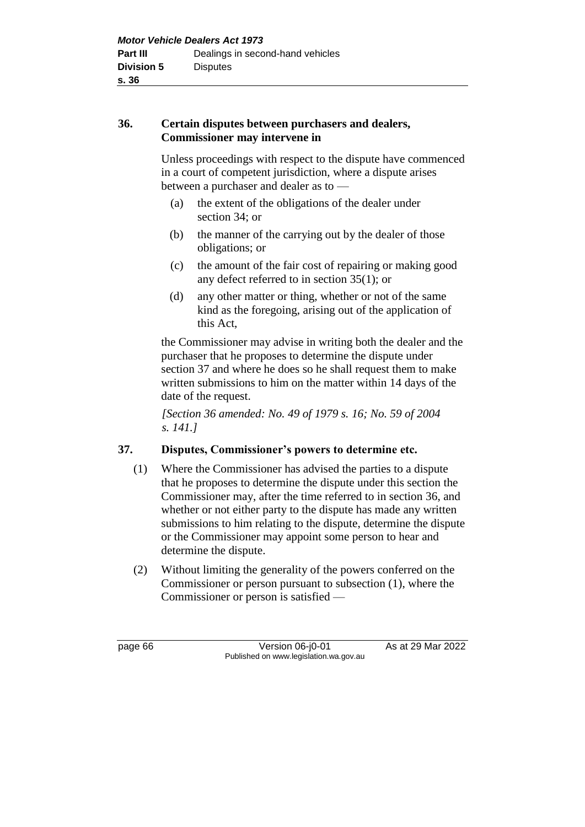## **36. Certain disputes between purchasers and dealers, Commissioner may intervene in**

Unless proceedings with respect to the dispute have commenced in a court of competent jurisdiction, where a dispute arises between a purchaser and dealer as to —

- (a) the extent of the obligations of the dealer under section 34; or
- (b) the manner of the carrying out by the dealer of those obligations; or
- (c) the amount of the fair cost of repairing or making good any defect referred to in section 35(1); or
- (d) any other matter or thing, whether or not of the same kind as the foregoing, arising out of the application of this Act,

the Commissioner may advise in writing both the dealer and the purchaser that he proposes to determine the dispute under section 37 and where he does so he shall request them to make written submissions to him on the matter within 14 days of the date of the request.

*[Section 36 amended: No. 49 of 1979 s. 16; No. 59 of 2004 s. 141.]*

# **37. Disputes, Commissioner's powers to determine etc.**

- (1) Where the Commissioner has advised the parties to a dispute that he proposes to determine the dispute under this section the Commissioner may, after the time referred to in section 36, and whether or not either party to the dispute has made any written submissions to him relating to the dispute, determine the dispute or the Commissioner may appoint some person to hear and determine the dispute.
- (2) Without limiting the generality of the powers conferred on the Commissioner or person pursuant to subsection (1), where the Commissioner or person is satisfied —

page 66 Version 06-j0-01 As at 29 Mar 2022 Published on www.legislation.wa.gov.au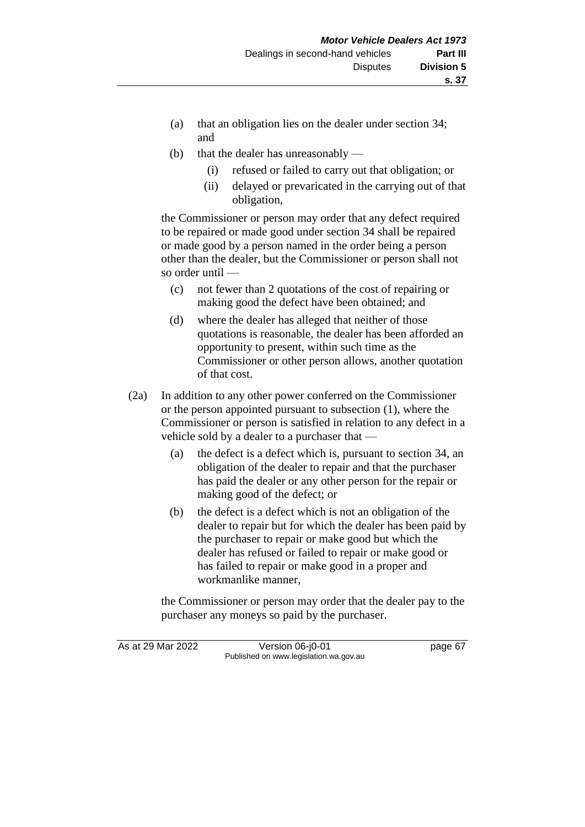- (a) that an obligation lies on the dealer under section 34; and
- (b) that the dealer has unreasonably
	- (i) refused or failed to carry out that obligation; or
	- (ii) delayed or prevaricated in the carrying out of that obligation,

the Commissioner or person may order that any defect required to be repaired or made good under section 34 shall be repaired or made good by a person named in the order being a person other than the dealer, but the Commissioner or person shall not so order until —

- (c) not fewer than 2 quotations of the cost of repairing or making good the defect have been obtained; and
- (d) where the dealer has alleged that neither of those quotations is reasonable, the dealer has been afforded an opportunity to present, within such time as the Commissioner or other person allows, another quotation of that cost.
- (2a) In addition to any other power conferred on the Commissioner or the person appointed pursuant to subsection (1), where the Commissioner or person is satisfied in relation to any defect in a vehicle sold by a dealer to a purchaser that —
	- (a) the defect is a defect which is, pursuant to section 34, an obligation of the dealer to repair and that the purchaser has paid the dealer or any other person for the repair or making good of the defect; or
	- (b) the defect is a defect which is not an obligation of the dealer to repair but for which the dealer has been paid by the purchaser to repair or make good but which the dealer has refused or failed to repair or make good or has failed to repair or make good in a proper and workmanlike manner,

the Commissioner or person may order that the dealer pay to the purchaser any moneys so paid by the purchaser.

As at 29 Mar 2022 Version 06-j0-01 page 67 Published on www.legislation.wa.gov.au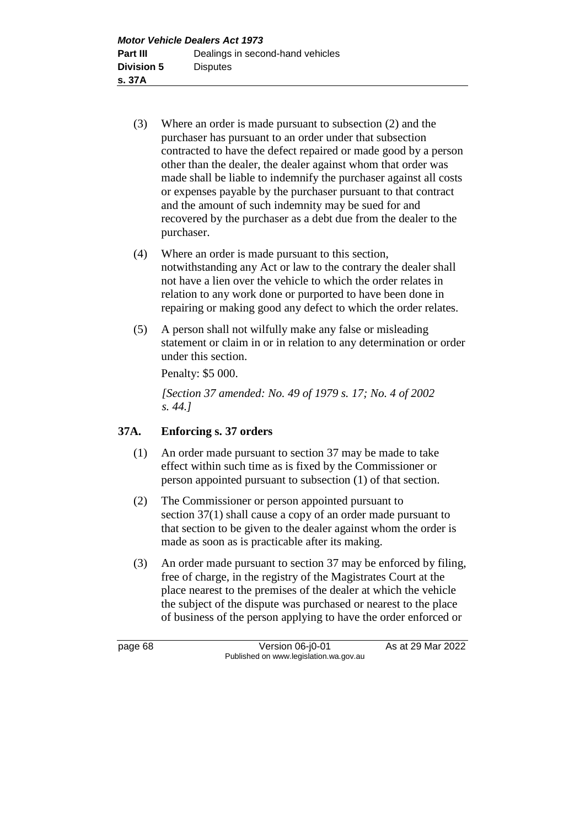- (3) Where an order is made pursuant to subsection (2) and the purchaser has pursuant to an order under that subsection contracted to have the defect repaired or made good by a person other than the dealer, the dealer against whom that order was made shall be liable to indemnify the purchaser against all costs or expenses payable by the purchaser pursuant to that contract and the amount of such indemnity may be sued for and recovered by the purchaser as a debt due from the dealer to the purchaser.
- (4) Where an order is made pursuant to this section, notwithstanding any Act or law to the contrary the dealer shall not have a lien over the vehicle to which the order relates in relation to any work done or purported to have been done in repairing or making good any defect to which the order relates.
- (5) A person shall not wilfully make any false or misleading statement or claim in or in relation to any determination or order under this section.

Penalty: \$5 000.

*[Section 37 amended: No. 49 of 1979 s. 17; No. 4 of 2002 s. 44.]*

# **37A. Enforcing s. 37 orders**

- (1) An order made pursuant to section 37 may be made to take effect within such time as is fixed by the Commissioner or person appointed pursuant to subsection (1) of that section.
- (2) The Commissioner or person appointed pursuant to section 37(1) shall cause a copy of an order made pursuant to that section to be given to the dealer against whom the order is made as soon as is practicable after its making.
- (3) An order made pursuant to section 37 may be enforced by filing, free of charge, in the registry of the Magistrates Court at the place nearest to the premises of the dealer at which the vehicle the subject of the dispute was purchased or nearest to the place of business of the person applying to have the order enforced or

page 68 Version 06-j0-01 As at 29 Mar 2022 Published on www.legislation.wa.gov.au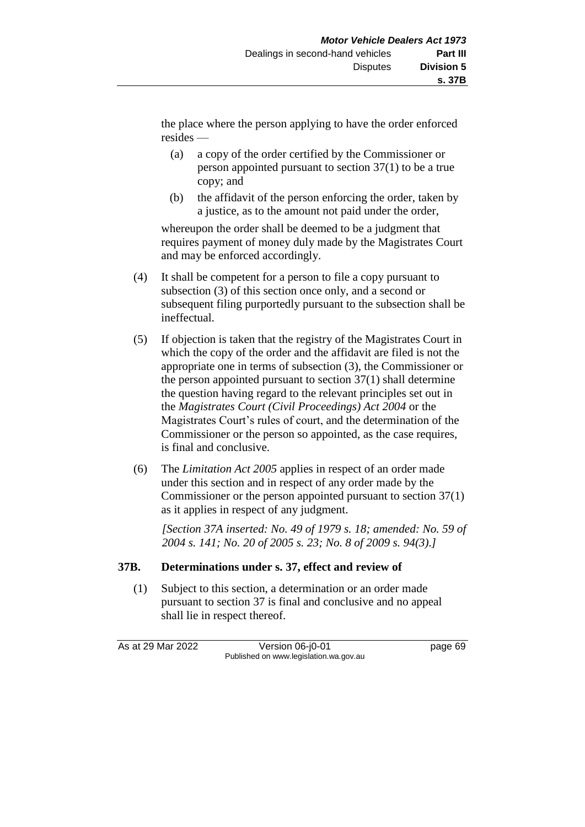the place where the person applying to have the order enforced resides —

- (a) a copy of the order certified by the Commissioner or person appointed pursuant to section 37(1) to be a true copy; and
- (b) the affidavit of the person enforcing the order, taken by a justice, as to the amount not paid under the order,

whereupon the order shall be deemed to be a judgment that requires payment of money duly made by the Magistrates Court and may be enforced accordingly.

- (4) It shall be competent for a person to file a copy pursuant to subsection (3) of this section once only, and a second or subsequent filing purportedly pursuant to the subsection shall be ineffectual.
- (5) If objection is taken that the registry of the Magistrates Court in which the copy of the order and the affidavit are filed is not the appropriate one in terms of subsection (3), the Commissioner or the person appointed pursuant to section 37(1) shall determine the question having regard to the relevant principles set out in the *Magistrates Court (Civil Proceedings) Act 2004* or the Magistrates Court's rules of court, and the determination of the Commissioner or the person so appointed, as the case requires, is final and conclusive.
- (6) The *Limitation Act 2005* applies in respect of an order made under this section and in respect of any order made by the Commissioner or the person appointed pursuant to section 37(1) as it applies in respect of any judgment.

*[Section 37A inserted: No. 49 of 1979 s. 18; amended: No. 59 of 2004 s. 141; No. 20 of 2005 s. 23; No. 8 of 2009 s. 94(3).]*

# **37B. Determinations under s. 37, effect and review of**

(1) Subject to this section, a determination or an order made pursuant to section 37 is final and conclusive and no appeal shall lie in respect thereof.

As at 29 Mar 2022 Version 06-j0-01 Quadrage 69 Published on www.legislation.wa.gov.au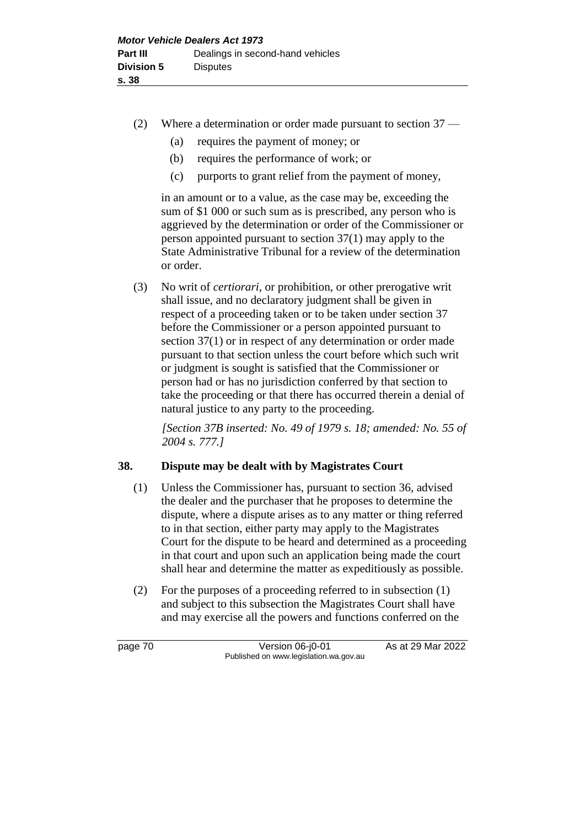- (2) Where a determination or order made pursuant to section 37
	- (a) requires the payment of money; or
	- (b) requires the performance of work; or
	- (c) purports to grant relief from the payment of money,

in an amount or to a value, as the case may be, exceeding the sum of \$1 000 or such sum as is prescribed, any person who is aggrieved by the determination or order of the Commissioner or person appointed pursuant to section 37(1) may apply to the State Administrative Tribunal for a review of the determination or order.

(3) No writ of *certiorari*, or prohibition, or other prerogative writ shall issue, and no declaratory judgment shall be given in respect of a proceeding taken or to be taken under section 37 before the Commissioner or a person appointed pursuant to section 37(1) or in respect of any determination or order made pursuant to that section unless the court before which such writ or judgment is sought is satisfied that the Commissioner or person had or has no jurisdiction conferred by that section to take the proceeding or that there has occurred therein a denial of natural justice to any party to the proceeding.

*[Section 37B inserted: No. 49 of 1979 s. 18; amended: No. 55 of 2004 s. 777.]*

### **38. Dispute may be dealt with by Magistrates Court**

- (1) Unless the Commissioner has, pursuant to section 36, advised the dealer and the purchaser that he proposes to determine the dispute, where a dispute arises as to any matter or thing referred to in that section, either party may apply to the Magistrates Court for the dispute to be heard and determined as a proceeding in that court and upon such an application being made the court shall hear and determine the matter as expeditiously as possible.
- (2) For the purposes of a proceeding referred to in subsection (1) and subject to this subsection the Magistrates Court shall have and may exercise all the powers and functions conferred on the

page 70 Version 06-j0-01 As at 29 Mar 2022 Published on www.legislation.wa.gov.au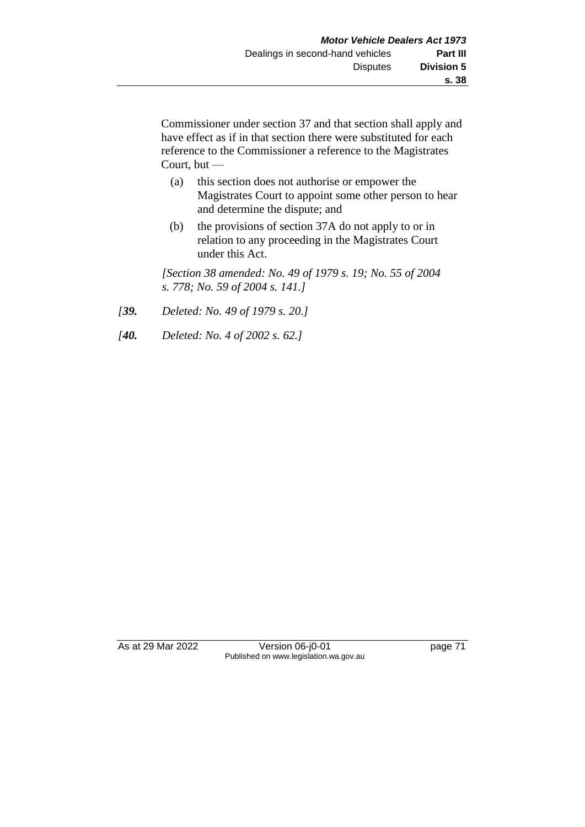Commissioner under section 37 and that section shall apply and have effect as if in that section there were substituted for each reference to the Commissioner a reference to the Magistrates Court, but —

- (a) this section does not authorise or empower the Magistrates Court to appoint some other person to hear and determine the dispute; and
- (b) the provisions of section 37A do not apply to or in relation to any proceeding in the Magistrates Court under this Act.

*[Section 38 amended: No. 49 of 1979 s. 19; No. 55 of 2004 s. 778; No. 59 of 2004 s. 141.]*

- *[39. Deleted: No. 49 of 1979 s. 20.]*
- *[40. Deleted: No. 4 of 2002 s. 62.]*

As at 29 Mar 2022 Version 06-j0-01 Page 71 Published on www.legislation.wa.gov.au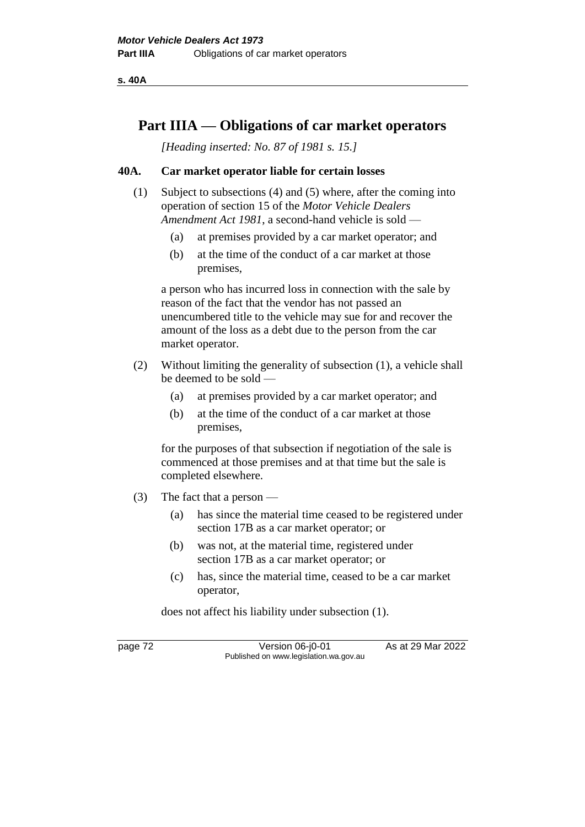**s. 40A**

# **Part IIIA — Obligations of car market operators**

*[Heading inserted: No. 87 of 1981 s. 15.]*

## **40A. Car market operator liable for certain losses**

- (1) Subject to subsections (4) and (5) where, after the coming into operation of section 15 of the *Motor Vehicle Dealers Amendment Act 1981*, a second-hand vehicle is sold —
	- (a) at premises provided by a car market operator; and
	- (b) at the time of the conduct of a car market at those premises,

a person who has incurred loss in connection with the sale by reason of the fact that the vendor has not passed an unencumbered title to the vehicle may sue for and recover the amount of the loss as a debt due to the person from the car market operator.

- (2) Without limiting the generality of subsection (1), a vehicle shall be deemed to be sold —
	- (a) at premises provided by a car market operator; and
	- (b) at the time of the conduct of a car market at those premises,

for the purposes of that subsection if negotiation of the sale is commenced at those premises and at that time but the sale is completed elsewhere.

- (3) The fact that a person
	- (a) has since the material time ceased to be registered under section 17B as a car market operator; or
	- (b) was not, at the material time, registered under section 17B as a car market operator; or
	- (c) has, since the material time, ceased to be a car market operator,

does not affect his liability under subsection (1).

page 72 Version 06-j0-01 As at 29 Mar 2022 Published on www.legislation.wa.gov.au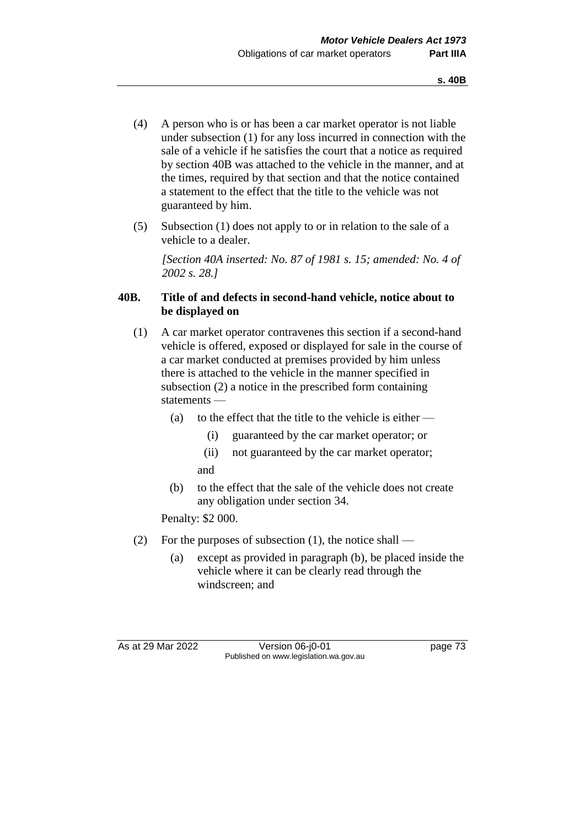- (4) A person who is or has been a car market operator is not liable under subsection (1) for any loss incurred in connection with the sale of a vehicle if he satisfies the court that a notice as required by section 40B was attached to the vehicle in the manner, and at the times, required by that section and that the notice contained a statement to the effect that the title to the vehicle was not guaranteed by him.
- (5) Subsection (1) does not apply to or in relation to the sale of a vehicle to a dealer.

*[Section 40A inserted: No. 87 of 1981 s. 15; amended: No. 4 of 2002 s. 28.]*

# **40B. Title of and defects in second-hand vehicle, notice about to be displayed on**

- (1) A car market operator contravenes this section if a second-hand vehicle is offered, exposed or displayed for sale in the course of a car market conducted at premises provided by him unless there is attached to the vehicle in the manner specified in subsection (2) a notice in the prescribed form containing statements —
	- (a) to the effect that the title to the vehicle is either
		- (i) guaranteed by the car market operator; or
		- (ii) not guaranteed by the car market operator; and
	- (b) to the effect that the sale of the vehicle does not create any obligation under section 34.

Penalty: \$2 000.

- (2) For the purposes of subsection (1), the notice shall
	- (a) except as provided in paragraph (b), be placed inside the vehicle where it can be clearly read through the windscreen; and

As at 29 Mar 2022 Version 06-j0-01 page 73 Published on www.legislation.wa.gov.au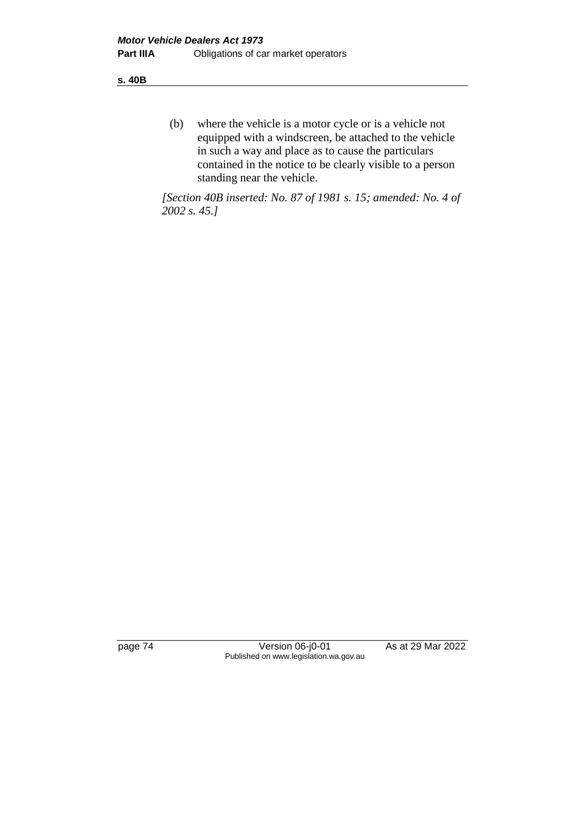**s. 40B**

(b) where the vehicle is a motor cycle or is a vehicle not equipped with a windscreen, be attached to the vehicle in such a way and place as to cause the particulars contained in the notice to be clearly visible to a person standing near the vehicle.

*[Section 40B inserted: No. 87 of 1981 s. 15; amended: No. 4 of 2002 s. 45.]*

page 74 Version 06-j0-01 As at 29 Mar 2022 Published on www.legislation.wa.gov.au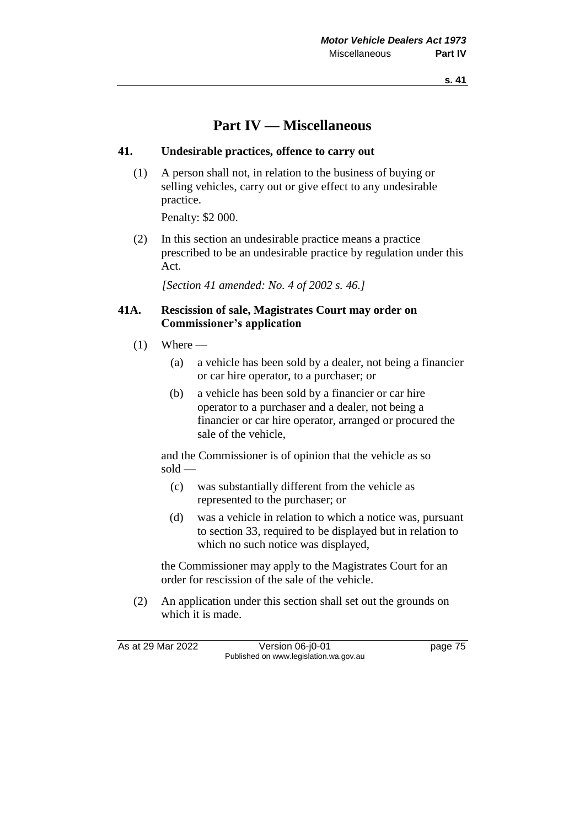**s. 41**

# **Part IV — Miscellaneous**

## **41. Undesirable practices, offence to carry out**

(1) A person shall not, in relation to the business of buying or selling vehicles, carry out or give effect to any undesirable practice.

Penalty: \$2 000.

(2) In this section an undesirable practice means a practice prescribed to be an undesirable practice by regulation under this Act.

*[Section 41 amended: No. 4 of 2002 s. 46.]*

## **41A. Rescission of sale, Magistrates Court may order on Commissioner's application**

- $(1)$  Where
	- (a) a vehicle has been sold by a dealer, not being a financier or car hire operator, to a purchaser; or
	- (b) a vehicle has been sold by a financier or car hire operator to a purchaser and a dealer, not being a financier or car hire operator, arranged or procured the sale of the vehicle,

and the Commissioner is of opinion that the vehicle as so sold —

- (c) was substantially different from the vehicle as represented to the purchaser; or
- (d) was a vehicle in relation to which a notice was, pursuant to section 33, required to be displayed but in relation to which no such notice was displayed,

the Commissioner may apply to the Magistrates Court for an order for rescission of the sale of the vehicle.

(2) An application under this section shall set out the grounds on which it is made.

As at 29 Mar 2022 Version 06-j0-01 page 75 Published on www.legislation.wa.gov.au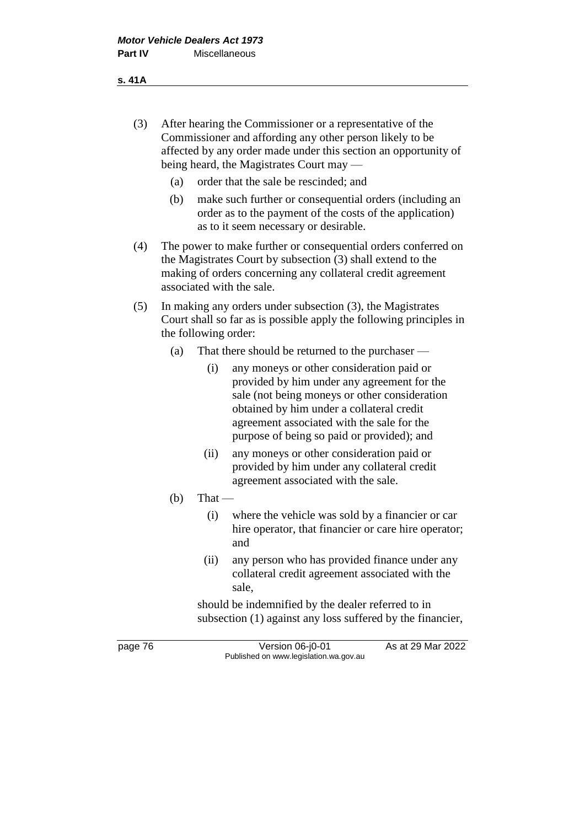- (3) After hearing the Commissioner or a representative of the Commissioner and affording any other person likely to be affected by any order made under this section an opportunity of being heard, the Magistrates Court may —
	- (a) order that the sale be rescinded; and
	- (b) make such further or consequential orders (including an order as to the payment of the costs of the application) as to it seem necessary or desirable.
- (4) The power to make further or consequential orders conferred on the Magistrates Court by subsection (3) shall extend to the making of orders concerning any collateral credit agreement associated with the sale.
- (5) In making any orders under subsection (3), the Magistrates Court shall so far as is possible apply the following principles in the following order:
	- (a) That there should be returned to the purchaser
		- (i) any moneys or other consideration paid or provided by him under any agreement for the sale (not being moneys or other consideration obtained by him under a collateral credit agreement associated with the sale for the purpose of being so paid or provided); and
		- (ii) any moneys or other consideration paid or provided by him under any collateral credit agreement associated with the sale.
	- $(b)$  That
		- (i) where the vehicle was sold by a financier or car hire operator, that financier or care hire operator; and
		- (ii) any person who has provided finance under any collateral credit agreement associated with the sale,

should be indemnified by the dealer referred to in subsection (1) against any loss suffered by the financier,

page 76 Version 06-j0-01 As at 29 Mar 2022 Published on www.legislation.wa.gov.au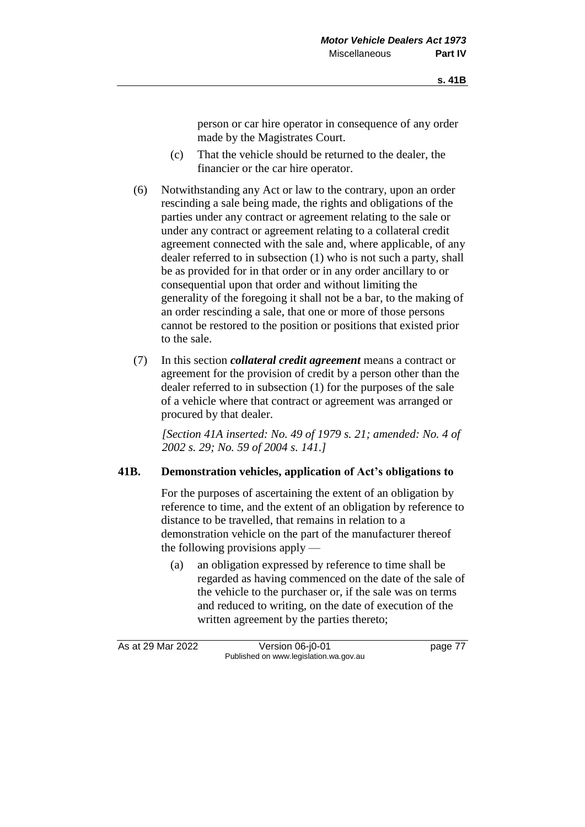person or car hire operator in consequence of any order made by the Magistrates Court.

- (c) That the vehicle should be returned to the dealer, the financier or the car hire operator.
- (6) Notwithstanding any Act or law to the contrary, upon an order rescinding a sale being made, the rights and obligations of the parties under any contract or agreement relating to the sale or under any contract or agreement relating to a collateral credit agreement connected with the sale and, where applicable, of any dealer referred to in subsection (1) who is not such a party, shall be as provided for in that order or in any order ancillary to or consequential upon that order and without limiting the generality of the foregoing it shall not be a bar, to the making of an order rescinding a sale, that one or more of those persons cannot be restored to the position or positions that existed prior to the sale.
- (7) In this section *collateral credit agreement* means a contract or agreement for the provision of credit by a person other than the dealer referred to in subsection (1) for the purposes of the sale of a vehicle where that contract or agreement was arranged or procured by that dealer.

*[Section 41A inserted: No. 49 of 1979 s. 21; amended: No. 4 of 2002 s. 29; No. 59 of 2004 s. 141.]*

### **41B. Demonstration vehicles, application of Act's obligations to**

For the purposes of ascertaining the extent of an obligation by reference to time, and the extent of an obligation by reference to distance to be travelled, that remains in relation to a demonstration vehicle on the part of the manufacturer thereof the following provisions apply —

(a) an obligation expressed by reference to time shall be regarded as having commenced on the date of the sale of the vehicle to the purchaser or, if the sale was on terms and reduced to writing, on the date of execution of the written agreement by the parties thereto;

As at 29 Mar 2022 Version 06-j0-01 page 77 Published on www.legislation.wa.gov.au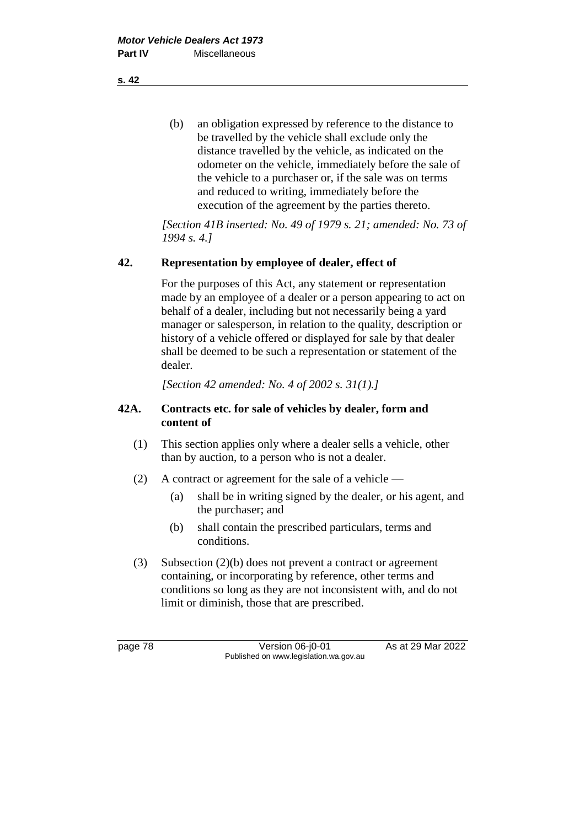(b) an obligation expressed by reference to the distance to be travelled by the vehicle shall exclude only the distance travelled by the vehicle, as indicated on the odometer on the vehicle, immediately before the sale of the vehicle to a purchaser or, if the sale was on terms and reduced to writing, immediately before the execution of the agreement by the parties thereto.

*[Section 41B inserted: No. 49 of 1979 s. 21; amended: No. 73 of 1994 s. 4.]*

## **42. Representation by employee of dealer, effect of**

For the purposes of this Act, any statement or representation made by an employee of a dealer or a person appearing to act on behalf of a dealer, including but not necessarily being a yard manager or salesperson, in relation to the quality, description or history of a vehicle offered or displayed for sale by that dealer shall be deemed to be such a representation or statement of the dealer.

*[Section 42 amended: No. 4 of 2002 s. 31(1).]*

## **42A. Contracts etc. for sale of vehicles by dealer, form and content of**

- (1) This section applies only where a dealer sells a vehicle, other than by auction, to a person who is not a dealer.
- (2) A contract or agreement for the sale of a vehicle
	- (a) shall be in writing signed by the dealer, or his agent, and the purchaser; and
	- (b) shall contain the prescribed particulars, terms and conditions.
- (3) Subsection (2)(b) does not prevent a contract or agreement containing, or incorporating by reference, other terms and conditions so long as they are not inconsistent with, and do not limit or diminish, those that are prescribed.

page 78 Version 06-j0-01 As at 29 Mar 2022 Published on www.legislation.wa.gov.au

**s. 42**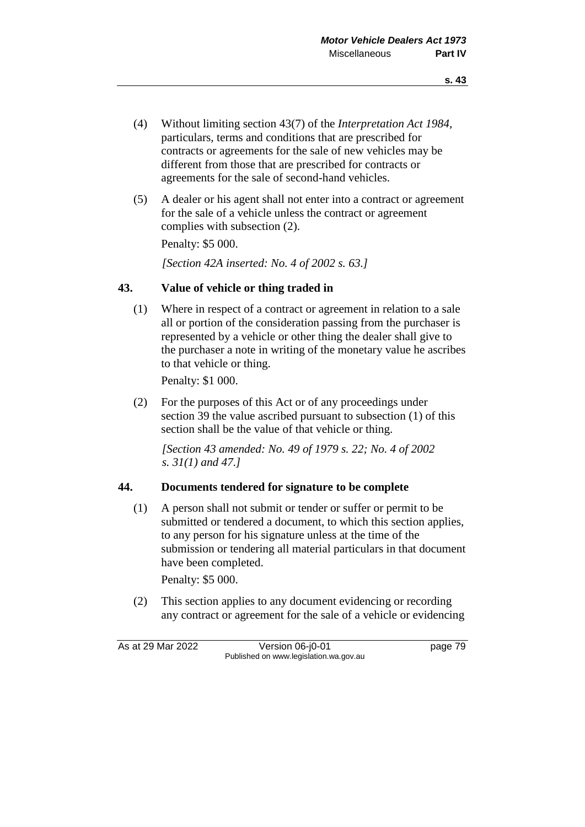- (4) Without limiting section 43(7) of the *Interpretation Act 1984*, particulars, terms and conditions that are prescribed for contracts or agreements for the sale of new vehicles may be different from those that are prescribed for contracts or agreements for the sale of second-hand vehicles.
- (5) A dealer or his agent shall not enter into a contract or agreement for the sale of a vehicle unless the contract or agreement complies with subsection (2).

Penalty: \$5 000.

*[Section 42A inserted: No. 4 of 2002 s. 63.]*

## **43. Value of vehicle or thing traded in**

(1) Where in respect of a contract or agreement in relation to a sale all or portion of the consideration passing from the purchaser is represented by a vehicle or other thing the dealer shall give to the purchaser a note in writing of the monetary value he ascribes to that vehicle or thing.

Penalty: \$1 000.

(2) For the purposes of this Act or of any proceedings under section 39 the value ascribed pursuant to subsection (1) of this section shall be the value of that vehicle or thing.

*[Section 43 amended: No. 49 of 1979 s. 22; No. 4 of 2002 s. 31(1) and 47.]*

### **44. Documents tendered for signature to be complete**

(1) A person shall not submit or tender or suffer or permit to be submitted or tendered a document, to which this section applies, to any person for his signature unless at the time of the submission or tendering all material particulars in that document have been completed.

Penalty: \$5 000.

(2) This section applies to any document evidencing or recording any contract or agreement for the sale of a vehicle or evidencing

As at 29 Mar 2022 Version 06-j0-01 page 79 Published on www.legislation.wa.gov.au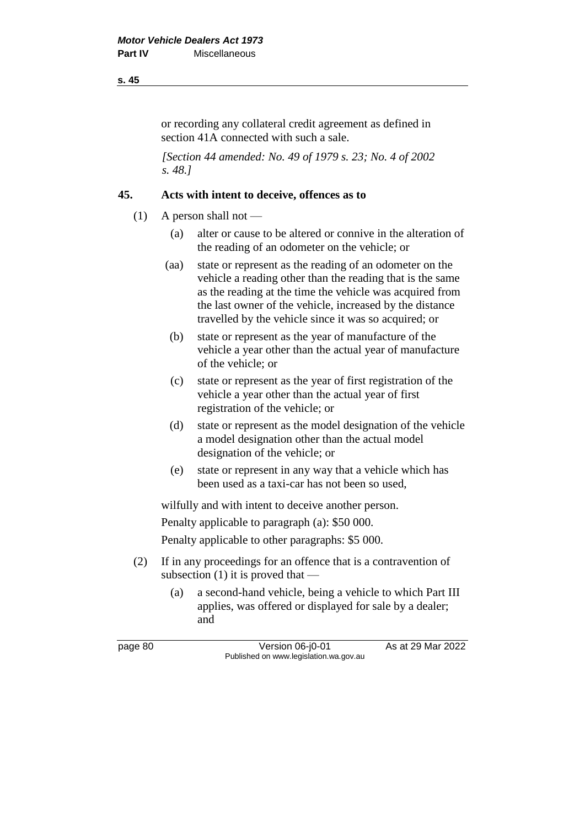#### **s. 45**

or recording any collateral credit agreement as defined in section 41A connected with such a sale.

*[Section 44 amended: No. 49 of 1979 s. 23; No. 4 of 2002 s. 48.]*

## **45. Acts with intent to deceive, offences as to**

- $(1)$  A person shall not
	- (a) alter or cause to be altered or connive in the alteration of the reading of an odometer on the vehicle; or
	- (aa) state or represent as the reading of an odometer on the vehicle a reading other than the reading that is the same as the reading at the time the vehicle was acquired from the last owner of the vehicle, increased by the distance travelled by the vehicle since it was so acquired; or
	- (b) state or represent as the year of manufacture of the vehicle a year other than the actual year of manufacture of the vehicle; or
	- (c) state or represent as the year of first registration of the vehicle a year other than the actual year of first registration of the vehicle; or
	- (d) state or represent as the model designation of the vehicle a model designation other than the actual model designation of the vehicle; or
	- (e) state or represent in any way that a vehicle which has been used as a taxi-car has not been so used,

wilfully and with intent to deceive another person.

Penalty applicable to paragraph (a): \$50 000.

Penalty applicable to other paragraphs: \$5 000.

- (2) If in any proceedings for an offence that is a contravention of subsection  $(1)$  it is proved that —
	- (a) a second-hand vehicle, being a vehicle to which Part III applies, was offered or displayed for sale by a dealer; and

page 80 Version 06-j0-01 As at 29 Mar 2022 Published on www.legislation.wa.gov.au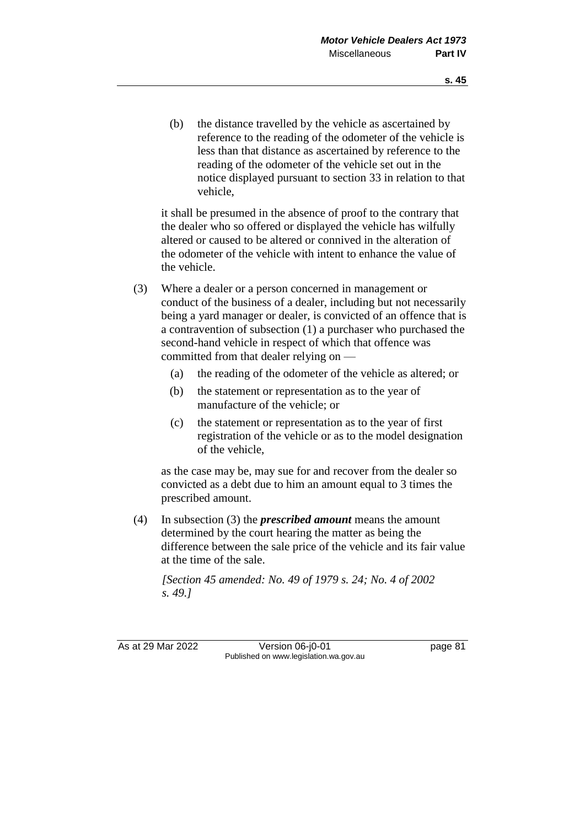(b) the distance travelled by the vehicle as ascertained by reference to the reading of the odometer of the vehicle is less than that distance as ascertained by reference to the reading of the odometer of the vehicle set out in the notice displayed pursuant to section 33 in relation to that vehicle,

it shall be presumed in the absence of proof to the contrary that the dealer who so offered or displayed the vehicle has wilfully altered or caused to be altered or connived in the alteration of the odometer of the vehicle with intent to enhance the value of the vehicle.

- (3) Where a dealer or a person concerned in management or conduct of the business of a dealer, including but not necessarily being a yard manager or dealer, is convicted of an offence that is a contravention of subsection (1) a purchaser who purchased the second-hand vehicle in respect of which that offence was committed from that dealer relying on —
	- (a) the reading of the odometer of the vehicle as altered; or
	- (b) the statement or representation as to the year of manufacture of the vehicle; or
	- (c) the statement or representation as to the year of first registration of the vehicle or as to the model designation of the vehicle,

as the case may be, may sue for and recover from the dealer so convicted as a debt due to him an amount equal to 3 times the prescribed amount.

(4) In subsection (3) the *prescribed amount* means the amount determined by the court hearing the matter as being the difference between the sale price of the vehicle and its fair value at the time of the sale.

*[Section 45 amended: No. 49 of 1979 s. 24; No. 4 of 2002 s. 49.]*

As at 29 Mar 2022 Version 06-j0-01 page 81 Published on www.legislation.wa.gov.au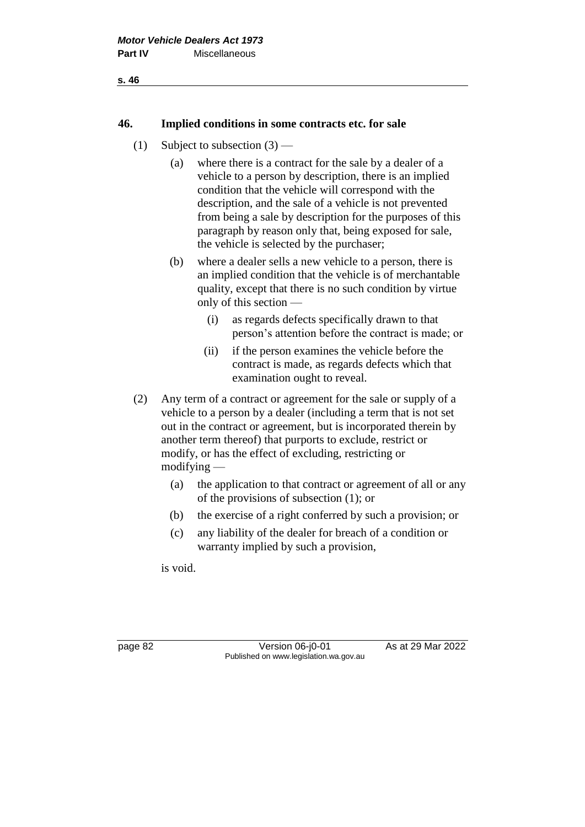#### **46. Implied conditions in some contracts etc. for sale**

- (1) Subject to subsection  $(3)$ 
	- (a) where there is a contract for the sale by a dealer of a vehicle to a person by description, there is an implied condition that the vehicle will correspond with the description, and the sale of a vehicle is not prevented from being a sale by description for the purposes of this paragraph by reason only that, being exposed for sale, the vehicle is selected by the purchaser;
	- (b) where a dealer sells a new vehicle to a person, there is an implied condition that the vehicle is of merchantable quality, except that there is no such condition by virtue only of this section —
		- (i) as regards defects specifically drawn to that person's attention before the contract is made; or
		- (ii) if the person examines the vehicle before the contract is made, as regards defects which that examination ought to reveal.
- (2) Any term of a contract or agreement for the sale or supply of a vehicle to a person by a dealer (including a term that is not set out in the contract or agreement, but is incorporated therein by another term thereof) that purports to exclude, restrict or modify, or has the effect of excluding, restricting or modifying —
	- (a) the application to that contract or agreement of all or any of the provisions of subsection (1); or
	- (b) the exercise of a right conferred by such a provision; or
	- (c) any liability of the dealer for breach of a condition or warranty implied by such a provision,

is void.

page 82 Version 06-j0-01 As at 29 Mar 2022 Published on www.legislation.wa.gov.au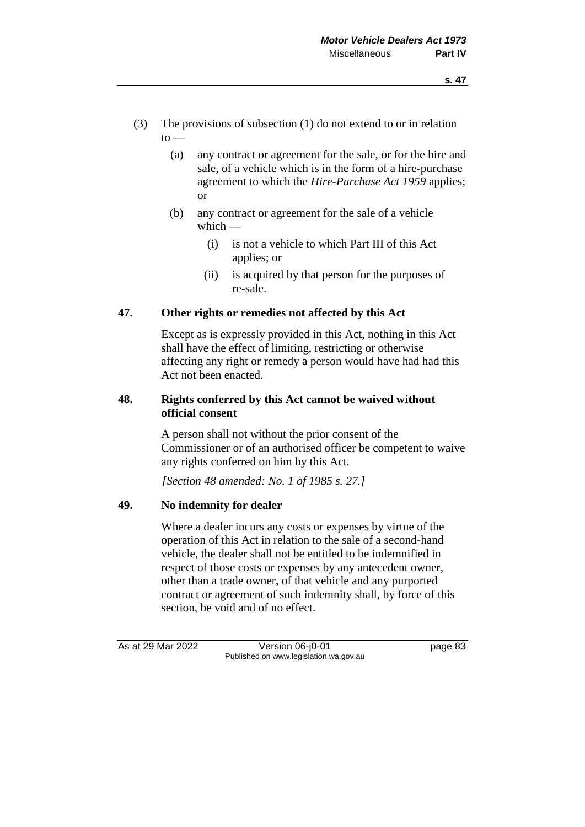- (3) The provisions of subsection (1) do not extend to or in relation  $to$ 
	- (a) any contract or agreement for the sale, or for the hire and sale, of a vehicle which is in the form of a hire-purchase agreement to which the *Hire-Purchase Act 1959* applies; or
	- (b) any contract or agreement for the sale of a vehicle which  $-$ 
		- (i) is not a vehicle to which Part III of this Act applies; or
		- (ii) is acquired by that person for the purposes of re-sale.

# **47. Other rights or remedies not affected by this Act**

Except as is expressly provided in this Act, nothing in this Act shall have the effect of limiting, restricting or otherwise affecting any right or remedy a person would have had had this Act not been enacted.

## **48. Rights conferred by this Act cannot be waived without official consent**

A person shall not without the prior consent of the Commissioner or of an authorised officer be competent to waive any rights conferred on him by this Act.

*[Section 48 amended: No. 1 of 1985 s. 27.]*

# **49. No indemnity for dealer**

Where a dealer incurs any costs or expenses by virtue of the operation of this Act in relation to the sale of a second-hand vehicle, the dealer shall not be entitled to be indemnified in respect of those costs or expenses by any antecedent owner, other than a trade owner, of that vehicle and any purported contract or agreement of such indemnity shall, by force of this section, be void and of no effect.

As at 29 Mar 2022 Version 06-j0-01 page 83 Published on www.legislation.wa.gov.au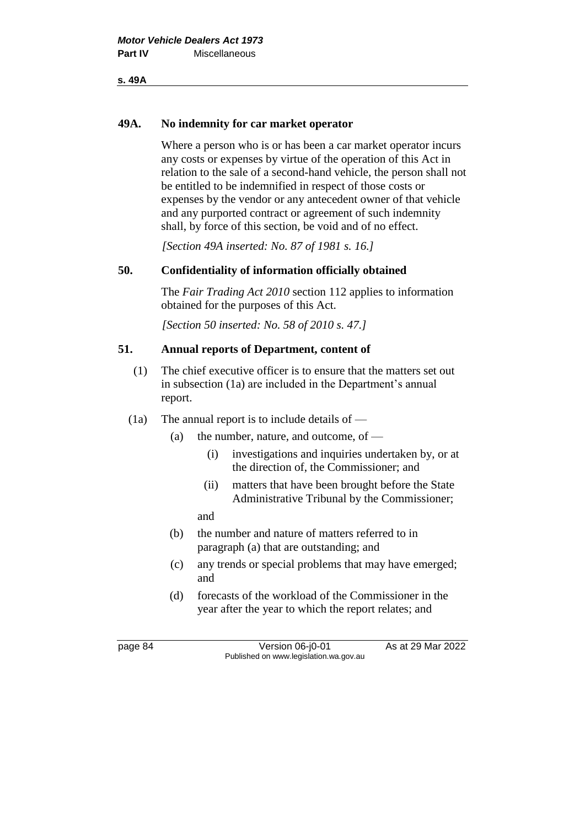#### **49A. No indemnity for car market operator**

Where a person who is or has been a car market operator incurs any costs or expenses by virtue of the operation of this Act in relation to the sale of a second-hand vehicle, the person shall not be entitled to be indemnified in respect of those costs or expenses by the vendor or any antecedent owner of that vehicle and any purported contract or agreement of such indemnity shall, by force of this section, be void and of no effect.

*[Section 49A inserted: No. 87 of 1981 s. 16.]*

### **50. Confidentiality of information officially obtained**

The *Fair Trading Act 2010* section 112 applies to information obtained for the purposes of this Act.

*[Section 50 inserted: No. 58 of 2010 s. 47.]*

## **51. Annual reports of Department, content of**

- (1) The chief executive officer is to ensure that the matters set out in subsection (1a) are included in the Department's annual report.
- $(1a)$  The annual report is to include details of
	- (a) the number, nature, and outcome, of  $-$ 
		- (i) investigations and inquiries undertaken by, or at the direction of, the Commissioner; and
		- (ii) matters that have been brought before the State Administrative Tribunal by the Commissioner;

and

- (b) the number and nature of matters referred to in paragraph (a) that are outstanding; and
- (c) any trends or special problems that may have emerged; and
- (d) forecasts of the workload of the Commissioner in the year after the year to which the report relates; and

page 84 Version 06-j0-01 As at 29 Mar 2022 Published on www.legislation.wa.gov.au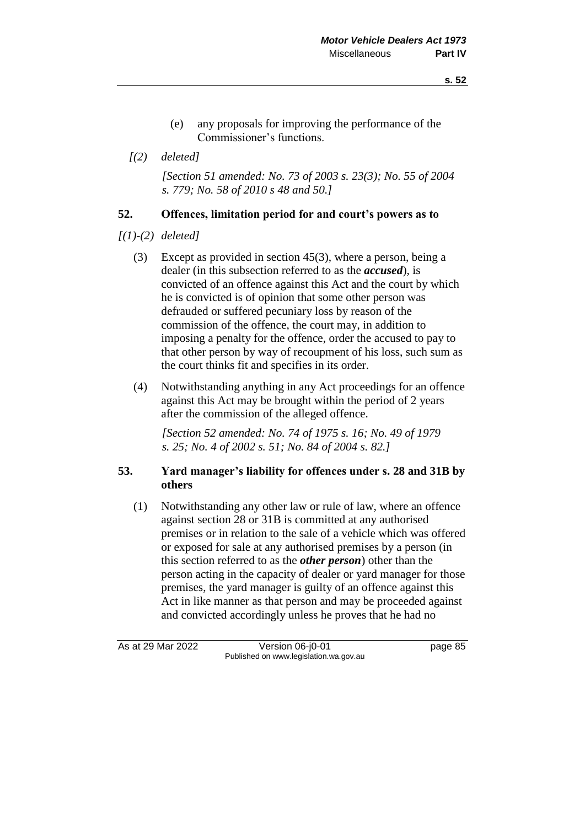- (e) any proposals for improving the performance of the Commissioner's functions.
- *[(2) deleted]*

*[Section 51 amended: No. 73 of 2003 s. 23(3); No. 55 of 2004 s. 779; No. 58 of 2010 s 48 and 50.]*

### **52. Offences, limitation period for and court's powers as to**

- *[(1)-(2) deleted]*
	- (3) Except as provided in section 45(3), where a person, being a dealer (in this subsection referred to as the *accused*), is convicted of an offence against this Act and the court by which he is convicted is of opinion that some other person was defrauded or suffered pecuniary loss by reason of the commission of the offence, the court may, in addition to imposing a penalty for the offence, order the accused to pay to that other person by way of recoupment of his loss, such sum as the court thinks fit and specifies in its order.
	- (4) Notwithstanding anything in any Act proceedings for an offence against this Act may be brought within the period of 2 years after the commission of the alleged offence.

*[Section 52 amended: No. 74 of 1975 s. 16; No. 49 of 1979 s. 25; No. 4 of 2002 s. 51; No. 84 of 2004 s. 82.]*

## **53. Yard manager's liability for offences under s. 28 and 31B by others**

(1) Notwithstanding any other law or rule of law, where an offence against section 28 or 31B is committed at any authorised premises or in relation to the sale of a vehicle which was offered or exposed for sale at any authorised premises by a person (in this section referred to as the *other person*) other than the person acting in the capacity of dealer or yard manager for those premises, the yard manager is guilty of an offence against this Act in like manner as that person and may be proceeded against and convicted accordingly unless he proves that he had no

As at 29 Mar 2022 Version 06-j0-01 page 85 Published on www.legislation.wa.gov.au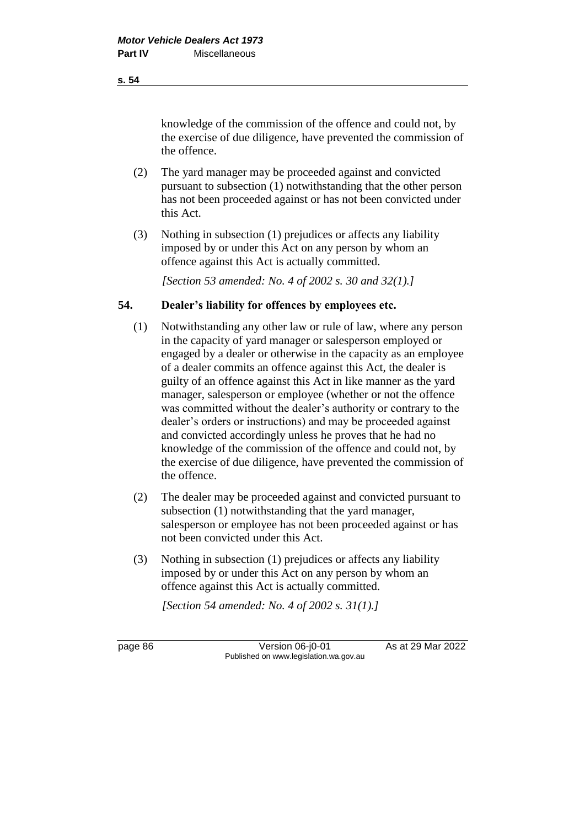**s. 54**

knowledge of the commission of the offence and could not, by the exercise of due diligence, have prevented the commission of the offence.

- (2) The yard manager may be proceeded against and convicted pursuant to subsection (1) notwithstanding that the other person has not been proceeded against or has not been convicted under this Act.
- (3) Nothing in subsection (1) prejudices or affects any liability imposed by or under this Act on any person by whom an offence against this Act is actually committed.

*[Section 53 amended: No. 4 of 2002 s. 30 and 32(1).]*

# **54. Dealer's liability for offences by employees etc.**

- (1) Notwithstanding any other law or rule of law, where any person in the capacity of yard manager or salesperson employed or engaged by a dealer or otherwise in the capacity as an employee of a dealer commits an offence against this Act, the dealer is guilty of an offence against this Act in like manner as the yard manager, salesperson or employee (whether or not the offence was committed without the dealer's authority or contrary to the dealer's orders or instructions) and may be proceeded against and convicted accordingly unless he proves that he had no knowledge of the commission of the offence and could not, by the exercise of due diligence, have prevented the commission of the offence.
- (2) The dealer may be proceeded against and convicted pursuant to subsection (1) notwithstanding that the yard manager, salesperson or employee has not been proceeded against or has not been convicted under this Act.
- (3) Nothing in subsection (1) prejudices or affects any liability imposed by or under this Act on any person by whom an offence against this Act is actually committed.

*[Section 54 amended: No. 4 of 2002 s. 31(1).]*

page 86 Version 06-j0-01 As at 29 Mar 2022 Published on www.legislation.wa.gov.au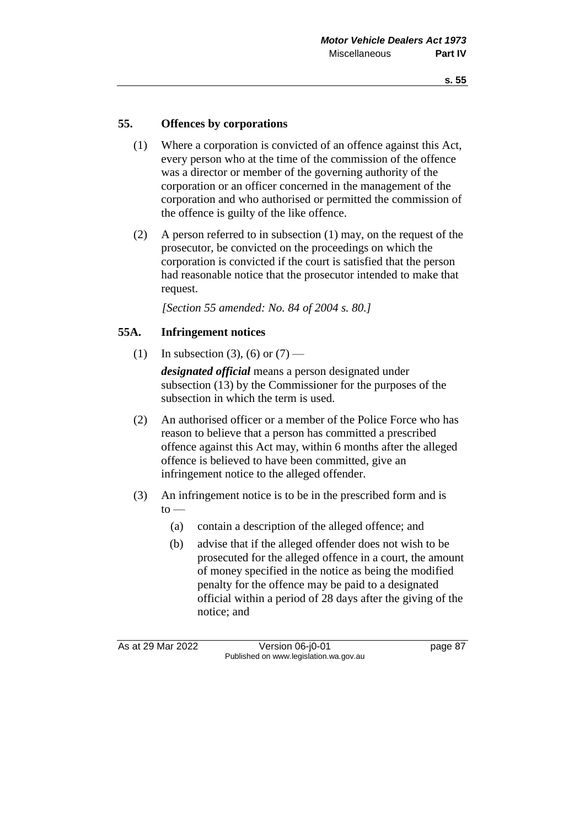## **55. Offences by corporations**

- (1) Where a corporation is convicted of an offence against this Act, every person who at the time of the commission of the offence was a director or member of the governing authority of the corporation or an officer concerned in the management of the corporation and who authorised or permitted the commission of the offence is guilty of the like offence.
- (2) A person referred to in subsection (1) may, on the request of the prosecutor, be convicted on the proceedings on which the corporation is convicted if the court is satisfied that the person had reasonable notice that the prosecutor intended to make that request.

*[Section 55 amended: No. 84 of 2004 s. 80.]*

## **55A. Infringement notices**

- (1) In subsection (3), (6) or  $(7)$  *designated official* means a person designated under subsection (13) by the Commissioner for the purposes of the subsection in which the term is used.
- (2) An authorised officer or a member of the Police Force who has reason to believe that a person has committed a prescribed offence against this Act may, within 6 months after the alleged offence is believed to have been committed, give an infringement notice to the alleged offender.
- (3) An infringement notice is to be in the prescribed form and is  $to$ 
	- (a) contain a description of the alleged offence; and
	- (b) advise that if the alleged offender does not wish to be prosecuted for the alleged offence in a court, the amount of money specified in the notice as being the modified penalty for the offence may be paid to a designated official within a period of 28 days after the giving of the notice; and

As at 29 Mar 2022 Version 06-j0-01 page 87 Published on www.legislation.wa.gov.au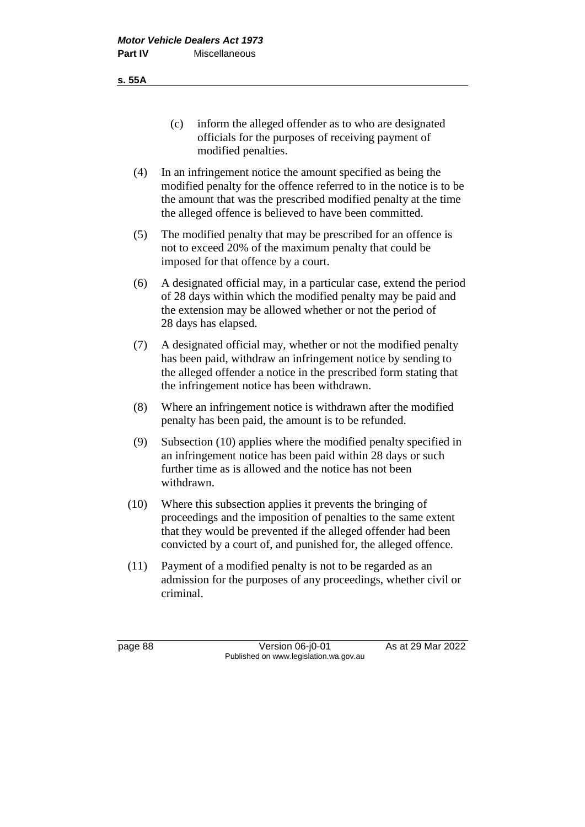**s. 55A**

- (c) inform the alleged offender as to who are designated officials for the purposes of receiving payment of modified penalties.
- (4) In an infringement notice the amount specified as being the modified penalty for the offence referred to in the notice is to be the amount that was the prescribed modified penalty at the time the alleged offence is believed to have been committed.
- (5) The modified penalty that may be prescribed for an offence is not to exceed 20% of the maximum penalty that could be imposed for that offence by a court.
- (6) A designated official may, in a particular case, extend the period of 28 days within which the modified penalty may be paid and the extension may be allowed whether or not the period of 28 days has elapsed.
- (7) A designated official may, whether or not the modified penalty has been paid, withdraw an infringement notice by sending to the alleged offender a notice in the prescribed form stating that the infringement notice has been withdrawn.
- (8) Where an infringement notice is withdrawn after the modified penalty has been paid, the amount is to be refunded.
- (9) Subsection (10) applies where the modified penalty specified in an infringement notice has been paid within 28 days or such further time as is allowed and the notice has not been withdrawn.
- (10) Where this subsection applies it prevents the bringing of proceedings and the imposition of penalties to the same extent that they would be prevented if the alleged offender had been convicted by a court of, and punished for, the alleged offence.
- (11) Payment of a modified penalty is not to be regarded as an admission for the purposes of any proceedings, whether civil or criminal.

page 88 Version 06-j0-01 As at 29 Mar 2022 Published on www.legislation.wa.gov.au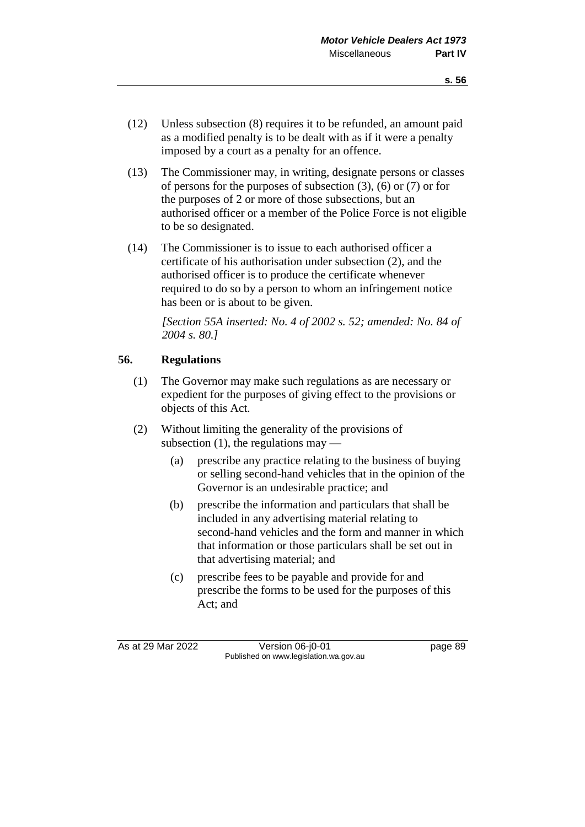- (12) Unless subsection (8) requires it to be refunded, an amount paid as a modified penalty is to be dealt with as if it were a penalty imposed by a court as a penalty for an offence.
- (13) The Commissioner may, in writing, designate persons or classes of persons for the purposes of subsection (3), (6) or (7) or for the purposes of 2 or more of those subsections, but an authorised officer or a member of the Police Force is not eligible to be so designated.
- (14) The Commissioner is to issue to each authorised officer a certificate of his authorisation under subsection (2), and the authorised officer is to produce the certificate whenever required to do so by a person to whom an infringement notice has been or is about to be given.

*[Section 55A inserted: No. 4 of 2002 s. 52; amended: No. 84 of 2004 s. 80.]*

## **56. Regulations**

- (1) The Governor may make such regulations as are necessary or expedient for the purposes of giving effect to the provisions or objects of this Act.
- (2) Without limiting the generality of the provisions of subsection  $(1)$ , the regulations may —
	- (a) prescribe any practice relating to the business of buying or selling second-hand vehicles that in the opinion of the Governor is an undesirable practice; and
	- (b) prescribe the information and particulars that shall be included in any advertising material relating to second-hand vehicles and the form and manner in which that information or those particulars shall be set out in that advertising material; and
	- (c) prescribe fees to be payable and provide for and prescribe the forms to be used for the purposes of this Act; and

As at 29 Mar 2022 Version 06-j0-01 page 89 Published on www.legislation.wa.gov.au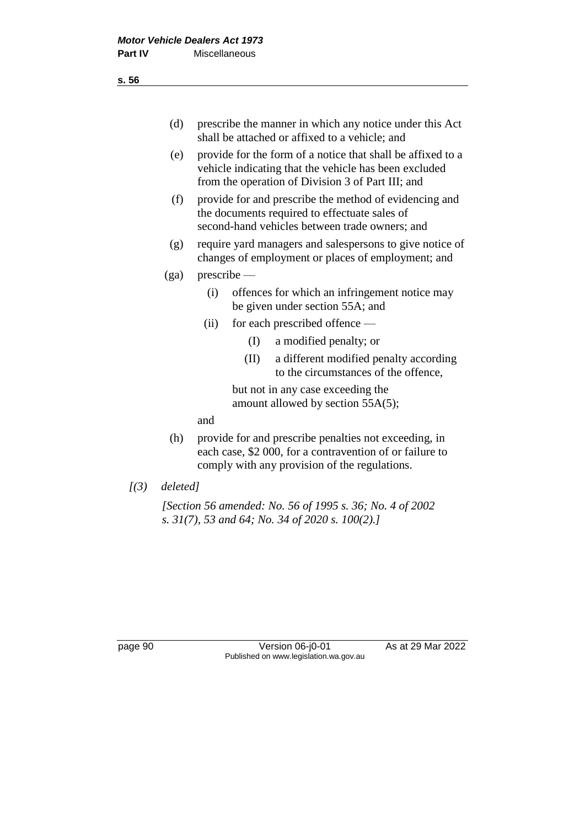- (d) prescribe the manner in which any notice under this Act shall be attached or affixed to a vehicle; and
- (e) provide for the form of a notice that shall be affixed to a vehicle indicating that the vehicle has been excluded from the operation of Division 3 of Part III; and
- (f) provide for and prescribe the method of evidencing and the documents required to effectuate sales of second-hand vehicles between trade owners; and
- (g) require yard managers and salespersons to give notice of changes of employment or places of employment; and
- (ga) prescribe
	- (i) offences for which an infringement notice may be given under section 55A; and
	- (ii) for each prescribed offence
		- (I) a modified penalty; or
		- (II) a different modified penalty according to the circumstances of the offence,

but not in any case exceeding the amount allowed by section 55A(5);

and

- (h) provide for and prescribe penalties not exceeding, in each case, \$2 000, for a contravention of or failure to comply with any provision of the regulations.
- *[(3) deleted]*

*[Section 56 amended: No. 56 of 1995 s. 36; No. 4 of 2002 s. 31(7), 53 and 64; No. 34 of 2020 s. 100(2).]*

page 90 Version 06-j0-01 As at 29 Mar 2022 Published on www.legislation.wa.gov.au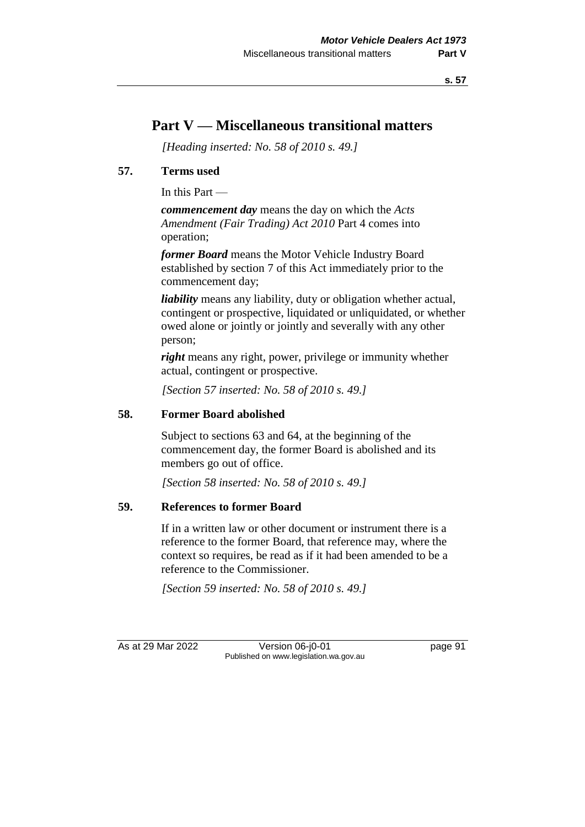# **Part V — Miscellaneous transitional matters**

*[Heading inserted: No. 58 of 2010 s. 49.]*

## **57. Terms used**

In this Part —

*commencement day* means the day on which the *Acts Amendment (Fair Trading) Act 2010* Part 4 comes into operation;

*former Board* means the Motor Vehicle Industry Board established by section 7 of this Act immediately prior to the commencement day;

*liability* means any liability, duty or obligation whether actual, contingent or prospective, liquidated or unliquidated, or whether owed alone or jointly or jointly and severally with any other person;

*right* means any right, power, privilege or immunity whether actual, contingent or prospective.

*[Section 57 inserted: No. 58 of 2010 s. 49.]*

### **58. Former Board abolished**

Subject to sections 63 and 64, at the beginning of the commencement day, the former Board is abolished and its members go out of office.

*[Section 58 inserted: No. 58 of 2010 s. 49.]*

## **59. References to former Board**

If in a written law or other document or instrument there is a reference to the former Board, that reference may, where the context so requires, be read as if it had been amended to be a reference to the Commissioner.

*[Section 59 inserted: No. 58 of 2010 s. 49.]*

As at 29 Mar 2022 Version 06-j0-01 page 91 Published on www.legislation.wa.gov.au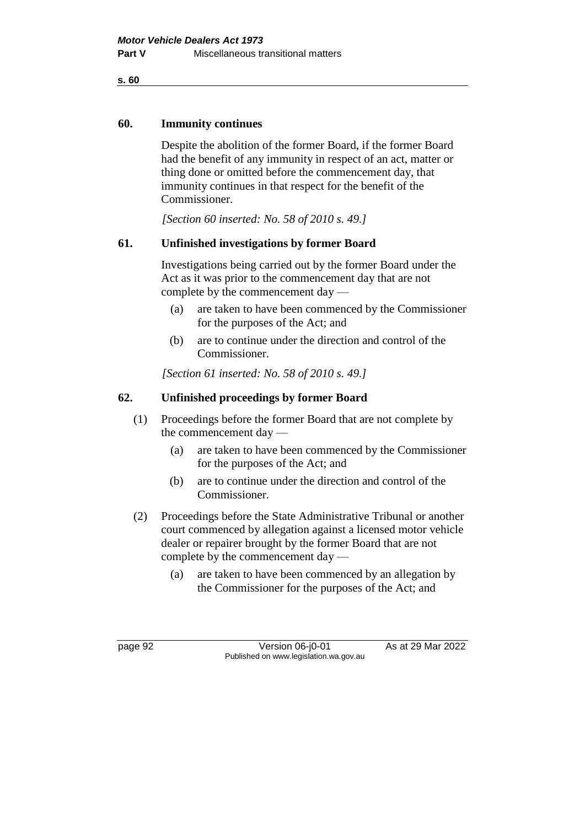**s. 60**

### **60. Immunity continues**

Despite the abolition of the former Board, if the former Board had the benefit of any immunity in respect of an act, matter or thing done or omitted before the commencement day, that immunity continues in that respect for the benefit of the Commissioner.

*[Section 60 inserted: No. 58 of 2010 s. 49.]*

# **61. Unfinished investigations by former Board**

Investigations being carried out by the former Board under the Act as it was prior to the commencement day that are not complete by the commencement day —

- (a) are taken to have been commenced by the Commissioner for the purposes of the Act; and
- (b) are to continue under the direction and control of the Commissioner.

*[Section 61 inserted: No. 58 of 2010 s. 49.]*

# **62. Unfinished proceedings by former Board**

- (1) Proceedings before the former Board that are not complete by the commencement day —
	- (a) are taken to have been commenced by the Commissioner for the purposes of the Act; and
	- (b) are to continue under the direction and control of the Commissioner.
- (2) Proceedings before the State Administrative Tribunal or another court commenced by allegation against a licensed motor vehicle dealer or repairer brought by the former Board that are not complete by the commencement day —
	- (a) are taken to have been commenced by an allegation by the Commissioner for the purposes of the Act; and

page 92 Version 06-j0-01 As at 29 Mar 2022 Published on www.legislation.wa.gov.au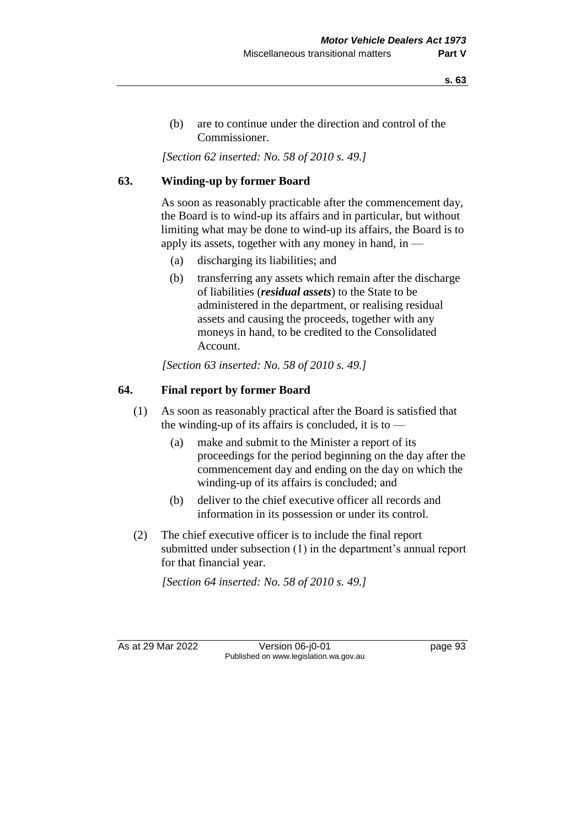**s. 63**

(b) are to continue under the direction and control of the Commissioner.

*[Section 62 inserted: No. 58 of 2010 s. 49.]*

# **63. Winding-up by former Board**

As soon as reasonably practicable after the commencement day, the Board is to wind-up its affairs and in particular, but without limiting what may be done to wind-up its affairs, the Board is to apply its assets, together with any money in hand, in —

- (a) discharging its liabilities; and
- (b) transferring any assets which remain after the discharge of liabilities (*residual assets*) to the State to be administered in the department, or realising residual assets and causing the proceeds, together with any moneys in hand, to be credited to the Consolidated Account.

*[Section 63 inserted: No. 58 of 2010 s. 49.]*

## **64. Final report by former Board**

- (1) As soon as reasonably practical after the Board is satisfied that the winding-up of its affairs is concluded, it is to  $-$ 
	- (a) make and submit to the Minister a report of its proceedings for the period beginning on the day after the commencement day and ending on the day on which the winding-up of its affairs is concluded; and
	- (b) deliver to the chief executive officer all records and information in its possession or under its control.
- (2) The chief executive officer is to include the final report submitted under subsection (1) in the department's annual report for that financial year.

*[Section 64 inserted: No. 58 of 2010 s. 49.]*

As at 29 Mar 2022 Version 06-j0-01 page 93 Published on www.legislation.wa.gov.au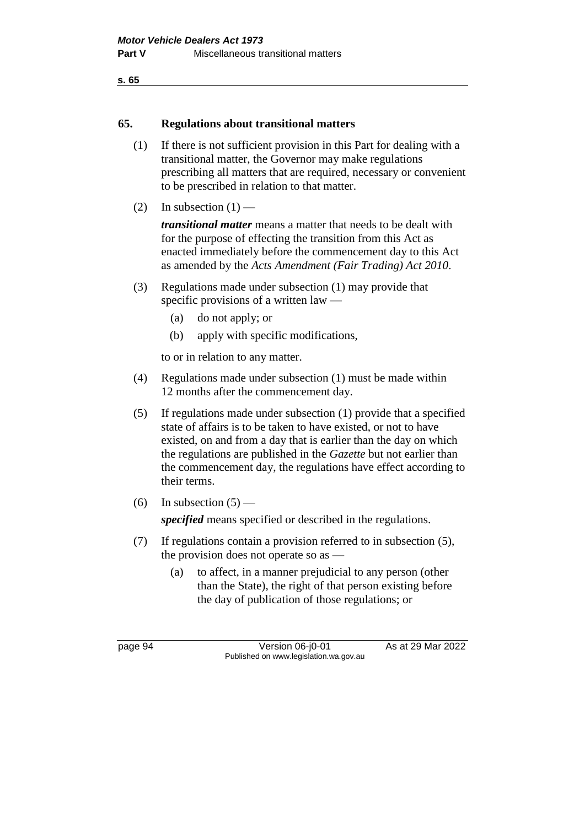```
s. 65
```
### **65. Regulations about transitional matters**

- (1) If there is not sufficient provision in this Part for dealing with a transitional matter, the Governor may make regulations prescribing all matters that are required, necessary or convenient to be prescribed in relation to that matter.
- (2) In subsection  $(1)$  —

*transitional matter* means a matter that needs to be dealt with for the purpose of effecting the transition from this Act as enacted immediately before the commencement day to this Act as amended by the *Acts Amendment (Fair Trading) Act 2010*.

- (3) Regulations made under subsection (1) may provide that specific provisions of a written law —
	- (a) do not apply; or
	- (b) apply with specific modifications,

to or in relation to any matter.

- (4) Regulations made under subsection (1) must be made within 12 months after the commencement day.
- (5) If regulations made under subsection (1) provide that a specified state of affairs is to be taken to have existed, or not to have existed, on and from a day that is earlier than the day on which the regulations are published in the *Gazette* but not earlier than the commencement day, the regulations have effect according to their terms.
- (6) In subsection  $(5)$  —

*specified* means specified or described in the regulations.

- (7) If regulations contain a provision referred to in subsection (5), the provision does not operate so as —
	- (a) to affect, in a manner prejudicial to any person (other than the State), the right of that person existing before the day of publication of those regulations; or

page 94 Version 06-j0-01 As at 29 Mar 2022 Published on www.legislation.wa.gov.au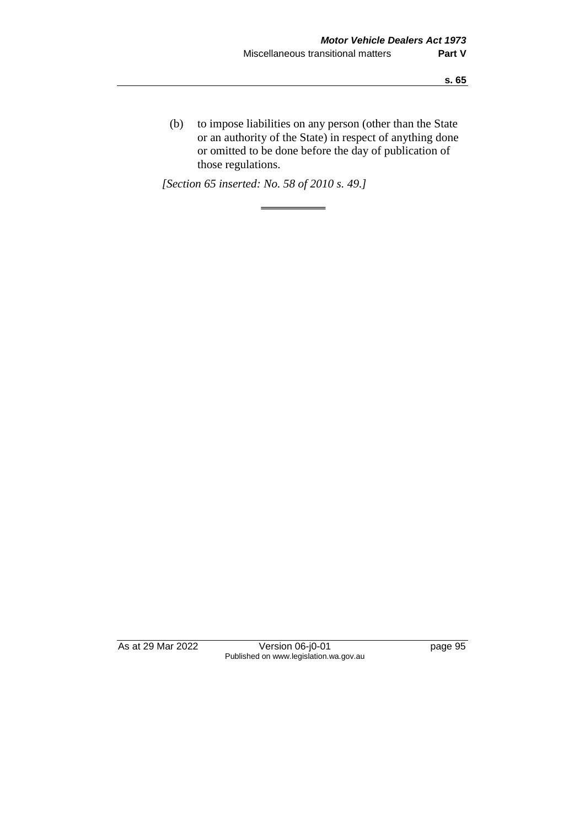(b) to impose liabilities on any person (other than the State or an authority of the State) in respect of anything done or omitted to be done before the day of publication of those regulations.

*[Section 65 inserted: No. 58 of 2010 s. 49.]*

As at 29 Mar 2022 Version 06-j0-01 page 95 Published on www.legislation.wa.gov.au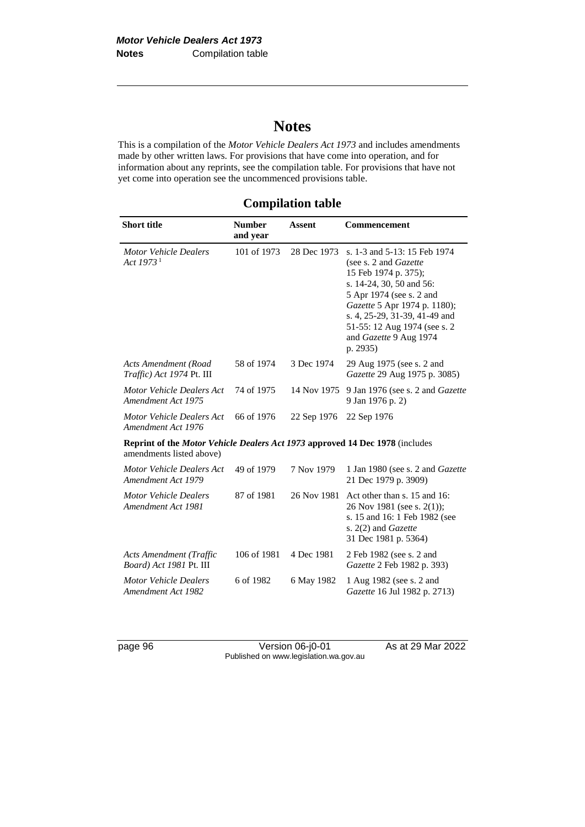# **Notes**

This is a compilation of the *Motor Vehicle Dealers Act 1973* and includes amendments made by other written laws. For provisions that have come into operation, and for information about any reprints, see the compilation table. For provisions that have not yet come into operation see the uncommenced provisions table.

| <b>Short title</b>                                                                                       | <b>Number</b><br>and year | <b>Assent</b> | <b>Commencement</b>                                                                                                                                                                                                                                                          |  |
|----------------------------------------------------------------------------------------------------------|---------------------------|---------------|------------------------------------------------------------------------------------------------------------------------------------------------------------------------------------------------------------------------------------------------------------------------------|--|
| <b>Motor Vehicle Dealers</b><br>Act $19731$                                                              | 101 of 1973               | 28 Dec 1973   | s. 1-3 and 5-13: 15 Feb 1974<br>(see s. 2 and Gazette<br>15 Feb 1974 p. 375);<br>s. 14-24, 30, 50 and 56:<br>5 Apr 1974 (see s. 2 and<br>Gazette 5 Apr 1974 p. 1180);<br>s. 4, 25-29, 31-39, 41-49 and<br>51-55: 12 Aug 1974 (see s. 2<br>and Gazette 9 Aug 1974<br>p. 2935) |  |
| Acts Amendment (Road<br><i>Traffic</i> ) Act 1974 Pt. III                                                | 58 of 1974                | 3 Dec 1974    | 29 Aug 1975 (see s. 2 and<br>Gazette 29 Aug 1975 p. 3085)                                                                                                                                                                                                                    |  |
| Motor Vehicle Dealers Act<br>Amendment Act 1975                                                          | 74 of 1975                | 14 Nov 1975   | 9 Jan 1976 (see s. 2 and Gazette<br>9 Jan 1976 p. 2)                                                                                                                                                                                                                         |  |
| Motor Vehicle Dealers Act<br>Amendment Act 1976                                                          | 66 of 1976                | 22 Sep 1976   | 22 Sep 1976                                                                                                                                                                                                                                                                  |  |
| Reprint of the Motor Vehicle Dealers Act 1973 approved 14 Dec 1978 (includes<br>amendments listed above) |                           |               |                                                                                                                                                                                                                                                                              |  |
| Motor Vehicle Dealers Act<br>Amendment Act 1979                                                          | 49 of 1979                | 7 Nov 1979    | 1 Jan 1980 (see s. 2 and Gazette<br>21 Dec 1979 p. 3909)                                                                                                                                                                                                                     |  |
| <b>Motor Vehicle Dealers</b><br>Amendment Act 1981                                                       | 87 of 1981                | 26 Nov 1981   | Act other than s. 15 and 16:<br>26 Nov 1981 (see s. 2(1));<br>s. 15 and 16: 1 Feb 1982 (see<br>s. 2(2) and Gazette<br>31 Dec 1981 p. 5364)                                                                                                                                   |  |
| Acts Amendment (Traffic<br>Board) Act 1981 Pt. III                                                       | 106 of 1981               | 4 Dec 1981    | 2 Feb 1982 (see s. 2 and<br>Gazette 2 Feb 1982 p. 393)                                                                                                                                                                                                                       |  |
| <b>Motor Vehicle Dealers</b><br>Amendment Act 1982                                                       | 6 of 1982                 | 6 May 1982    | 1 Aug 1982 (see s. 2 and<br><i>Gazette</i> 16 Jul 1982 p. 2713)                                                                                                                                                                                                              |  |

page 96 Version 06-j0-01 As at 29 Mar 2022 Published on www.legislation.wa.gov.au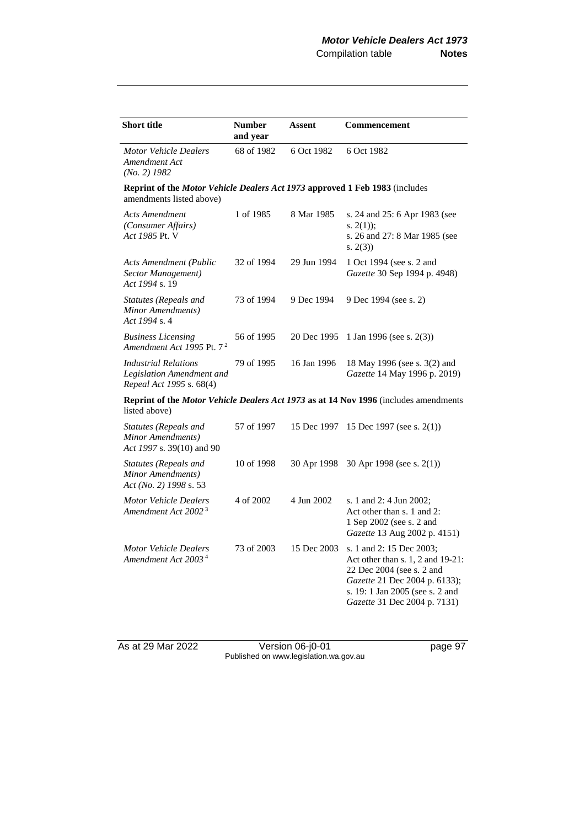| <b>Short title</b>                                                                                      | <b>Number</b><br>and year                                                            | <b>Assent</b> | Commencement                                                                                                                                                                                   |  |  |
|---------------------------------------------------------------------------------------------------------|--------------------------------------------------------------------------------------|---------------|------------------------------------------------------------------------------------------------------------------------------------------------------------------------------------------------|--|--|
| <b>Motor Vehicle Dealers</b><br>Amendment Act<br>$(No. 2)$ 1982                                         | 68 of 1982                                                                           | 6 Oct 1982    | 6 Oct 1982                                                                                                                                                                                     |  |  |
| Reprint of the Motor Vehicle Dealers Act 1973 approved 1 Feb 1983 (includes<br>amendments listed above) |                                                                                      |               |                                                                                                                                                                                                |  |  |
| <b>Acts Amendment</b><br>(Consumer Affairs)<br>Act 1985 Pt. V                                           | 1 of 1985                                                                            | 8 Mar 1985    | s. 24 and 25: 6 Apr 1983 (see<br>s. $2(1)$ ;<br>s. 26 and 27: 8 Mar 1985 (see<br>s. 2(3)                                                                                                       |  |  |
| <b>Acts Amendment (Public</b><br>Sector Management)<br>Act 1994 s. 19                                   | 32 of 1994                                                                           | 29 Jun 1994   | 1 Oct 1994 (see s. 2 and<br>Gazette 30 Sep 1994 p. 4948)                                                                                                                                       |  |  |
| <b>Statutes (Repeals and</b><br>Minor Amendments)<br>Act 1994 s. 4                                      | 73 of 1994                                                                           | 9 Dec 1994    | 9 Dec 1994 (see s. 2)                                                                                                                                                                          |  |  |
| <b>Business Licensing</b><br>Amendment Act 1995 Pt. 7 <sup>2</sup>                                      | 56 of 1995                                                                           | 20 Dec 1995   | 1 Jan 1996 (see s. $2(3)$ )                                                                                                                                                                    |  |  |
| <b>Industrial Relations</b><br>Legislation Amendment and<br>Repeal Act 1995 s. 68(4)                    | 79 of 1995                                                                           | 16 Jan 1996   | 18 May 1996 (see s. 3(2) and<br>Gazette 14 May 1996 p. 2019)                                                                                                                                   |  |  |
| listed above)                                                                                           | Reprint of the Motor Vehicle Dealers Act 1973 as at 14 Nov 1996 (includes amendments |               |                                                                                                                                                                                                |  |  |
| Statutes (Repeals and<br>Minor Amendments)<br>Act 1997 s. 39(10) and 90                                 | 57 of 1997                                                                           | 15 Dec 1997   | 15 Dec 1997 (see s. $2(1)$ )                                                                                                                                                                   |  |  |
| Statutes (Repeals and<br>Minor Amendments)<br>Act (No. 2) 1998 s. 53                                    | 10 of 1998                                                                           | 30 Apr 1998   | 30 Apr 1998 (see s. $2(1)$ )                                                                                                                                                                   |  |  |
| <b>Motor Vehicle Dealers</b><br>Amendment Act 2002 <sup>3</sup>                                         | 4 of 2002                                                                            | 4 Jun 2002    | s. 1 and 2: 4 Jun 2002;<br>Act other than s. 1 and 2:<br>1 Sep 2002 (see s. 2 and<br>Gazette 13 Aug 2002 p. 4151)                                                                              |  |  |
| <b>Motor Vehicle Dealers</b><br>Amendment Act 2003 <sup>4</sup>                                         | 73 of 2003                                                                           | 15 Dec 2003   | s. 1 and 2: 15 Dec 2003;<br>Act other than s. 1, 2 and 19-21:<br>22 Dec 2004 (see s. 2 and<br>Gazette 21 Dec 2004 p. 6133);<br>s. 19: 1 Jan 2005 (see s. 2 and<br>Gazette 31 Dec 2004 p. 7131) |  |  |

As at 29 Mar 2022 Version 06-j0-01 page 97 Published on www.legislation.wa.gov.au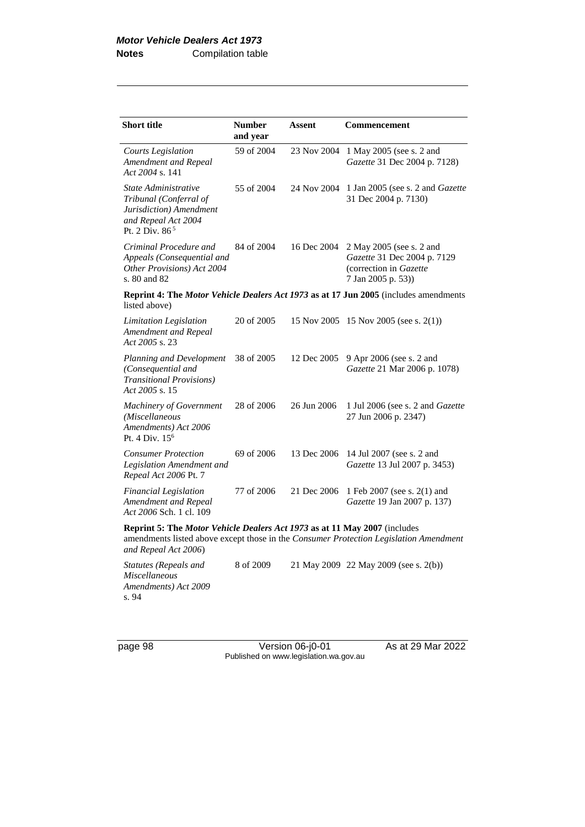| <b>Short title</b>                                                                                                                                                                         | <b>Number</b><br>and year | Assent      | <b>Commencement</b>                                                                                     |
|--------------------------------------------------------------------------------------------------------------------------------------------------------------------------------------------|---------------------------|-------------|---------------------------------------------------------------------------------------------------------|
| Courts Legislation<br>Amendment and Repeal<br>Act 2004 s. 141                                                                                                                              | 59 of 2004                | 23 Nov 2004 | 1 May 2005 (see s. 2 and<br>Gazette 31 Dec 2004 p. 7128)                                                |
| State Administrative<br>Tribunal (Conferral of<br>Jurisdiction) Amendment<br>and Repeal Act 2004<br>Pt. 2 Div. $86^5$                                                                      | 55 of 2004                | 24 Nov 2004 | 1 Jan 2005 (see s. 2 and Gazette<br>31 Dec 2004 p. 7130)                                                |
| Criminal Procedure and<br>Appeals (Consequential and<br>Other Provisions) Act 2004<br>s. 80 and 82                                                                                         | 84 of 2004                | 16 Dec 2004 | 2 May 2005 (see s. 2 and<br>Gazette 31 Dec 2004 p. 7129<br>(correction in Gazette<br>7 Jan 2005 p. 53)) |
| listed above)                                                                                                                                                                              |                           |             | Reprint 4: The <i>Motor Vehicle Dealers Act 1973</i> as at 17 Jun 2005 (includes amendments             |
| <b>Limitation Legislation</b><br>Amendment and Repeal<br>Act 2005 s. 23                                                                                                                    | 20 of 2005                | 15 Nov 2005 | 15 Nov 2005 (see s. $2(1)$ )                                                                            |
| Planning and Development<br>(Consequential and<br><b>Transitional Provisions)</b><br>Act 2005 s. 15                                                                                        | 38 of 2005                | 12 Dec 2005 | 9 Apr 2006 (see s. 2 and<br>Gazette 21 Mar 2006 p. 1078)                                                |
| Machinery of Government<br>(Miscellaneous<br>Amendments) Act 2006<br>Pt. 4 Div. $156$                                                                                                      | 28 of 2006                | 26 Jun 2006 | 1 Jul 2006 (see s. 2 and Gazette<br>27 Jun 2006 p. 2347)                                                |
| <b>Consumer Protection</b><br>Legislation Amendment and<br>Repeal Act 2006 Pt. 7                                                                                                           | 69 of 2006                | 13 Dec 2006 | 14 Jul 2007 (see s. 2 and<br>Gazette 13 Jul 2007 p. 3453)                                               |
| <b>Financial Legislation</b><br>Amendment and Repeal<br>Act 2006 Sch. 1 cl. 109                                                                                                            | 77 of 2006                | 21 Dec 2006 | 1 Feb 2007 (see s. 2(1) and<br>Gazette 19 Jan 2007 p. 137)                                              |
| Reprint 5: The Motor Vehicle Dealers Act 1973 as at 11 May 2007 (includes<br>amendments listed above except those in the Consumer Protection Legislation Amendment<br>and Repeal Act 2006) |                           |             |                                                                                                         |
| <b>Statutes (Repeals and</b><br><b>Miscellaneous</b><br>Amendments) Act 2009<br>s. 94                                                                                                      | 8 of 2009                 |             | 21 May 2009 22 May 2009 (see s. 2(b))                                                                   |

page 98 Version 06-j0-01 As at 29 Mar 2022 Published on www.legislation.wa.gov.au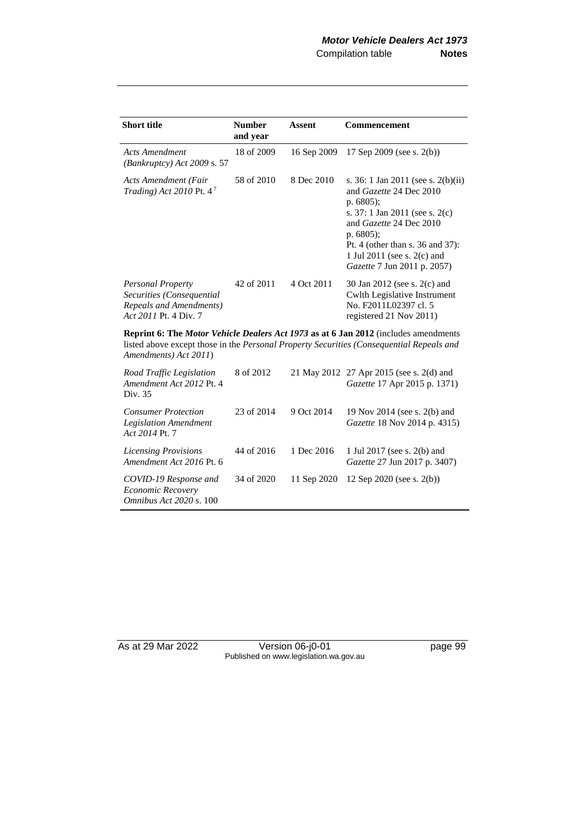| <b>Short title</b>                                                                                 | <b>Number</b><br>and year | Assent      | Commencement                                                                                                                                                                                                                                                           |
|----------------------------------------------------------------------------------------------------|---------------------------|-------------|------------------------------------------------------------------------------------------------------------------------------------------------------------------------------------------------------------------------------------------------------------------------|
| Acts Amendment<br>(Bankruptcy) Act 2009 s. 57                                                      | 18 of 2009                | 16 Sep 2009 | 17 Sep 2009 (see s. $2(b)$ )                                                                                                                                                                                                                                           |
| Acts Amendment (Fair<br>Trading) Act 2010 Pt. $4^7$                                                | 58 of 2010                | 8 Dec 2010  | s. 36: 1 Jan 2011 (see s. 2(b)(ii)<br>and <i>Gazette</i> 24 Dec 2010<br>p. $6805$ ;<br>s. 37: 1 Jan 2011 (see s. 2(c)<br>and Gazette 24 Dec 2010<br>p. $6805$ ;<br>Pt. 4 (other than s. $36$ and $37$ ):<br>1 Jul 2011 (see s. 2(c) and<br>Gazette 7 Jun 2011 p. 2057) |
| Personal Property<br>Securities (Consequential<br>Repeals and Amendments)<br>Act 2011 Pt. 4 Div. 7 | 42 of 2011                | 4 Oct 2011  | 30 Jan 2012 (see s. 2(c) and<br>Cwlth Legislative Instrument<br>No. F2011L02397 cl. 5<br>registered 21 Nov 2011)                                                                                                                                                       |

**Reprint 6: The** *Motor Vehicle Dealers Act 1973* **as at 6 Jan 2012** (includes amendments listed above except those in the *Personal Property Securities (Consequential Repeals and Amendments) Act 2011*)

| Road Traffic Legislation<br>Amendment Act 2012 Pt. 4<br>Div. 35              | 8 of 2012  |             | 21 May 2012 27 Apr 2015 (see s. 2(d) and<br>Gazette 17 Apr 2015 p. 1371) |
|------------------------------------------------------------------------------|------------|-------------|--------------------------------------------------------------------------|
| <b>Consumer Protection</b><br><b>Legislation Amendment</b><br>Act 2014 Pt. 7 | 23 of 2014 | 9 Oct 2014  | 19 Nov 2014 (see s. 2(b) and<br>Gazette 18 Nov 2014 p. 4315)             |
| <b>Licensing Provisions</b><br>Amendment Act 2016 Pt. 6                      | 44 of 2016 | 1 Dec 2016  | 1 Jul 2017 (see s. 2(b) and<br><i>Gazette</i> 27 Jun 2017 p. 3407)       |
| COVID-19 Response and<br>Economic Recovery<br><i>Omnibus Act 2020 s.</i> 100 | 34 of 2020 | 11 Sep 2020 | 12 Sep 2020 (see s. $2(b)$ )                                             |

As at 29 Mar 2022 Version 06-j0-01 page 99 Published on www.legislation.wa.gov.au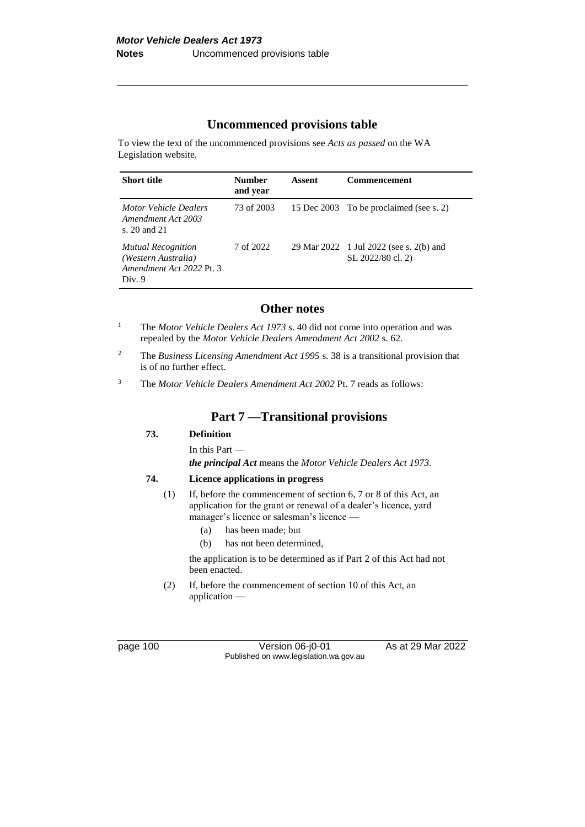## **Uncommenced provisions table**

To view the text of the uncommenced provisions see *Acts as passed* on the WA Legislation website.

| <b>Short title</b>                                                                     | <b>Number</b><br>and year | Assent | <b>Commencement</b>                                          |
|----------------------------------------------------------------------------------------|---------------------------|--------|--------------------------------------------------------------|
| <b>Motor Vehicle Dealers</b><br>Amendment Act 2003<br>s. 20 and 21                     | 73 of 2003                |        | 15 Dec 2003 To be proclaimed (see s. 2)                      |
| <b>Mutual Recognition</b><br>(Western Australia)<br>Amendment Act 2022 Pt. 3<br>Div. 9 | 7 of 2022                 |        | 29 Mar 2022 1 Jul 2022 (see s. 2(b) and<br>SL 2022/80 cl. 2) |

### **Other notes**

- <sup>1</sup> The *Motor Vehicle Dealers Act 1973* s. 40 did not come into operation and was repealed by the *Motor Vehicle Dealers Amendment Act 2002* s. 62.
- <sup>2</sup> The *Business Licensing Amendment Act 1995* s. 38 is a transitional provision that is of no further effect.

<sup>3</sup> The *Motor Vehicle Dealers Amendment Act 2002* Pt. 7 reads as follows:

#### **Part 7 —Transitional provisions**

#### **73. Definition**

In this Part —

*the principal Act* means the *Motor Vehicle Dealers Act 1973*.

#### **74. Licence applications in progress**

- (1) If, before the commencement of section 6, 7 or 8 of this Act, an application for the grant or renewal of a dealer's licence, yard manager's licence or salesman's licence -
	- (a) has been made; but
	- (b) has not been determined,

the application is to be determined as if Part 2 of this Act had not been enacted.

(2) If, before the commencement of section 10 of this Act, an application —

page 100 Version 06-j0-01 As at 29 Mar 2022 Published on www.legislation.wa.gov.au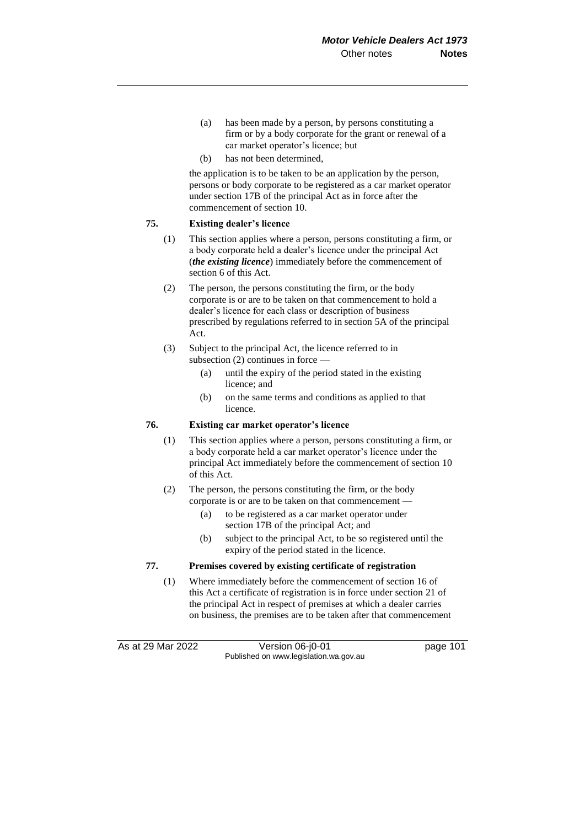- (a) has been made by a person, by persons constituting a firm or by a body corporate for the grant or renewal of a car market operator's licence; but
- (b) has not been determined

the application is to be taken to be an application by the person, persons or body corporate to be registered as a car market operator under section 17B of the principal Act as in force after the commencement of section 10.

## **75. Existing dealer's licence**

- (1) This section applies where a person, persons constituting a firm, or a body corporate held a dealer's licence under the principal Act (*the existing licence*) immediately before the commencement of section 6 of this Act.
- (2) The person, the persons constituting the firm, or the body corporate is or are to be taken on that commencement to hold a dealer's licence for each class or description of business prescribed by regulations referred to in section 5A of the principal Act.
- (3) Subject to the principal Act, the licence referred to in subsection (2) continues in force —
	- (a) until the expiry of the period stated in the existing licence; and
	- (b) on the same terms and conditions as applied to that licence.

#### **76. Existing car market operator's licence**

- (1) This section applies where a person, persons constituting a firm, or a body corporate held a car market operator's licence under the principal Act immediately before the commencement of section 10 of this Act.
- (2) The person, the persons constituting the firm, or the body corporate is or are to be taken on that commencement —
	- (a) to be registered as a car market operator under section 17B of the principal Act; and
	- (b) subject to the principal Act, to be so registered until the expiry of the period stated in the licence.

## **77. Premises covered by existing certificate of registration**

(1) Where immediately before the commencement of section 16 of this Act a certificate of registration is in force under section 21 of the principal Act in respect of premises at which a dealer carries on business, the premises are to be taken after that commencement

As at 29 Mar 2022 Version 06-j0-01 page 101 Published on www.legislation.wa.gov.au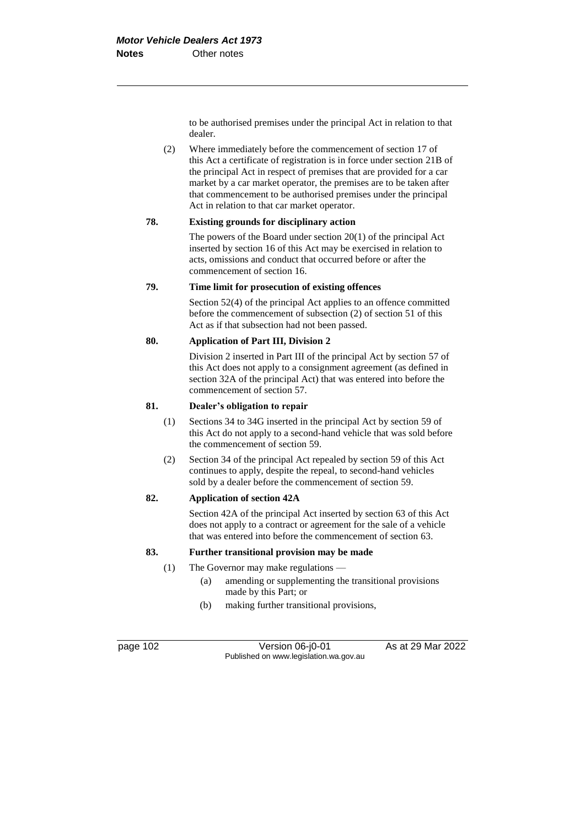to be authorised premises under the principal Act in relation to that dealer.

(2) Where immediately before the commencement of section 17 of this Act a certificate of registration is in force under section 21B of the principal Act in respect of premises that are provided for a car market by a car market operator, the premises are to be taken after that commencement to be authorised premises under the principal Act in relation to that car market operator.

## **78. Existing grounds for disciplinary action**

The powers of the Board under section 20(1) of the principal Act inserted by section 16 of this Act may be exercised in relation to acts, omissions and conduct that occurred before or after the commencement of section 16.

## **79. Time limit for prosecution of existing offences**

Section 52(4) of the principal Act applies to an offence committed before the commencement of subsection (2) of section 51 of this Act as if that subsection had not been passed.

# **80. Application of Part III, Division 2**

Division 2 inserted in Part III of the principal Act by section 57 of this Act does not apply to a consignment agreement (as defined in section 32A of the principal Act) that was entered into before the commencement of section 57.

## **81. Dealer's obligation to repair**

- (1) Sections 34 to 34G inserted in the principal Act by section 59 of this Act do not apply to a second-hand vehicle that was sold before the commencement of section 59.
- (2) Section 34 of the principal Act repealed by section 59 of this Act continues to apply, despite the repeal, to second-hand vehicles sold by a dealer before the commencement of section 59.

# **82. Application of section 42A**

Section 42A of the principal Act inserted by section 63 of this Act does not apply to a contract or agreement for the sale of a vehicle that was entered into before the commencement of section 63.

# **83. Further transitional provision may be made**

- (1) The Governor may make regulations
	- (a) amending or supplementing the transitional provisions made by this Part; or
	- (b) making further transitional provisions,

page 102 Version 06-j0-01 As at 29 Mar 2022 Published on www.legislation.wa.gov.au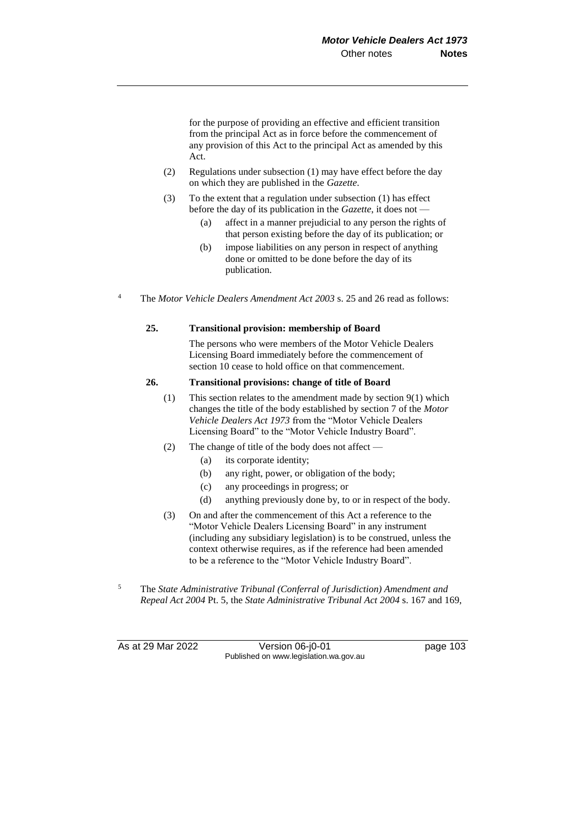for the purpose of providing an effective and efficient transition from the principal Act as in force before the commencement of any provision of this Act to the principal Act as amended by this Act.

- (2) Regulations under subsection (1) may have effect before the day on which they are published in the *Gazette*.
- (3) To the extent that a regulation under subsection (1) has effect before the day of its publication in the *Gazette*, it does not —
	- (a) affect in a manner prejudicial to any person the rights of that person existing before the day of its publication; or
	- (b) impose liabilities on any person in respect of anything done or omitted to be done before the day of its publication.
- <sup>4</sup> The *Motor Vehicle Dealers Amendment Act 2003* s. 25 and 26 read as follows:

#### **25. Transitional provision: membership of Board**

The persons who were members of the Motor Vehicle Dealers Licensing Board immediately before the commencement of section 10 cease to hold office on that commencement.

#### **26. Transitional provisions: change of title of Board**

- (1) This section relates to the amendment made by section 9(1) which changes the title of the body established by section 7 of the *Motor Vehicle Dealers Act 1973* from the "Motor Vehicle Dealers Licensing Board" to the "Motor Vehicle Industry Board".
- (2) The change of title of the body does not affect
	- (a) its corporate identity;
	- (b) any right, power, or obligation of the body;
	- (c) any proceedings in progress; or
	- (d) anything previously done by, to or in respect of the body.
- (3) On and after the commencement of this Act a reference to the "Motor Vehicle Dealers Licensing Board" in any instrument (including any subsidiary legislation) is to be construed, unless the context otherwise requires, as if the reference had been amended to be a reference to the "Motor Vehicle Industry Board".
- <sup>5</sup> The *State Administrative Tribunal (Conferral of Jurisdiction) Amendment and Repeal Act 2004* Pt. 5, the *State Administrative Tribunal Act 2004* s. 167 and 169,

As at 29 Mar 2022 Version 06-j0-01 page 103 Published on www.legislation.wa.gov.au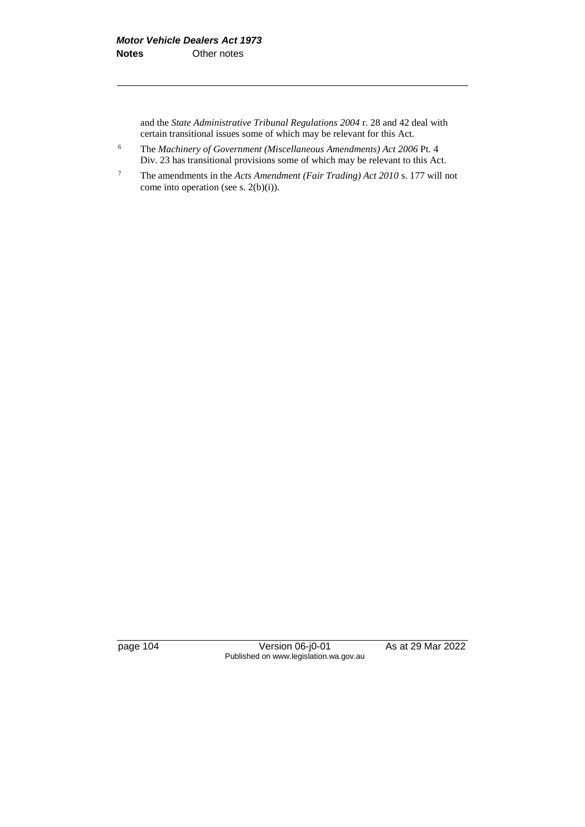and the *State Administrative Tribunal Regulations 2004* r. 28 and 42 deal with certain transitional issues some of which may be relevant for this Act.

- <sup>6</sup> The *Machinery of Government (Miscellaneous Amendments) Act 2006* Pt. 4 Div. 23 has transitional provisions some of which may be relevant to this Act.
- <sup>7</sup> The amendments in the *Acts Amendment (Fair Trading) Act 2010* s. 177 will not come into operation (see s. 2(b)(i)).

page 104 Version 06-j0-01 As at 29 Mar 2022 Published on www.legislation.wa.gov.au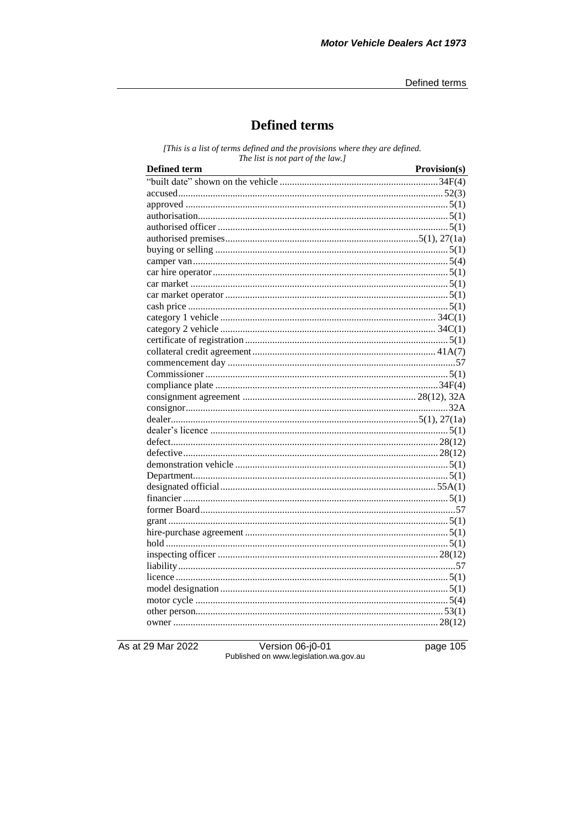# **Defined terms**

[This is a list of terms defined and the provisions where they are defined. The list is not part of the law.]

| Defined term                                                                                                    | Provision(s) |
|-----------------------------------------------------------------------------------------------------------------|--------------|
| <b>Defined term</b><br><b>Provision(s)</b><br><b>Provision(s)</b><br><b>Provision(s)</b><br><b>Provision(s)</b> |              |
|                                                                                                                 |              |
|                                                                                                                 |              |
|                                                                                                                 |              |
|                                                                                                                 |              |
|                                                                                                                 |              |
|                                                                                                                 |              |
|                                                                                                                 |              |
|                                                                                                                 |              |
|                                                                                                                 |              |
|                                                                                                                 |              |
|                                                                                                                 |              |
|                                                                                                                 |              |
|                                                                                                                 |              |
|                                                                                                                 |              |
|                                                                                                                 |              |
|                                                                                                                 |              |
|                                                                                                                 |              |
|                                                                                                                 |              |
|                                                                                                                 |              |
|                                                                                                                 |              |
|                                                                                                                 |              |
|                                                                                                                 |              |
|                                                                                                                 |              |
|                                                                                                                 |              |
|                                                                                                                 |              |
|                                                                                                                 |              |
|                                                                                                                 |              |
|                                                                                                                 |              |
|                                                                                                                 |              |
|                                                                                                                 |              |
|                                                                                                                 |              |
|                                                                                                                 |              |
|                                                                                                                 |              |
|                                                                                                                 |              |
|                                                                                                                 |              |
|                                                                                                                 |              |
|                                                                                                                 |              |
|                                                                                                                 |              |
|                                                                                                                 |              |
|                                                                                                                 |              |

As at 29 Mar 2022

Version 06-j0-01<br>Published on www.legislation.wa.gov.au

page 105